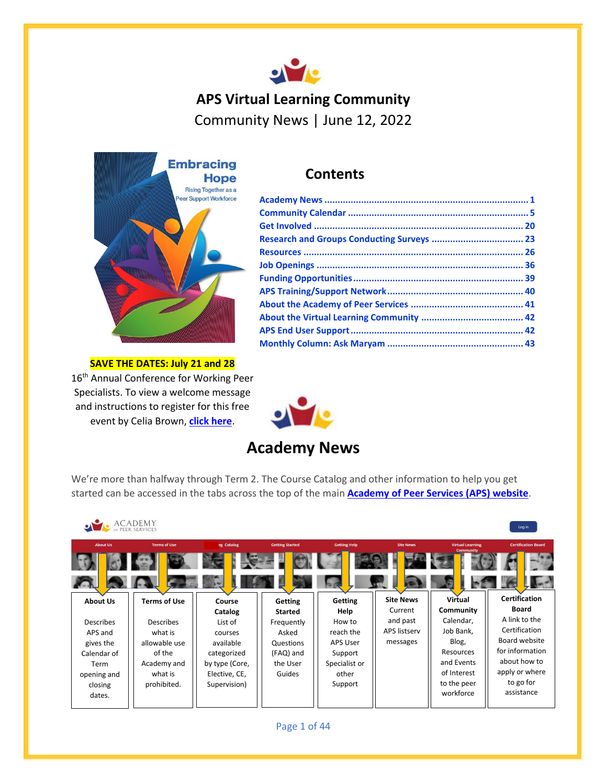## **APS Virtual Learning Community**  Community News | June 12, 2022



**SAVE THE DATES: July 21 and 28** 16<sup>th</sup> Annual Conference for Working Peer Specialists. To view a welcome message and instructions to register for this free event by Celia Brown, **[click here](https://youtu.be/3OzmfyZeGsE)**.

## **Contents**



# **Academy News**

<span id="page-0-0"></span>We're more than halfway through Term 2. The Course Catalog and other information to help you get started can be accessed in the tabs across the top of the main **[Academy of Peer Services \(APS\) website](https://www.academyofpeerservices.org/)**.

|                  | ACADEMY<br><sub>Of</sub> PEER SERVICES |                |                        |                     |                  |                                             | Log in                     |
|------------------|----------------------------------------|----------------|------------------------|---------------------|------------------|---------------------------------------------|----------------------------|
| <b>About Us</b>  | <b>Terms of Use</b>                    | ng Catalog     | <b>Getting Started</b> | <b>Getting Help</b> | <b>Site News</b> | <b>Virtual Learning</b><br><b>Community</b> | <b>Certification Board</b> |
|                  |                                        |                |                        |                     |                  |                                             |                            |
| <b>About Us</b>  | <b>Terms of Use</b>                    | Course         | <b>Getting</b>         | <b>Getting</b>      | <b>Site News</b> | Virtual                                     | <b>Certification</b>       |
|                  |                                        | Catalog        | <b>Started</b>         | Help                | Current          | Community                                   | <b>Board</b>               |
| <b>Describes</b> | <b>Describes</b>                       | List of        | Frequently             | How to              | and past         | Calendar,                                   | A link to the              |
| APS and          | what is                                | courses        | Asked                  | reach the           | APS listserv     | Job Bank,                                   | Certification              |
| gives the        | allowable use                          | available      | Questions              | <b>APS User</b>     | messages         | Blog,                                       | Board website              |
| Calendar of      | of the                                 | categorized    | (FAQ) and              | Support             |                  | Resources                                   | for information            |
| Term             | Academy and                            | by type (Core, | the User               | Specialist or       |                  | and Events                                  | about how to               |
| opening and      | what is                                | Elective, CE,  | Guides                 | other               |                  | of Interest                                 | apply or where             |
| closing          | prohibited.                            | Supervision)   |                        | Support             |                  | to the peer                                 | to go for                  |
| dates.           |                                        |                |                        |                     |                  | workforce                                   | assistance                 |
|                  |                                        |                |                        |                     |                  |                                             |                            |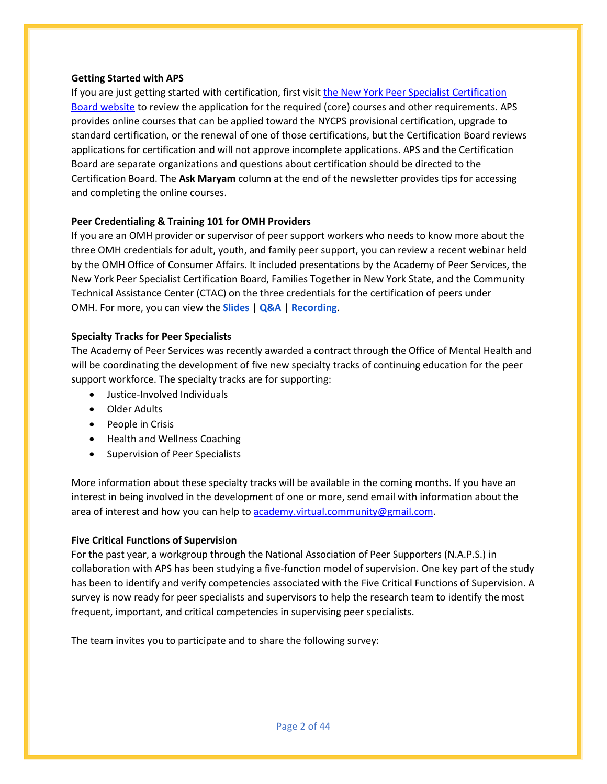#### **Getting Started with APS**

If you are just getting started with certification, first visit [the New York Peer Specialist Certification](http://nypeerspecialist.org/)  [Board website](http://nypeerspecialist.org/) to review the application for the required (core) courses and other requirements. APS provides online courses that can be applied toward the NYCPS provisional certification, upgrade to standard certification, or the renewal of one of those certifications, but the Certification Board reviews applications for certification and will not approve incomplete applications. APS and the Certification Board are separate organizations and questions about certification should be directed to the Certification Board. The **Ask Maryam** column at the end of the newsletter provides tips for accessing and completing the online courses.

## **Peer Credentialing & Training 101 for OMH Providers**

If you are an OMH provider or supervisor of peer support workers who needs to know more about the three OMH credentials for adult, youth, and family peer support, you can review a recent webinar held by the OMH Office of Consumer Affairs. It included presentations by the Academy of Peer Services, the New York Peer Specialist Certification Board, Families Together in New York State, and the Community Technical Assistance Center (CTAC) on the three credentials for the certification of peers under OMH. For more, you can view the **[Slides](https://aps-community.org/wp-content/uploads/2022/06/060822-Peer-Credentialing-and-Training-101-for-OMH-Providers-6.8.22-slides.pdf) [| Q&A](https://aps-community.org/wp-content/uploads/2022/06/060822-Peer-Credentialing-101-Webinar-Questions-and-Answers.pdf) | [Recording](https://meetny.webex.com/meetny/ldr.php?RCID=790e0090150aa75bf093ed03fa18084c)**.

### **Specialty Tracks for Peer Specialists**

The Academy of Peer Services was recently awarded a contract through the Office of Mental Health and will be coordinating the development of five new specialty tracks of continuing education for the peer support workforce. The specialty tracks are for supporting:

- Justice-Involved Individuals
- Older Adults
- People in Crisis
- Health and Wellness Coaching
- Supervision of Peer Specialists

More information about these specialty tracks will be available in the coming months. If you have an interest in being involved in the development of one or more, send email with information about the area of interest and how you can help t[o academy.virtual.community@gmail.com.](mailto:academy.virtual.community@gmail.com)

#### **Five Critical Functions of Supervision**

For the past year, a workgroup through the National Association of Peer Supporters (N.A.P.S.) in collaboration with APS has been studying a five-function model of supervision. One key part of the study has been to identify and verify competencies associated with the Five Critical Functions of Supervision. A survey is now ready for peer specialists and supervisors to help the research team to identify the most frequent, important, and critical competencies in supervising peer specialists.

The team invites you to participate and to share the following survey: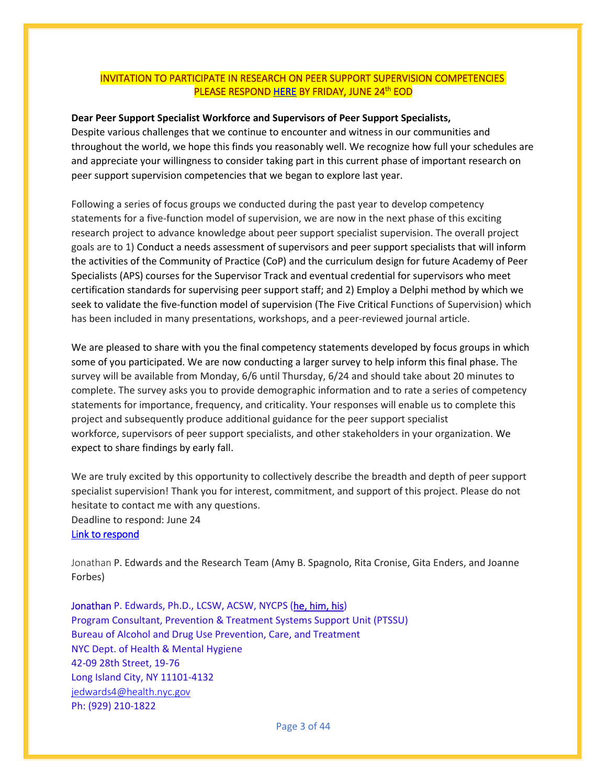## INVITATION TO PARTICIPATE IN RESEARCH ON PEER SUPPORT SUPERVISION COMPETENCIES <mark>PLEASE RESPOND <u>HERE</u> BY FRIDAY, JUNE 24<sup>th</sup> EOD</mark>

#### **Dear Peer Support Specialist Workforce and Supervisors of Peer Support Specialists,**

Despite various challenges that we continue to encounter and witness in our communities and throughout the world, we hope this finds you reasonably well. We recognize how full your schedules are and appreciate your willingness to consider taking part in this current phase of important research on peer support supervision competencies that we began to explore last year.

Following a series of focus groups we conducted during the past year to develop competency statements for a five-function model of supervision, we are now in the next phase of this exciting research project to advance knowledge about peer support specialist supervision. The overall project goals are to 1) Conduct a needs assessment of supervisors and peer support specialists that will inform the activities of the Community of Practice (CoP) and the curriculum design for future Academy of Peer Specialists (APS) courses for the Supervisor Track and eventual credential for supervisors who meet certification standards for supervising peer support staff; and 2) Employ a Delphi method by which we seek to validate the five-function model of supervision (The Five Critical Functions of Supervision) which has been included in many presentations, workshops, and a peer-reviewed journal article.

We are pleased to share with you the final competency statements developed by focus groups in which some of you participated. We are now conducting a larger survey to help inform this final phase. The survey will be available from Monday, 6/6 until Thursday, 6/24 and should take about 20 minutes to complete. The survey asks you to provide demographic information and to rate a series of competency statements for importance, frequency, and criticality. Your responses will enable us to complete this project and subsequently produce additional guidance for the peer support specialist workforce, supervisors of peer support specialists, and other stakeholders in your organization. We expect to share findings by early fall.

We are truly excited by this opportunity to collectively describe the breadth and depth of peer support specialist supervision! Thank you for interest, commitment, and support of this project. Please do not hesitate to contact me with any questions. Deadline to respond: June 24 [Link to respond](https://research.njms.rutgers.edu/redcap/surveys/?s=YELR4779NWM8YKXE)

Jonathan P. Edwards and the Research Team (Amy B. Spagnolo, Rita Cronise, Gita Enders, and Joanne Forbes)

Jonathan P. Edwards, Ph.D., LCSW, ACSW, NYCPS ([he, him, his](https://nam12.safelinks.protection.outlook.com/?url=https%3A%2F%2Flgbt.uni.edu%2Fpronouns&data=05%7C01%7C%7C8df4d85722fe457ba29908da4895d99f%7C84df9e7fe9f640afb435aaaaaaaaaaaa%7C1%7C0%7C637902105682523021%7CUnknown%7CTWFpbGZsb3d8eyJWIjoiMC4wLjAwMDAiLCJQIjoiV2luMzIiLCJBTiI6Ik1haWwiLCJXVCI6Mn0%3D%7C3000%7C%7C%7C&sdata=R2aplCLLLTT67ojpOMH4o%2Bx8FRI9BWYqVKoJUhqkLI8%3D&reserved=0)) Program Consultant, Prevention & Treatment Systems Support Unit (PTSSU) Bureau of Alcohol and Drug Use Prevention, Care, and Treatment NYC Dept. of Health & Mental Hygiene 42-09 28th Street, 19-76 Long Island City, NY 11101-4132 [jedwards4@health.nyc.gov](mailto:jedwards4@health.nyc.gov) Ph: (929) 210-1822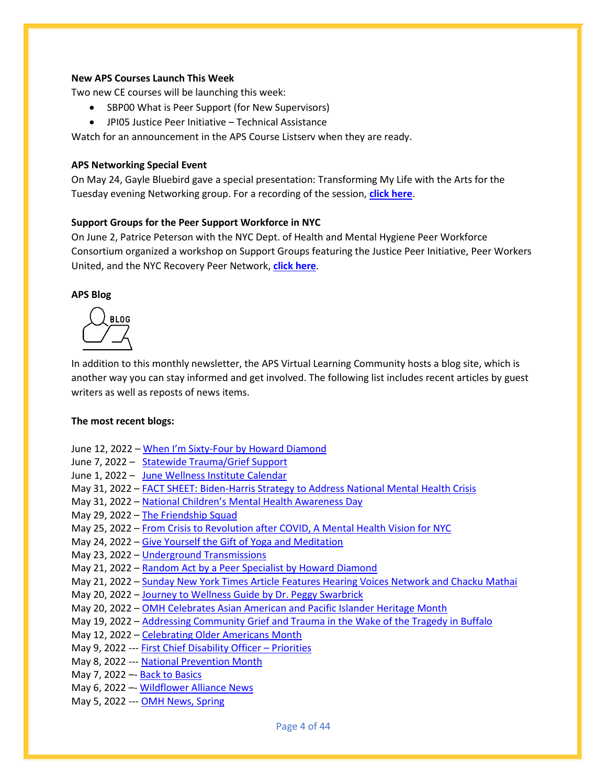#### **New APS Courses Launch This Week**

Two new CE courses will be launching this week:

- SBP00 What is Peer Support (for New Supervisors)
- JPI05 Justice Peer Initiative Technical Assistance

Watch for an announcement in the APS Course Listserv when they are ready.

#### **APS Networking Special Event**

On May 24, Gayle Bluebird gave a special presentation: Transforming My Life with the Arts for the Tuesday evening Networking group. For a recording of the session, **[click here](https://youtu.be/_dwkCgHcQX0)**.

#### **Support Groups for the Peer Support Workforce in NYC**

On June 2, Patrice Peterson with the NYC Dept. of Health and Mental Hygiene Peer Workforce Consortium organized a workshop on Support Groups featuring the Justice Peer Initiative, Peer Workers United, and the NYC Recovery Peer Network, **[click here](https://drive.google.com/file/d/1U4hDHCekUIDAfXAef07kN494gAj_XJHP/view?usp=sharing)**.

#### **APS Blog**



In addition to this monthly newsletter, the APS Virtual Learning Community hosts a blog site, which is another way you can stay informed and get involved. The following list includes recent articles by guest writers as well as reposts of news items.

#### **The most recent blogs:**

- June 12, 2022 When I'm Sixty[-Four by Howard Diamond](https://aps-community.org/2022/06/12/when-i-am-sixty-four/)
- June 7, 2022 – [Statewide Trauma/Grief Support](https://aps-community.org/2022/06/07/statewide-trauma-grief-support/)
- June 1, 2022 – [June Wellness Institute Calendar](https://aps-community.org/2022/06/01/june-wellness-institute-calendar/)
- May 31, 2022 [FACT SHEET: Biden-Harris Strategy to Address National Mental Health Crisis](https://aps-community.org/2022/05/31/fact-sheet-biden-%e2%81%a0harris-administration-highlights-strategy-to-address-the-national-mental-health-crisis/)
- May 31, 2022 [National Children's Mental Health Awareness Day](https://aps-community.org/2022/05/31/national-childrens-mental-health-awareness-day/)
- May 29, 2022 [The Friendship Squad](https://aps-community.org/2022/05/29/the-friendship-squad/)
- May 25, 2022 [From Crisis to Revolution after COVID, A Mental Health Vision for NYC](https://aps-community.org/2022/05/25/from-crisis-to-revolution-after-covid-a-mental-health-vision-for-nyc/)
- May 24, 2022 [Give Yourself the Gift of Yoga and Meditation](https://aps-community.org/2022/05/24/give-yourself-the-gift-of-yoga-with-dagny-meditation-with-ruth-this-morning/)
- May 23, 2022 [Underground Transmissions](https://aps-community.org/2022/05/23/underground-transmission/)
- May 21, 2022 [Random Act by a Peer Specialist by Howard Diamond](https://aps-community.org/2022/05/21/random-act-by-a-peer-specialist-part-2/)
- May 21, 2022 [Sunday New York Times Article Features Hearing Voices Network and Chacku Mathai](https://aps-community.org/2022/05/21/new-york-times-article-features-hearing-voices-network-and-chacku-mathai/)
- May 20, 2022 [Journey to Wellness Guide by Dr. Peggy Swarbrick](https://aps-community.org/2022/05/21/journey-to-wellness-guide-by-dr-peggy-swarbrick/)
- May 20, 2022 [OMH Celebrates Asian American and Pacific Islander Heritage Month](https://aps-community.org/2022/05/20/omh-celebrates-asian-american-and-pacific-islander-heritage-month/)
- May 19, 2022 [Addressing Community Grief and Trauma in the Wake of the Tragedy in Buffalo](https://aps-community.org/2022/05/19/addressing-community-grief-and-trauma-in-the-wake-of-the-tragedy-in-buffalo/)
- May 12, 2022 [Celebrating Older Americans Month](https://aps-community.org/2022/05/12/celebrating-older-americans-month/)
- May 9, 2022 --- [First Chief Disability Officer](https://aps-community.org/2022/05/09/first-chief-disability-officer-priorities/)  Priorities
- May 8, 2022 --- [National Prevention Month](https://aps-community.org/2022/05/08/national-prevention-week/)
- May 7, 2022 –- [Back to Basics](https://aps-community.org/2022/05/07/back-to-basics/)
- May 6, 2022 –- [Wildflower Alliance News](https://aps-community.org/2022/05/05/wildflower-alliance-news/)
- May 5, 2022 --- [OMH News, Spring](https://aps-community.org/2022/05/05/omh-news-spring-2022/)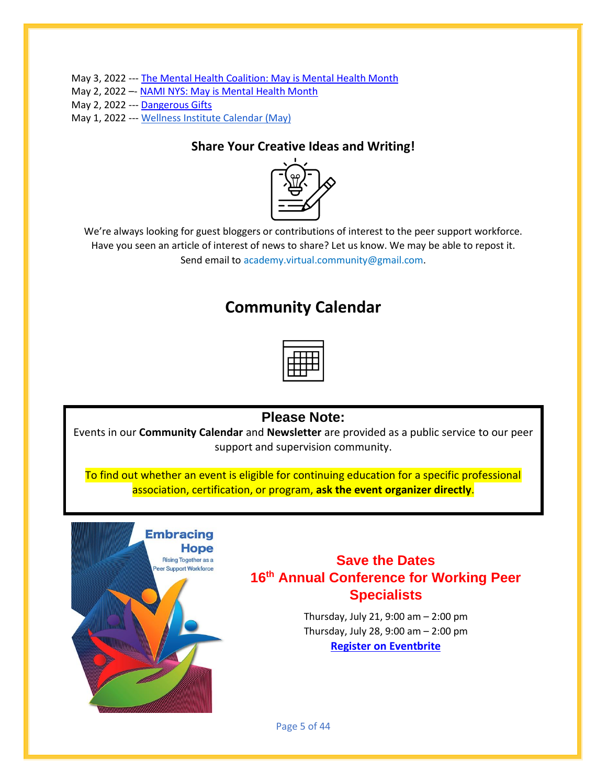May 3, 2022 --- [The Mental Health Coalition: May is Mental Health Month](https://aps-community.org/2022/05/03/the-mental-health-coalition-may-is-mental-health-month/)

- May 2, 2022 –- [NAMI NYS: May is Mental Health Month](https://aps-community.org/2022/05/02/may-is-mental-health-awareness-month/)
- May 2, 2022 --- [Dangerous Gifts](https://aps-community.org/2022/05/02/dangerous-gifts/)

May 1, 2022 --- [Wellness Institute Calendar \(May\)](https://aps-community.org/2022/05/01/wellness-institute-calendar-may%ef%bf%bc/)

## **Share Your Creative Ideas and Writing!**



<span id="page-4-0"></span>We're always looking for guest bloggers or contributions of interest to the peer support workforce. Have you seen an article of interest of news to share? Let us know. We may be able to repost it. Send email to [academy.virtual.community@gmail.com.](mailto:academy.virtual.community@gmail.com)

## **Community Calendar**

## **Please Note:**

Events in our **Community Calendar** and **Newsletter** are provided as a public service to our peer support and supervision community.

To find out whether an event is eligible for continuing education for a specific professional association, certification, or program, **ask the event organizer directly**.



## **Save the Dates 16th Annual Conference for Working Peer Specialists**

Thursday, July 21, 9:00 am – 2:00 pm Thursday, July 28, 9:00 am – 2:00 pm **[Register on Eventbrite](https://www.eventbrite.com/e/16th-annual-nyc-conference-for-working-peer-specialists-tickets-356550671657)**

Page 5 of 44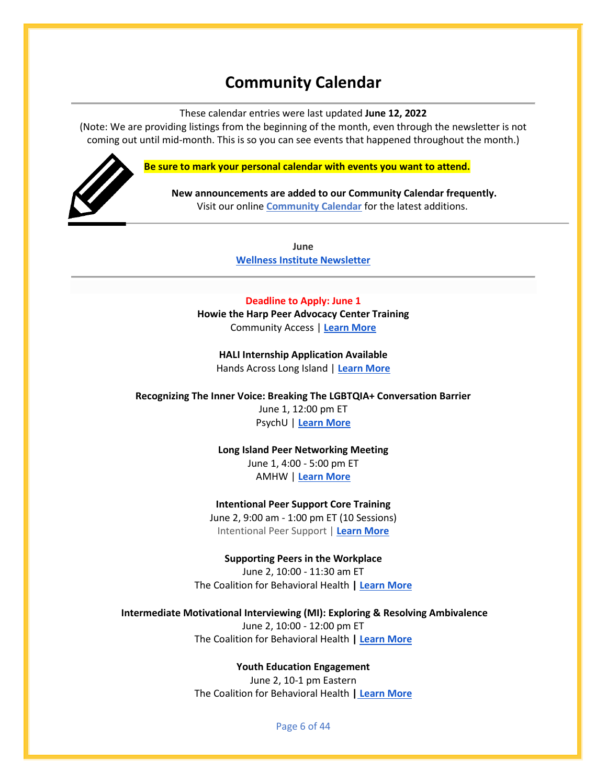## **Community Calendar**

These calendar entries were last updated **June 12, 2022**

(Note: We are providing listings from the beginning of the month, even through the newsletter is not coming out until mid-month. This is so you can see events that happened throughout the month.)



**Be sure to mark your personal calendar with events you want to attend.**

**New announcements are added to our Community Calendar frequently.** Visit our online **[Community Calendar](https://aps-community.org/calendar/)** for the latest additions.

> **June [Wellness Institute Newsletter](https://cspnj.org/wp-content/uploads/2022/05/Wellness-Calendar-June-2022-calendar-6-.pdf)**

#### **Deadline to Apply: June 1**

**Howie the Harp Peer Advocacy Center Training** Community Access | **[Learn More](https://aps-community.org/wp-content/uploads/2022/05/051122-HTHPeerTrainingProgramJun1.pdf)**

**HALI Internship Application Available** Hands Across Long Island | **[Learn More](https://aps-community.org/wp-content/uploads/2022/06/060622-Updated-HALI-Peer-Internship-Program-ad-FINAL.pdf)**

**Recognizing The Inner Voice: Breaking The LGBTQIA+ Conversation Barrier**

June 1, 12:00 pm ET PsychU | **[Learn More](https://psychu.org/event/recognizing-the-inner-voice-breaking-the-lgbtqia-conversation-barrier/?utm_source=pulist&utm_medium=email&utm_campaign=060122-webinar-promo3&utm_content=LGBTQIA+_Conversation)**

**Long Island Peer Networking Meeting** June 1, 4:00 - 5:00 pm ET AMHW | **[Learn More](https://aps-community.org/wp-content/uploads/2022/06/060122-LIPNG.pdf)**

**Intentional Peer Support Core Training** June 2, 9:00 am - 1:00 pm ET (10 Sessions) Intentional Peer Support | **[Learn More](https://www.eventbrite.com/o/intentional-peer-support-20154714284)**

**Supporting Peers in the Workplace** June 2, 10:00 - 11:30 am ET The Coalition for Behavioral Health **| [Learn More](https://thecoalitionforbehavioralhealth.createsend1.com/t/ViewEmail/t/DAD2F067A0E1A9CB2540EF23F30FEDED/C68BA36C548B418A40EE66FE10287772?alternativeLink=False)**

**Intermediate Motivational Interviewing (MI): Exploring & Resolving Ambivalence** June 2, 10:00 - 12:00 pm ET The Coalition for Behavioral Health **| [Learn More](https://thecoalitionforbehavioralhealth.createsend1.com/t/ViewEmail/t/DAD2F067A0E1A9CB2540EF23F30FEDED/C68BA36C548B418A40EE66FE10287772?alternativeLink=False)**

**Youth Education Engagement**

June 2, 10-1 pm Eastern The Coalition for Behavioral Health **| [Learn More](https://thecoalitionforbehavioralhealth.cmail19.com/t/ViewEmail/t/91A745A4F79E57FB2540EF23F30FEDED/A8376BE762AFD0C54936C359EC0425C0?alternativeLink=False)**

Page 6 of 44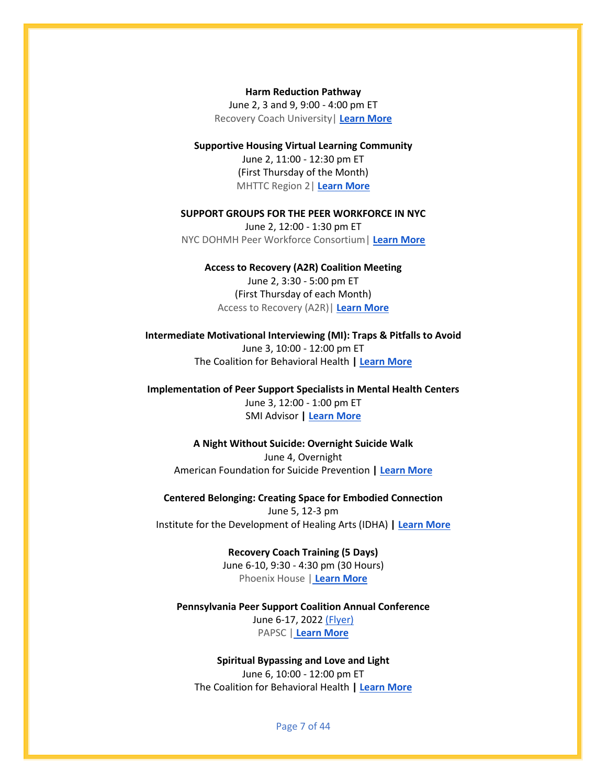**Harm Reduction Pathway** June 2, 3 and 9, 9:00 - 4:00 pm ET Recovery Coach University| **[Learn More](https://www.recoverycoachuniversity.com/recovery-coaching-harm-reduction-18-hours?mc_cid=16373df0b7&mc_eid=ddc9f152ef)**

**Supportive Housing Virtual Learning Community** June 2, 11:00 - 12:30 pm ET (First Thursday of the Month) MHTTC Region 2| **[Learn More](https://mailchi.mp/bf44f2ff3bf0/supportive-housing-virtual-learning-community?e=6426405be3)**

**SUPPORT GROUPS FOR THE PEER WORKFORCE IN NYC** June 2, 12:00 - 1:30 pm ET NYC DOHMH Peer Workforce Consortium| **[Learn More](https://mailchi.mp/ddeef688fb9f/support-circles-webinar-sponsored-by-dohmh-peer-workforce-consortium-aps?e=cc95168119)**

#### **Access to Recovery (A2R) Coalition Meeting**

June 2, 3:30 - 5:00 pm ET (First Thursday of each Month) Access to Recovery (A2R)| **[Learn More](https://aps-community.org/wp-content/uploads/2022/02/021122-A2R-every-1st-Thurs.pdf)**

**Intermediate Motivational Interviewing (MI): Traps & Pitfalls to Avoid** June 3, 10:00 - 12:00 pm ET The Coalition for Behavioral Health **| [Learn More](https://thecoalitionforbehavioralhealth.createsend1.com/t/ViewEmail/t/DAD2F067A0E1A9CB2540EF23F30FEDED/C68BA36C548B418A40EE66FE10287772?alternativeLink=False)**

**Implementation of Peer Support Specialists in Mental Health Centers** June 3, 12:00 - 1:00 pm ET SMI Advisor **| [Learn More](https://aps-community.org/wp-content/uploads/2022/06/060822-SMI-Advisor.pdf)**

**A Night Without Suicide: Overnight Suicide Walk** June 4, Overnight American Foundation for Suicide Prevention **[| Learn More](https://www.theovernight.org/index.cfm?fuseaction=cms.page&id=1765&eventID=534)**

**Centered Belonging: Creating Space for Embodied Connection** June 5, 12-3 pm Institute for the Development of Healing Arts (IDHA) **[| Learn More](https://www.eventbrite.com/e/cultivating-community-creating-the-conditions-for-care-registration-308445457667)**

> **Recovery Coach Training (5 Days)** June 6-10, 9:30 - 4:30 pm (30 Hours) Phoenix House [|](https://thecoalitionforbehavioralhealth.cmail19.com/t/ViewEmail/t/C2A2ACAD2A3264682540EF23F30FEDED/C68BA36C548B418A40EE66FE10287772?alternativeLink=False) **[Learn More](https://aps-community.org/wp-content/uploads/2022/04/040922-2022-RCA-Ethics-Training-Flyer.pdf)**

**Pennsylvania Peer Support Coalition Annual Conference** June 6-17, 2022 [\(Flyer\)](https://aps-community.org/wp-content/uploads/2022/03/032322-PA-Peer-Conference-Flyer.pdf) PAPSC [|](https://thecoalitionforbehavioralhealth.cmail19.com/t/ViewEmail/t/C2A2ACAD2A3264682540EF23F30FEDED/C68BA36C548B418A40EE66FE10287772?alternativeLink=False) **[Learn More](https://ppsc.wildapricot.org/event-4724395)**

**Spiritual Bypassing and Love and Light** June 6, 10:00 - 12:00 pm ET The Coalition for Behavioral Health **| [Learn More](https://outlook.office.com/mail/AAMkAGEwMWJlYmQxLTczMzQtNDM0My04ZmNmLTc0OTBiYjc0ZmE3ZgAuAAAAAAAR5dy6JwKJRYeRXOnHboXhAQC204R6vKZlQIaTWo0RqYXnAAG1smYAAAA%3D/id/AAMkAGEwMWJlYmQxLTczMzQtNDM0My04ZmNmLTc0OTBiYjc0ZmE3ZgBGAAAAAAAR5dy6JwKJRYeRXOnHboXhBwC204R6vKZlQIaTWo0RqYXnAAG1smYAAAC204R6vKZlQIaTWo0RqYXnAAWiJdmWAAA%3D)**

Page 7 of 44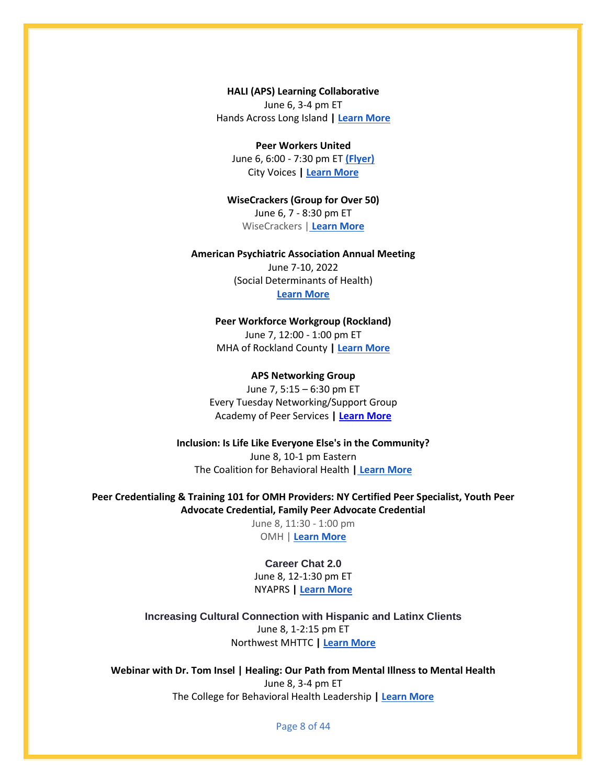**HALI (APS) Learning Collaborative** June 6, 3-4 pm ET Hands Across Long Island **| [Learn More](https://aps-community.org/wp-content/uploads/2022/04/flyer-APS-Learning-Collab-term2.22.pdf)**

#### **Peer Workers United**

June 6, 6:00 - 7:30 pm ET **[\(Flyer\)](https://aps-community.org/wp-content/uploads/2022/05/050122-Peer-Workers-United.pdf)** City Voices **| [Learn More](https://fountainhouse-org.zoom.us/j/83972156722?pwd=K0UyUEFMTkdwdThBUzNNSlB3Uk5sZz09)**

**WiseCrackers (Group for Over 50)** June 6, 7 - 8:30 pm ET WiseCrackers [|](https://thecoalitionforbehavioralhealth.cmail19.com/t/ViewEmail/t/C2A2ACAD2A3264682540EF23F30FEDED/C68BA36C548B418A40EE66FE10287772?alternativeLink=False) **[Learn More](https://aps-community.org/wp-content/uploads/2022/03/032322-The-WiseCrackers-Mondays-7pm-EST.pdf)**

#### **American Psychiatric Association Annual Meeting**

June 7-10, 2022 (Social Determinants of Health) **[Learn More](https://www.psychiatry.org/psychiatrists/meetings/annual-meeting/online-annual-meeting)**

#### **Peer Workforce Workgroup (Rockland)**

June 7, 12:00 - 1:00 pm ET MHA of Rockland County **[| Learn More](https://aps-community.org/wp-content/uploads/2022/04/042122-Peer-Workforce-Workgroup-Rockland-flyer1-1.pdf)**

#### **APS Networking Group**

June 7, 5:15 – 6:30 pm ET Every Tuesday Networking/Support Group Academy of Peer Services **| [Learn More](https://rutgers.zoom.us/meeting/register/tJIqd-mgpz0jGtcwhcuTJGzeDMpcpmLLgSKE)**

**Inclusion: Is Life Like Everyone Else's in the Community?** June 8, 10-1 pm Eastern The Coalition for Behavioral Health **| [Learn More](https://thecoalitionforbehavioralhealth.cmail19.com/t/ViewEmail/t/91A745A4F79E57FB2540EF23F30FEDED/A8376BE762AFD0C54936C359EC0425C0?alternativeLink=False)**

**Peer Credentialing & Training 101 for OMH Providers: NY Certified Peer Specialist, Youth Peer Advocate Credential, Family Peer Advocate Credential**

> June 8, 11:30 - 1:00 pm OMH | **[Learn More](https://meetny.webex.com/meetny/j.php?RGID=rdff55b83269d9954af07895d933587f6)**

#### **Career Chat 2.0**

June 8, 12-1:30 pm ET NYAPRS **[| Learn More](https://aps-community.org/wp-content/uploads/2022/05/052122-CareerChatFlyer_FINAL_.pdf)**

**Increasing Cultural Connection with Hispanic and Latinx Clients** June 8, 1-2:15 pm ET Northwest MHTTC **| [Learn More](https://washington.zoom.us/webinar/register/WN_zaPh4YmsQFiXzd_Trk09zA)**

**Webinar with Dr. Tom Insel | Healing: Our Path from Mental Illness to Mental Health** June 8, 3-4 pm ET The College for Behavioral Health Leadership **| [Learn More](https://aps-community.org/wp-content/uploads/2022/05/052122-College-of-Behavioral-Health-Insel.pdf)**

Page 8 of 44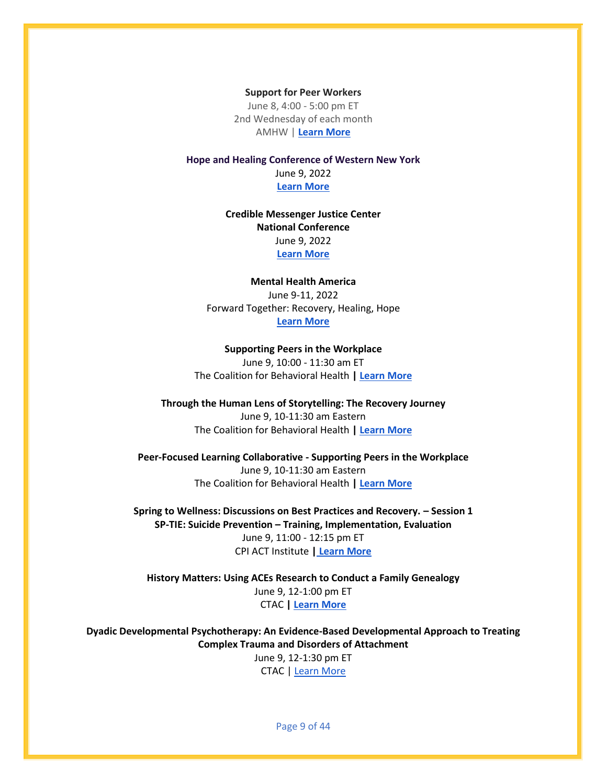**Support for Peer Workers** June 8, 4:00 - 5:00 pm ET 2nd Wednesday of each month AMHW | **[Learn More](https://aps-community.org/wp-content/uploads/2022/04/040122-CRW-Training-Center.pdf)**

**Hope and Healing Conference of Western New York** June 9, 2022 **[Learn More](https://chqgov.com/mental-hygiene/news/save-date-hope-and-healing-conference-western-new-york-will-be-held-june-9-2022)**

> **Credible Messenger Justice Center National Conference** June 9, 2022 **[Learn More](https://aps-community.org/wp-content/uploads/2022/03/032922-Credible-Messenger-Conference.pdf)**

**Mental Health America** June 9-11, 2022 Forward Together: Recovery, Healing, Hope **[Learn More](https://www.mhanational.org/2022/annual-conference)**

**Supporting Peers in the Workplace** June 9, 10:00 - 11:30 am ET The Coalition for Behavioral Health **| [Learn More](https://thecoalitionforbehavioralhealth.createsend1.com/t/ViewEmail/t/DAD2F067A0E1A9CB2540EF23F30FEDED/C68BA36C548B418A40EE66FE10287772?alternativeLink=False)**

**Through the Human Lens of Storytelling: The Recovery Journey** June 9, 10-11:30 am Eastern The Coalition for Behavioral Health **| [Learn More](https://thecoalitionforbehavioralhealth.cmail20.com/t/ViewEmail/t/B9CAD37B56C4C3EC2540EF23F30FEDED/C68BA36C548B418A40EE66FE10287772?alternativeLink=False)**

**Peer-Focused Learning Collaborative - Supporting Peers in the Workplace** June 9, 10-11:30 am Eastern The Coalition for Behavioral Health **| [Learn More](https://thecoalitionforbehavioralhealth.cmail20.com/t/ViewEmail/t/B9CAD37B56C4C3EC2540EF23F30FEDED/C68BA36C548B418A40EE66FE10287772?alternativeLink=False)**

**Spring to Wellness: Discussions on Best Practices and Recovery. – Session 1 SP-TIE: Suicide Prevention – Training, Implementation, Evaluation** June 9, 11:00 - 12:15 pm ET CPI ACT Institute **| [Learn More](https://aps-community.org/wp-content/uploads/2022/06/060822-ACT-Institute.pdf)**

**History Matters: Using ACEs Research to Conduct a Family Genealogy** June 9, 12-1:00 pm ET CTAC **[| Learn More](https://mcsilverinstituteatnyusilver.cmail19.com/t/ViewEmail/i/3474C9F40AC3764B2540EF23F30FEDED/28660558CACD6096765E7602346EC846?alternativeLink=False)**

**Dyadic Developmental Psychotherapy: An Evidence-Based Developmental Approach to Treating Complex Trauma and Disorders of Attachment**  June 9, 12-1:30 pm ET CTAC | [Learn More](https://mcsilverinstituteatnyusilver.cmail19.com/t/ViewEmail/i/3474C9F40AC3764B2540EF23F30FEDED/28660558CACD6096765E7602346EC846?alternativeLink=False)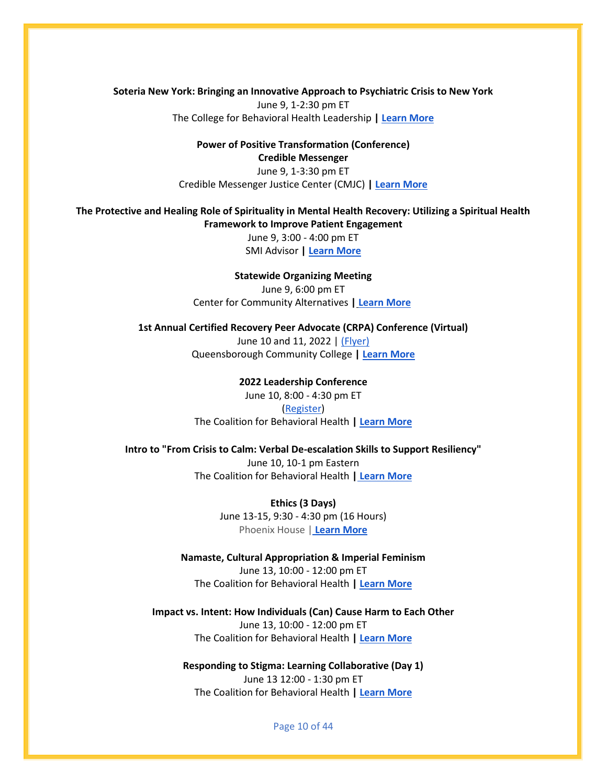**Soteria New York: Bringing an Innovative Approach to Psychiatric Crisis to New York** June 9, 1-2:30 pm ET The College for Behavioral Health Leadership **| [Learn More](https://www.leaders4health.org/event/webinar-soteria-new-york-bringing-an-innovative-approach-to-psychiatric-crisis-to-new-york/)**

> **Power of Positive Transformation (Conference) Credible Messenger** June 9, 1-3:30 pm ET Credible Messenger Justice Center (CMJC) **[| Learn More](https://www.eventbrite.com/e/cmjc-presents-2022-fifth-annual-power-of-positive-transformation-conference-tickets-337370172267?aff=odeimcmailchimp&mc_cid=2df878f9ed&mc_eid=fed114f374)**

**The Protective and Healing Role of Spirituality in Mental Health Recovery: Utilizing a Spiritual Health Framework to Improve Patient Engagement**

> June 9, 3:00 - 4:00 pm ET SMI Advisor **| [Learn More](https://aps-community.org/wp-content/uploads/2022/06/060822-SMI-Advisor.pdf)**

**Statewide Organizing Meeting** June 9, 6:00 pm ET Center for Community Alternatives **| [Learn More](https://us02web.zoom.us/meeting/register/tZYvd-ypqDoqGtVzkYH0hpuHse0VK_T8CHiC)**

**1st Annual Certified Recovery Peer Advocate (CRPA) Conference (Virtual)**  June 10 and 11, 2022 | [\(Flyer\)](https://aps-community.org/wp-content/uploads/2022/04/040922-CRPA-Flyer-First-Annual-Certified-Recovery-Peer-Advocate-CRPA-Conference_1.pdf) Queensborough Community College **[| Learn More](https://aps-community.org/wp-content/uploads/2022/04/040922-QCC-1st-Annual-CRPA-Conference_Virtual.pdf)**

> **2022 Leadership Conference** June 10, 8:00 - 4:30 pm ET [\(Register\)](https://ticketstripe.com/events/1029178) The Coalition for Behavioral Health **| [Learn More](https://www.coalitionny.org/2022-leadership-conference)**

**Intro to "From Crisis to Calm: Verbal De-escalation Skills to Support Resiliency"** June 10, 10-1 pm Eastern The Coalition for Behavioral Health **| [Learn More](https://thecoalitionforbehavioralhealth.cmail19.com/t/ViewEmail/t/91A745A4F79E57FB2540EF23F30FEDED/A8376BE762AFD0C54936C359EC0425C0?alternativeLink=False)**

> **Ethics (3 Days)** June 13-15, 9:30 - 4:30 pm (16 Hours) Phoenix House [|](https://thecoalitionforbehavioralhealth.cmail19.com/t/ViewEmail/t/C2A2ACAD2A3264682540EF23F30FEDED/C68BA36C548B418A40EE66FE10287772?alternativeLink=False) **[Learn More](https://aps-community.org/wp-content/uploads/2022/04/040922-2022-RCA-Ethics-Training-Flyer.pdf)**

**Namaste, Cultural Appropriation & Imperial Feminism** June 13, 10:00 - 12:00 pm ET The Coalition for Behavioral Health **| [Learn More](https://outlook.office.com/mail/AAMkAGEwMWJlYmQxLTczMzQtNDM0My04ZmNmLTc0OTBiYjc0ZmE3ZgAuAAAAAAAR5dy6JwKJRYeRXOnHboXhAQC204R6vKZlQIaTWo0RqYXnAAG1smYAAAA%3D/id/AAMkAGEwMWJlYmQxLTczMzQtNDM0My04ZmNmLTc0OTBiYjc0ZmE3ZgBGAAAAAAAR5dy6JwKJRYeRXOnHboXhBwC204R6vKZlQIaTWo0RqYXnAAG1smYAAAC204R6vKZlQIaTWo0RqYXnAAWiJdmWAAA%3D)**

**Impact vs. Intent: How Individuals (Can) Cause Harm to Each Other** June 13, 10:00 - 12:00 pm ET The Coalition for Behavioral Health **| [Learn More](https://thecoalitionforbehavioralhealth.cmail20.com/t/ViewEmail/t/062C246C67C5E6B22540EF23F30FEDED/C68BA36C548B418A40EE66FE10287772?alternativeLink=False)**

**Responding to Stigma: Learning Collaborative (Day 1)** June 13 12:00 - 1:30 pm ET The Coalition for Behavioral Health **| [Learn More](https://thecoalitionforbehavioralhealth.cmail20.com/t/ViewEmail/t/7C92D1A10914E9542540EF23F30FEDED/A8376BE762AFD0C54936C359EC0425C0?alternativeLink=False)**

Page 10 of 44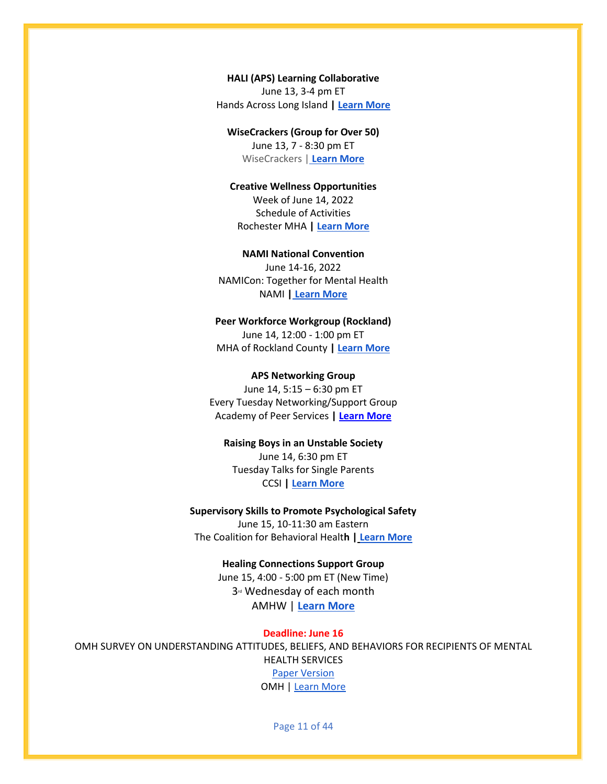**HALI (APS) Learning Collaborative** June 13, 3-4 pm ET Hands Across Long Island **| [Learn More](https://aps-community.org/wp-content/uploads/2022/04/flyer-APS-Learning-Collab-term2.22.pdf)**

**WiseCrackers (Group for Over 50)** June 13, 7 - 8:30 pm ET

WiseCrackers [|](https://thecoalitionforbehavioralhealth.cmail19.com/t/ViewEmail/t/C2A2ACAD2A3264682540EF23F30FEDED/C68BA36C548B418A40EE66FE10287772?alternativeLink=False) **[Learn More](https://aps-community.org/wp-content/uploads/2022/03/032322-The-WiseCrackers-Mondays-7pm-EST.pdf)**

**Creative Wellness Opportunities** Week of June 14, 2022 Schedule of Activities Rochester MHA **[| Learn More](https://aps-community.org/wp-content/uploads/2022/06/061222-CWO-Week-of-6.14.22.pdf)**

**NAMI National Convention** June 14-16, 2022 NAMICon: Together for Mental Health NAMI **| [Learn More](https://mailchi.mp/nami/registration-is-open-for-virtual-namicon-7845563?e=42724aaf26)**

#### **Peer Workforce Workgroup (Rockland)**

June 14, 12:00 - 1:00 pm ET MHA of Rockland County **[| Learn More](https://aps-community.org/wp-content/uploads/2022/04/042122-Peer-Workforce-Workgroup-Rockland-flyer1-1.pdf)**

#### **APS Networking Group**

June 14, 5:15 – 6:30 pm ET Every Tuesday Networking/Support Group Academy of Peer Services **| [Learn More](https://rutgers.zoom.us/meeting/register/tJIqd-mgpz0jGtcwhcuTJGzeDMpcpmLLgSKE)**

## **Raising Boys in an Unstable Society**

June 14, 6:30 pm ET Tuesday Talks for Single Parents CCSI **| [Learn More](https://www.ywcarochester.org/hagar-ministry-health-equity-collaboration/)**

**Supervisory Skills to Promote Psychological Safety** June 15, 10-11:30 am Eastern The Coalition for Behavioral Healt**h | [Learn More](https://thecoalitionforbehavioralhealth.cmail20.com/t/ViewEmail/t/B9CAD37B56C4C3EC2540EF23F30FEDED/C68BA36C548B418A40EE66FE10287772?alternativeLink=False)**

#### **Healing Connections Support Group**

June 15, 4:00 - 5:00 pm ET (New Time) 3<sup>rd</sup> Wednesday of each month AMHW | **[Learn More](https://aps-community.org/wp-content/uploads/2022/04/040122-CRW-Training-Center.pdf)**

**Deadline: June 16** OMH SURVEY ON UNDERSTANDING ATTITUDES, BELIEFS, AND BEHAVIORS FOR RECIPIENTS OF MENTAL HEALTH SERVICES [Paper Version](https://aps-community.org/wp-content/uploads/2022/06/060622-PAPER-SURVEY-FOR-SERVICE-RECIPIENTS_5.20.pdf) OMH | [Learn More](https://aps-community.org/wp-content/uploads/2022/06/060622-SECOND-REMINDER-EMAIL-FOR-SERVICE-RECIPIENT-SURVEY.pdf)

Page 11 of 44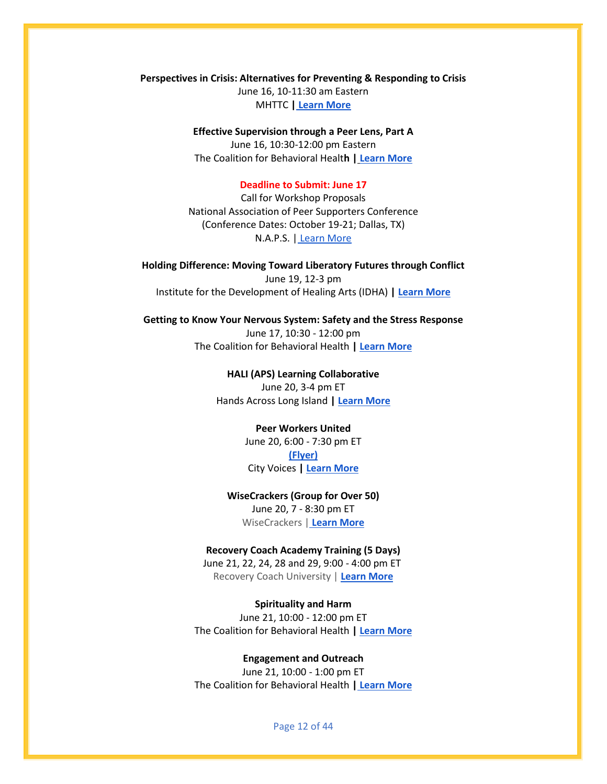**Perspectives in Crisis: Alternatives for Preventing & Responding to Crisis** June 16, 10-11:30 am Eastern MHTTC **[|](https://zoom.us/meeting/register/tJAkcOmopzstHtDzklQFTqDFhq-cwHh2e5ta) [Learn More](https://mhttcnetwork.org/centers/southeast-mhttc/perspectives-crisis)**

> **Effective Supervision through a Peer Lens, Part A** June 16, 10:30-12:00 pm Eastern The Coalition for Behavioral Healt**h | [Learn More](https://thecoalitionforbehavioralhealth.cmail20.com/t/ViewEmail/t/B9CAD37B56C4C3EC2540EF23F30FEDED/C68BA36C548B418A40EE66FE10287772?alternativeLink=False)**

#### **Deadline to Submit: June 17**

Call for Workshop Proposals National Association of Peer Supporters Conference (Conference Dates: October 19-21; Dallas, TX) N.A.P.S. | [Learn More](https://aps-community.org/wp-content/uploads/2022/05/051722-N.A.P.S.-Apply-to-Present-a-Workshop.pdf)

**Holding Difference: Moving Toward Liberatory Futures through Conflict** June 19, 12-3 pm Institute for the Development of Healing Arts (IDHA) **[| Learn More](https://www.eventbrite.com/e/cultivating-community-creating-the-conditions-for-care-registration-308445457667)**

#### **Getting to Know Your Nervous System: Safety and the Stress Response**

June 17, 10:30 - 12:00 pm The Coalition for Behavioral Health **| [Learn More](https://thecoalitionforbehavioralhealth.cmail19.com/t/ViewEmail/t/9F55701FC4A707172540EF23F30FEDED/C68BA36C548B418A40EE66FE10287772?alternativeLink=False)**

> **HALI (APS) Learning Collaborative** June 20, 3-4 pm ET Hands Across Long Island **| [Learn More](https://aps-community.org/wp-content/uploads/2022/04/flyer-APS-Learning-Collab-term2.22.pdf)**

#### **Peer Workers United** June 20, 6:00 - 7:30 pm ET

**[\(Flyer\)](https://aps-community.org/wp-content/uploads/2022/05/050122-Peer-Workers-United.pdf)** City Voices **| [Learn More](https://fountainhouse-org.zoom.us/j/83972156722?pwd=K0UyUEFMTkdwdThBUzNNSlB3Uk5sZz09)**

#### **WiseCrackers (Group for Over 50)** June 20, 7 - 8:30 pm ET WiseCrackers [|](https://thecoalitionforbehavioralhealth.cmail19.com/t/ViewEmail/t/C2A2ACAD2A3264682540EF23F30FEDED/C68BA36C548B418A40EE66FE10287772?alternativeLink=False) **[Learn More](https://aps-community.org/wp-content/uploads/2022/03/032322-The-WiseCrackers-Mondays-7pm-EST.pdf)**

#### **Recovery Coach Academy Training (5 Days)**

June 21, 22, 24, 28 and 29, 9:00 - 4:00 pm ET Recovery Coach University | **[Learn More](https://www.recoverycoachuniversity.com/recovery-coach-academy-30-hours?mc_cid=3874038c2c&mc_eid=ddc9f152ef)**

#### **Spirituality and Harm**

June 21, 10:00 - 12:00 pm ET The Coalition for Behavioral Health **| [Learn More](https://outlook.office.com/mail/AAMkAGEwMWJlYmQxLTczMzQtNDM0My04ZmNmLTc0OTBiYjc0ZmE3ZgAuAAAAAAAR5dy6JwKJRYeRXOnHboXhAQC204R6vKZlQIaTWo0RqYXnAAG1smYAAAA%3D/id/AAMkAGEwMWJlYmQxLTczMzQtNDM0My04ZmNmLTc0OTBiYjc0ZmE3ZgBGAAAAAAAR5dy6JwKJRYeRXOnHboXhBwC204R6vKZlQIaTWo0RqYXnAAG1smYAAAC204R6vKZlQIaTWo0RqYXnAAWiJdmWAAA%3D)**

#### **Engagement and Outreach**

June 21, 10:00 - 1:00 pm ET The Coalition for Behavioral Health **| [Learn More](https://thecoalitionforbehavioralhealth.cmail19.com/t/ViewEmail/t/88D6D4A9E2279A6D2540EF23F30FEDED/C68BA36C548B418A40EE66FE10287772?alternativeLink=FalsezQtNDM0My04ZmNmLTc0OTBiYjc0ZmE3ZgAuAAAAAAAR5dy6JwKJRYeRXOnHboXhAQC204R6vKZlQIaTWo0RqYXnAAG1smYAAAA%3D/id/AAMkAGEwMWJlYmQxLTczMzQtNDM0My04ZmNmLTc0OTBiYjc0ZmE3ZgBGAAAAAAAR5dy6JwKJRYeRXOnHboXhBwC204R6vKZlQIaTWo0RqYXnAAG1smYAAAC204R6vKZlQIaTWo0RqYXnAAWiJdmWAAA%3D)**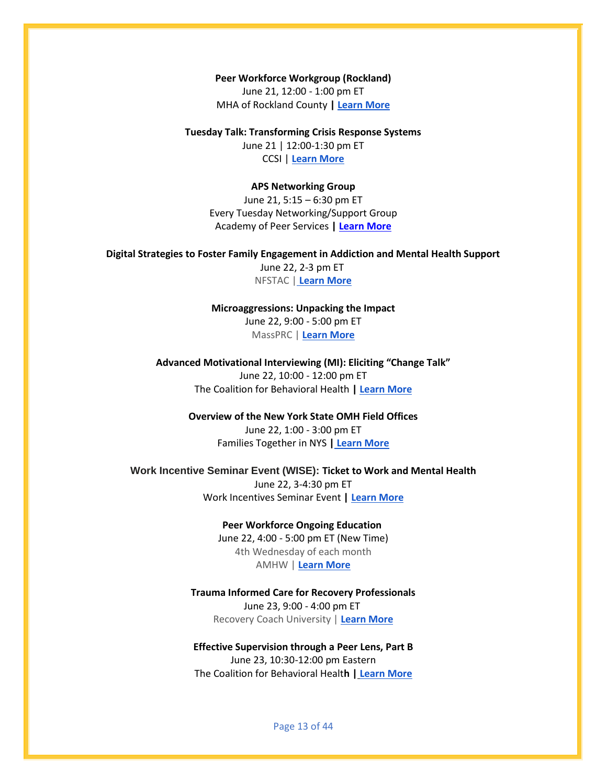**Peer Workforce Workgroup (Rockland)** June 21, 12:00 - 1:00 pm ET MHA of Rockland County **[| Learn More](https://aps-community.org/wp-content/uploads/2022/04/042122-Peer-Workforce-Workgroup-Rockland-flyer1-1.pdf)**

**Tuesday Talk: Transforming Crisis Response Systems** June 21 | 12:00-1:30 pm ET

CCSI | **[Learn More](https://aps-community.org/wp-content/uploads/2022/03/032322-Tuesday-Talks.pdf)**

**APS Networking Group**

June 21, 5:15 – 6:30 pm ET Every Tuesday Networking/Support Group Academy of Peer Services **| [Learn More](https://rutgers.zoom.us/meeting/register/tJIqd-mgpz0jGtcwhcuTJGzeDMpcpmLLgSKE)**

**Digital Strategies to Foster Family Engagement in Addiction and Mental Health Support**

June 22, 2-3 pm ET NFSTAC | **[Learn More](https://aps-community.org/wp-content/uploads/2022/06/060922-National-Family-TAC.pdf)**

**Microaggressions: Unpacking the Impact** June 22, 9:00 - 5:00 pm ET MassPRC | **[Learn More](https://aps-community.org/wp-content/uploads/2022/05/052122-Microaggressions.pdf)**

**Advanced Motivational Interviewing (MI): Eliciting "Change Talk"** June 22, 10:00 - 12:00 pm ET The Coalition for Behavioral Health **| [Learn More](https://thecoalitionforbehavioralhealth.createsend1.com/t/ViewEmail/t/DAD2F067A0E1A9CB2540EF23F30FEDED/C68BA36C548B418A40EE66FE10287772?alternativeLink=False)**

> **Overview of the New York State OMH Field Offices** June 22, 1:00 - 3:00 pm ET Families Together in NYS **| [Learn More](https://aps-community.org/wp-content/uploads/2022/06/061222-Overview-OMH-Field-Offices.pdf)**

**Work Incentive Seminar Event (WISE): Ticket to Work and Mental Health** June 22, 3-4:30 pm ET Work Incentives Seminar Event **| [Learn More](https://aps-community.org/wp-content/uploads/2022/06/061222-WISE.pdf)**

> **Peer Workforce Ongoing Education** June 22, 4:00 - 5:00 pm ET (New Time) 4th Wednesday of each month AMHW | **[Learn More](https://aps-community.org/wp-content/uploads/2022/04/040122-CRW-Training-Center.pdf)**

**Trauma Informed Care for Recovery Professionals** June 23, 9:00 - 4:00 pm ET Recovery Coach University | **[Learn More](https://www.recoverycoachuniversity.com/trauma-informed-care-6-hours?mc_cid=ca6197be66&mc_eid=03fcff28dc)**

**Effective Supervision through a Peer Lens, Part B** June 23, 10:30-12:00 pm Eastern The Coalition for Behavioral Healt**h | [Learn More](https://thecoalitionforbehavioralhealth.cmail20.com/t/ViewEmail/t/B9CAD37B56C4C3EC2540EF23F30FEDED/C68BA36C548B418A40EE66FE10287772?alternativeLink=False)**

Page 13 of 44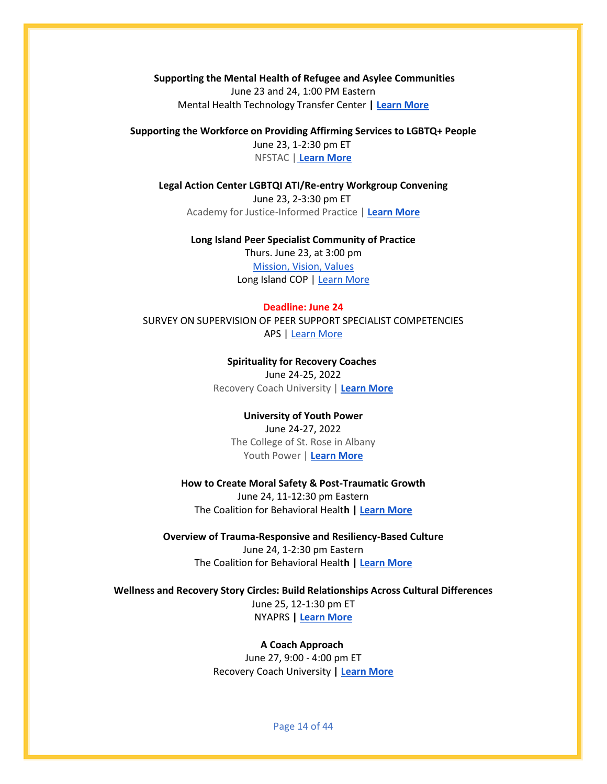**Supporting the Mental Health of Refugee and Asylee Communities** June 23 and 24, 1:00 PM Eastern Mental Health Technology Transfer Center **| [Learn More](https://mailchi.mp/mhttcnetwork.org/supporting-the-mental-health-of-refugee-asylee-communities-speakers?e=4ae9a0fcfa)**

**Supporting the Workforce on Providing Affirming Services to LGBTQ+ People**

June 23, 1-2:30 pm ET NFSTAC | **[Learn More](https://aps-community.org/wp-content/uploads/2022/06/060922-National-Family-TAC.pdf)**

**Legal Action Center LGBTQI ATI/Re-entry Workgroup Convening** June 23, 2-3:30 pm ET Academy for Justice-Informed Practice | **[Learn More](https://aps-community.org/wp-content/uploads/2022/06/061222-CUCS_LGBTQ.pdf)**

#### **Long Island Peer Specialist Community of Practice**

Thurs. June 23, at 3:00 pm [Mission, Vision, Values](https://aps-community.org/wp-content/uploads/2022/06/060922-CoP-Mission-Vision-Values.pdf) Long Island COP | [Learn More](https://aps-community.org/wp-content/uploads/2022/06/060922-Agenda-LI-Peer-Specialist-CoP-June-23.pdf)

#### **Deadline: June 24**

SURVEY ON SUPERVISION OF PEER SUPPORT SPECIALIST COMPETENCIES APS [| Learn More](https://research.njms.rutgers.edu/redcap/surveys/?s=YELR4779NWM8YKXE)

> **Spirituality for Recovery Coaches** June 24-25, 2022 Recovery Coach University | **[Learn More](https://www.recoverycoachuniversity.com/spirituality-for-recovery-coaches-12-hours?mc_cid=ed03772e3c&mc_eid=ddc9f152ef)**

#### **University of Youth Power**

June 24-27, 2022 The College of St. Rose in Albany Youth Power | **[Learn More](https://aps-community.org/wp-content/uploads/2022/05/051122-UniversityYP.pdf)**

### **How to Create Moral Safety & Post-Traumatic Growth**

June 24, 11-12:30 pm Eastern The Coalition for Behavioral Healt**h | [Learn More](https://thecoalitionforbehavioralhealth.createsend1.com/t/ViewEmail/t/9F55701FC4A707172540EF23F30FEDED/C68BA36C548B418A40EE66FE10287772?alternativeLink=False)**

#### **Overview of Trauma-Responsive and Resiliency-Based Culture**

June 24, 1-2:30 pm Eastern The Coalition for Behavioral Healt**h | [Learn More](https://thecoalitionforbehavioralhealth.createsend1.com/t/ViewEmail/t/9F55701FC4A707172540EF23F30FEDED/C68BA36C548B418A40EE66FE10287772?alternativeLink=False)**

## **Wellness and Recovery Story Circles: Build Relationships Across Cultural Differences**

June 25, 12-1:30 pm ET NYAPRS **[| Learn More](https://aps-community.org/wp-content/uploads/2022/05/052122-NYAPRS_Webinars.pdf)**

#### **A Coach Approach**

June 27, 9:00 - 4:00 pm ET Recovery Coach University **| [Learn More](https://www.recoverycoachuniversity.com/a-coach-approach?mc_cid=ddad363bee&mc_eid=03fcff28dc)**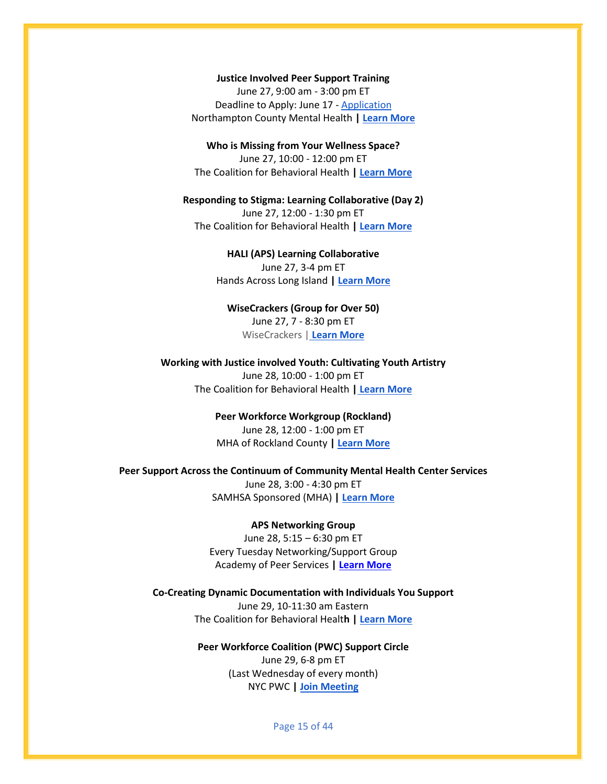#### **Justice Involved Peer Support Training**

June 27, 9:00 am - 3:00 pm ET Deadline to Apply: June 17 - [Application](https://ppsc.wildapricot.org/resources/Justice%20Involved%20peer%20support%20application.pdf) Northampton County Mental Health **| [Learn More](https://ppsc.wildapricot.org/resources/Justice%20Involved%20Peer%20Support%20Flyer%20FINAL%202022.pdf)**

**Who is Missing from Your Wellness Space?** June 27, 10:00 - 12:00 pm ET The Coalition for Behavioral Health **| [Learn More](https://outlook.office.com/mail/AAMkAGEwMWJlYmQxLTczMzQtNDM0My04ZmNmLTc0OTBiYjc0ZmE3ZgAuAAAAAAAR5dy6JwKJRYeRXOnHboXhAQC204R6vKZlQIaTWo0RqYXnAAG1smYAAAA%3D/id/AAMkAGEwMWJlYmQxLTczMzQtNDM0My04ZmNmLTc0OTBiYjc0ZmE3ZgBGAAAAAAAR5dy6JwKJRYeRXOnHboXhBwC204R6vKZlQIaTWo0RqYXnAAG1smYAAAC204R6vKZlQIaTWo0RqYXnAAWiJdmWAAA%3D)**

**Responding to Stigma: Learning Collaborative (Day 2)** June 27, 12:00 - 1:30 pm ET The Coalition for Behavioral Health **| [Learn More](https://thecoalitionforbehavioralhealth.cmail20.com/t/ViewEmail/t/7C92D1A10914E9542540EF23F30FEDED/A8376BE762AFD0C54936C359EC0425C0?alternativeLink=False)**

> **HALI (APS) Learning Collaborative** June 27, 3-4 pm ET Hands Across Long Island **| [Learn More](https://aps-community.org/wp-content/uploads/2022/04/flyer-APS-Learning-Collab-term2.22.pdf)**

**WiseCrackers (Group for Over 50)** June 27, 7 - 8:30 pm ET WiseCrackers [|](https://thecoalitionforbehavioralhealth.cmail19.com/t/ViewEmail/t/C2A2ACAD2A3264682540EF23F30FEDED/C68BA36C548B418A40EE66FE10287772?alternativeLink=False) **[Learn More](https://aps-community.org/wp-content/uploads/2022/03/032322-The-WiseCrackers-Mondays-7pm-EST.pdf)**

**Working with Justice involved Youth: Cultivating Youth Artistry** June 28, 10:00 - 1:00 pm ET The Coalition for Behavioral Health **| [Learn More](https://thecoalitionforbehavioralhealth.cmail19.com/t/ViewEmail/t/88D6D4A9E2279A6D2540EF23F30FEDED/C68BA36C548B418A40EE66FE10287772?alternativeLink=FalsezQtNDM0My04ZmNmLTc0OTBiYjc0ZmE3ZgAuAAAAAAAR5dy6JwKJRYeRXOnHboXhAQC204R6vKZlQIaTWo0RqYXnAAG1smYAAAA%3D/id/AAMkAGEwMWJlYmQxLTczMzQtNDM0My04ZmNmLTc0OTBiYjc0ZmE3ZgBGAAAAAAAR5dy6JwKJRYeRXOnHboXhBwC204R6vKZlQIaTWo0RqYXnAAG1smYAAAC204R6vKZlQIaTWo0RqYXnAAWiJdmWAAA%3D)**

> **Peer Workforce Workgroup (Rockland)** June 28, 12:00 - 1:00 pm ET MHA of Rockland County **[| Learn More](https://aps-community.org/wp-content/uploads/2022/04/042122-Peer-Workforce-Workgroup-Rockland-flyer1-1.pdf)**

**Peer Support Across the Continuum of Community Mental Health Center Services** June 28, 3:00 - 4:30 pm ET SAMHSA Sponsored (MHA) **| [Learn More](https://us06web.zoom.us/meeting/register/tZcqc-GupjIvHNzLT5b9_HEqtl--T9uxRz0t)**

#### **APS Networking Group**

June 28, 5:15 – 6:30 pm ET Every Tuesday Networking/Support Group Academy of Peer Services **| [Learn More](https://rutgers.zoom.us/meeting/register/tJIqd-mgpz0jGtcwhcuTJGzeDMpcpmLLgSKE)**

**Co-Creating Dynamic Documentation with Individuals You Support** June 29, 10-11:30 am Eastern The Coalition for Behavioral Healt**h | [Learn More](https://thecoalitionforbehavioralhealth.createsend1.com/t/ViewEmail/t/9F55701FC4A707172540EF23F30FEDED/C68BA36C548B418A40EE66FE10287772?alternativeLink=False)**

> **Peer Workforce Coalition (PWC) Support Circle** June 29, 6-8 pm ET (Last Wednesday of every month) NYC PWC **[| Join Meeting](https://sfc.zoom.us/j/99064487742)**

> > Page 15 of 44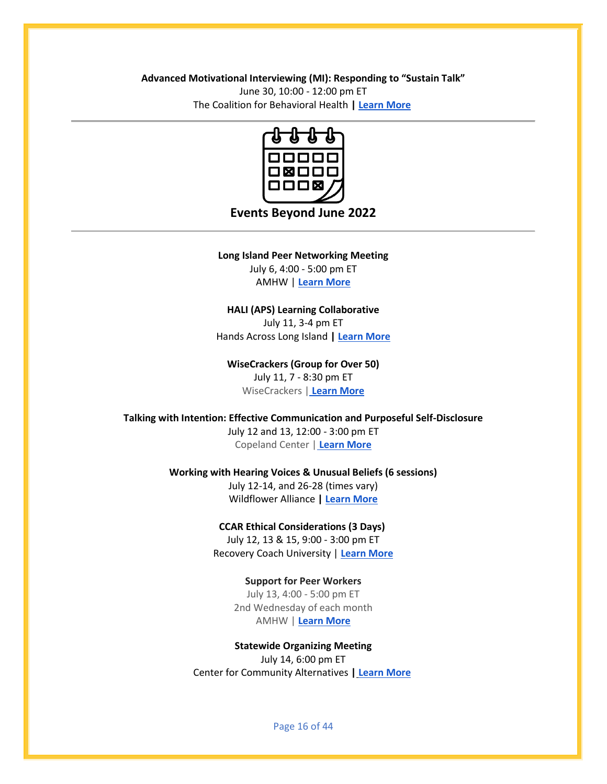#### **Advanced Motivational Interviewing (MI): Responding to "Sustain Talk"**

June 30, 10:00 - 12:00 pm ET The Coalition for Behavioral Health **[| Learn More](https://thecoalitionforbehavioralhealth.createsend1.com/t/ViewEmail/t/DAD2F067A0E1A9CB2540EF23F30FEDED/C68BA36C548B418A40EE66FE10287772?alternativeLink=False)**



## **Events Beyond June 2022**

#### **Long Island Peer Networking Meeting**

July 6, 4:00 - 5:00 pm ET AMHW | **[Learn More](https://aps-community.org/wp-content/uploads/2022/04/040122-CRW-Training-Center.pdf)**

#### **HALI (APS) Learning Collaborative**

July 11, 3-4 pm ET Hands Across Long Island **| [Learn More](https://aps-community.org/wp-content/uploads/2022/04/flyer-APS-Learning-Collab-term2.22.pdf)**

### **WiseCrackers (Group for Over 50)**

July 11, 7 - 8:30 pm ET WiseCrackers [|](https://thecoalitionforbehavioralhealth.cmail19.com/t/ViewEmail/t/C2A2ACAD2A3264682540EF23F30FEDED/C68BA36C548B418A40EE66FE10287772?alternativeLink=False) **[Learn More](https://aps-community.org/wp-content/uploads/2022/03/032322-The-WiseCrackers-Mondays-7pm-EST.pdf)**

#### **Talking with Intention: Effective Communication and Purposeful Self-Disclosure**

July 12 and 13, 12:00 - 3:00 pm ET Copeland Center [|](https://thecoalitionforbehavioralhealth.cmail19.com/t/ViewEmail/t/C2A2ACAD2A3264682540EF23F30FEDED/C68BA36C548B418A40EE66FE10287772?alternativeLink=False) **[Learn More](https://aps-community.org/wp-content/uploads/2022/05/052122-CopelandCenterTraining.pdf)**

#### **Working with Hearing Voices & Unusual Beliefs (6 sessions)**

July 12-14, and 26-28 (times vary) Wildflower Alliance **| [Learn More](https://www.eventbrite.com/e/6-session-class-working-with-hearing-voices-unusual-beliefs-july-22-tickets-269149241627)**

#### **CCAR Ethical Considerations (3 Days)**

July 12, 13 & 15, 9:00 - 3:00 pm ET Recovery Coach University | **[Learn More](https://www.recoverycoachuniversity.com/ethical-considerations-16-hours?mc_cid=add71fd3a6&mc_eid=ddc9f152ef)**

#### **Support for Peer Workers**

July 13, 4:00 - 5:00 pm ET 2nd Wednesday of each month AMHW | **[Learn More](https://aps-community.org/wp-content/uploads/2022/04/040122-CRW-Training-Center.pdf)**

### **Statewide Organizing Meeting** July 14, 6:00 pm ET Center for Community Alternatives **| [Learn More](https://us02web.zoom.us/meeting/register/tZYvd-ypqDoqGtVzkYH0hpuHse0VK_T8CHiC)**

Page 16 of 44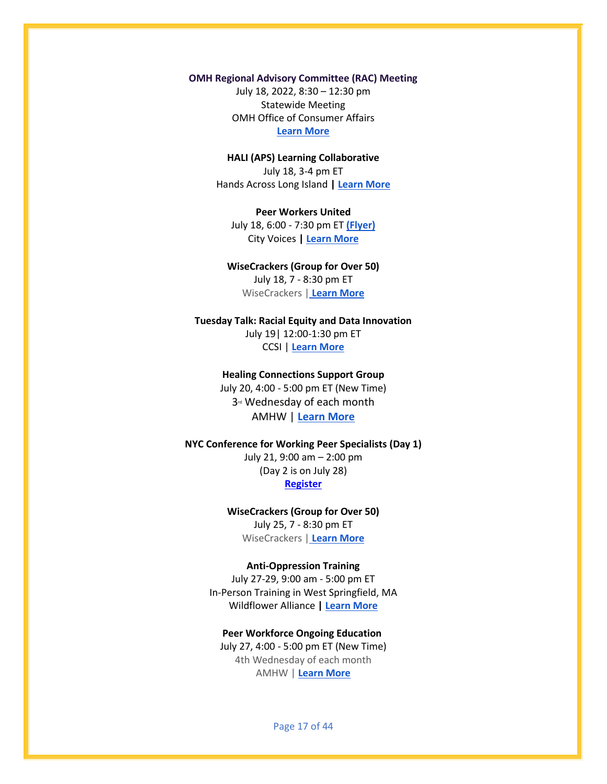#### **OMH Regional Advisory Committee (RAC) Meeting**

July 18, 2022, 8:30 – 12:30 pm Statewide Meeting OMH Office of Consumer Affairs **[Learn More](https://rutgers.zoom.us/meeting/register/tJ0vc-Chqz8tH9zR445mmR9hLvtqVEpQjm1F)**

### **HALI (APS) Learning Collaborative** July 18, 3-4 pm ET Hands Across Long Island **| [Learn More](https://aps-community.org/wp-content/uploads/2022/04/flyer-APS-Learning-Collab-term2.22.pdf)**

**Peer Workers United** July 18, 6:00 - 7:30 pm ET **[\(Flyer\)](https://aps-community.org/wp-content/uploads/2022/05/050122-Peer-Workers-United.pdf)** City Voices **| [Learn More](https://fountainhouse-org.zoom.us/j/83972156722?pwd=K0UyUEFMTkdwdThBUzNNSlB3Uk5sZz09)**

## **WiseCrackers (Group for Over 50)**

July 18, 7 - 8:30 pm ET WiseCrackers [|](https://thecoalitionforbehavioralhealth.cmail19.com/t/ViewEmail/t/C2A2ACAD2A3264682540EF23F30FEDED/C68BA36C548B418A40EE66FE10287772?alternativeLink=False) **[Learn More](https://aps-community.org/wp-content/uploads/2022/03/032322-The-WiseCrackers-Mondays-7pm-EST.pdf)**

### **Tuesday Talk: Racial Equity and Data Innovation** July 19| 12:00-1:30 pm ET

CCSI | **[Learn More](https://aps-community.org/wp-content/uploads/2022/03/032322-Tuesday-Talks.pdf)**

### **Healing Connections Support Group**

July 20, 4:00 - 5:00 pm ET (New Time) 3<sup>rd</sup> Wednesday of each month AMHW | **[Learn More](https://aps-community.org/wp-content/uploads/2022/04/040122-CRW-Training-Center.pdf)**

#### **NYC Conference for Working Peer Specialists (Day 1)**

July 21, 9:00 am – 2:00 pm (Day 2 is on July 28) **[Register](https://www.eventbrite.com/e/16th-annual-nyc-conference-for-working-peer-specialists-tickets-356550671657)**

#### **WiseCrackers (Group for Over 50)** July 25, 7 - 8:30 pm ET WiseCrackers [|](https://thecoalitionforbehavioralhealth.cmail19.com/t/ViewEmail/t/C2A2ACAD2A3264682540EF23F30FEDED/C68BA36C548B418A40EE66FE10287772?alternativeLink=False) **[Learn More](https://aps-community.org/wp-content/uploads/2022/03/032322-The-WiseCrackers-Mondays-7pm-EST.pdf)**

#### **Anti-Oppression Training**

July 27-29, 9:00 am - 5:00 pm ET In-Person Training in West Springfield, MA Wildflower Alliance **| [Learn More](https://www.surveymonkey.com/r/6WVLBXR)**

#### **Peer Workforce Ongoing Education**

July 27, 4:00 - 5:00 pm ET (New Time) 4th Wednesday of each month AMHW | **[Learn More](https://aps-community.org/wp-content/uploads/2022/04/040122-CRW-Training-Center.pdf)**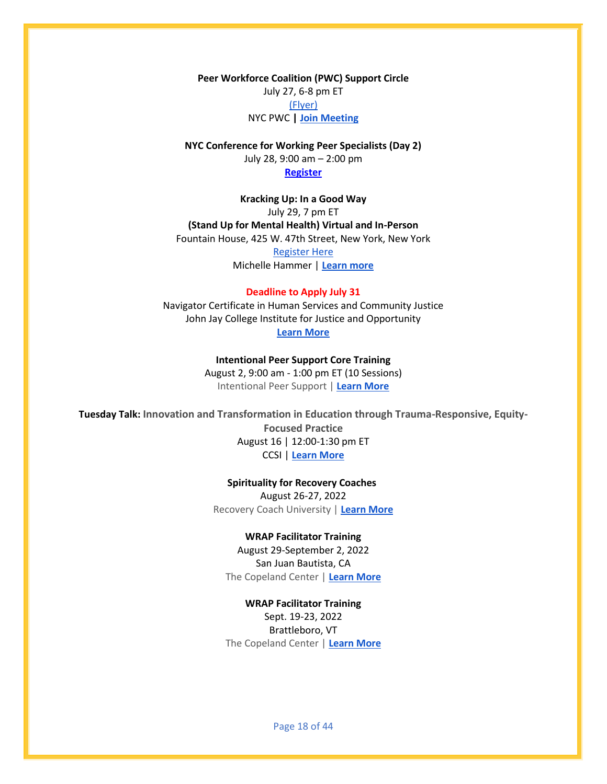**Peer Workforce Coalition (PWC) Support Circle** July 27, 6-8 pm ET [\(Flyer\)](https://aps-community.org/wp-content/uploads/2022/04/042122-PWC-Support-Circle-Flyer.pdf) NYC PWC **[| Join Meeting](https://sfc.zoom.us/j/99064487742)**

**NYC Conference for Working Peer Specialists (Day 2)**  July 28, 9:00 am – 2:00 pm **[Register](https://www.eventbrite.com/e/16th-annual-nyc-conference-for-working-peer-specialists-tickets-356550671657)**

**Kracking Up: In a Good Way** July 29, 7 pm ET **(Stand Up for Mental Health) Virtual and In-Person** Fountain House, 425 W. 47th Street, New York, New York [Register Here](https://www.eventbrite.com/e/kracking-up-a-night-of-stand-up-for-mental-health-comedy-virtual-tickets-340136536537)

Michelle Hammer | **[Learn more](https://mailchi.mp/01519a44d73d/kracking-up-live-in-person-fountain-house?e=ca03606483)**

#### **Deadline to Apply July 31**

Navigator Certificate in Human Services and Community Justice John Jay College Institute for Justice and Opportunity **[Learn More](https://aps-community.org/wp-content/uploads/2022/05/050122-Navigator-Fall-2022-Applications-open.pdf)**

> **Intentional Peer Support Core Training** August 2, 9:00 am - 1:00 pm ET (10 Sessions) Intentional Peer Support | **[Learn More](https://www.eventbrite.com/o/intentional-peer-support-20154714284)**

**Tuesday Talk: Innovation and Transformation in Education through Trauma-Responsive, Equity-Focused Practice** August 16 | 12:00-1:30 pm ET CCSI | **[Learn More](https://aps-community.org/wp-content/uploads/2022/03/032322-Tuesday-Talks.pdf)**

**Spirituality for Recovery Coaches**

August 26-27, 2022 Recovery Coach University | **[Learn More](https://www.recoverycoachuniversity.com/spirituality-for-recovery-coaches-12-hours?mc_cid=ed03772e3c&mc_eid=ddc9f152ef)**

#### **WRAP Facilitator Training**

August 29-September 2, 2022 San Juan Bautista, CA The Copeland Center | **[Learn More](https://aps-community.org/wp-content/uploads/2022/06/060922_WRAP_FAC.pdf)**

**WRAP Facilitator Training** Sept. 19-23, 2022 Brattleboro, VT The Copeland Center | **[Learn More](https://aps-community.org/wp-content/uploads/2022/06/060922_WRAP_FAC.pdf)**

Page 18 of 44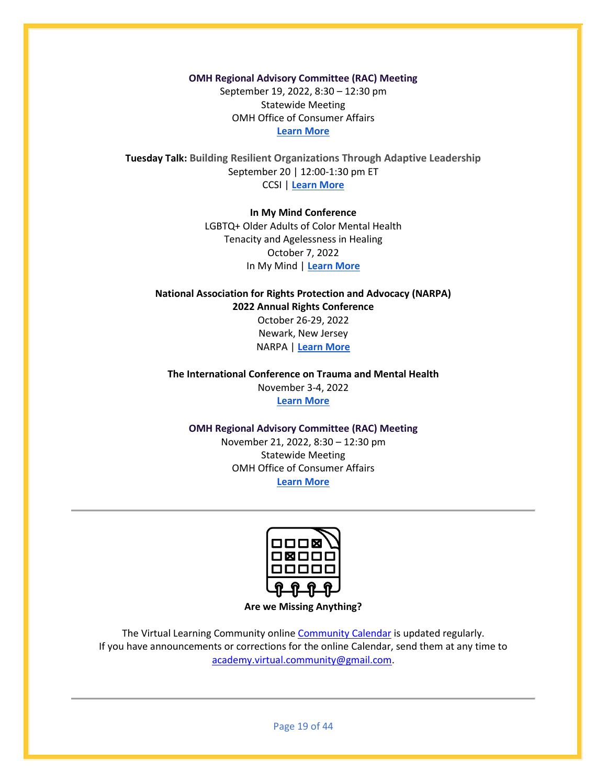**OMH Regional Advisory Committee (RAC) Meeting** September 19, 2022, 8:30 – 12:30 pm Statewide Meeting OMH Office of Consumer Affairs

**[Learn More](https://rutgers.zoom.us/meeting/register/tJ0vc-Chqz8tH9zR445mmR9hLvtqVEpQjm1F)**

**Tuesday Talk: Building Resilient Organizations Through Adaptive Leadership** September 20 | 12:00-1:30 pm ET CCSI | **[Learn More](https://aps-community.org/wp-content/uploads/2022/03/032322-Tuesday-Talks.pdf)**

#### **In My Mind Conference**

LGBTQ+ Older Adults of Color Mental Health Tenacity and Agelessness in Healing October 7, 2022 In My Mind | **[Learn More](https://www.inmymindconference.com/)**

**National Association for Rights Protection and Advocacy (NARPA) 2022 Annual Rights Conference** October 26-29, 2022 Newark, New Jersey NARPA | **[Learn More](https://www.narpa.org/NARPA-RFP-2022-%20full_012622.pdf)**

**The International Conference on Trauma and Mental Health** November 3-4, 2022 **[Learn More](https://waset.org/trauma-and-mental-health-conference-in-november-2022-in-san-francisco)**

#### **OMH Regional Advisory Committee (RAC) Meeting**

November 21, 2022, 8:30 – 12:30 pm Statewide Meeting OMH Office of Consumer Affairs **[Learn More](https://rutgers.zoom.us/meeting/register/tJ0vc-Chqz8tH9zR445mmR9hLvtqVEpQjm1F)**



**Are we Missing Anything?**

The Virtual Learning Community onlin[e Community Calendar](https://aps-community.org/calendar/) is updated regularly. If you have announcements or corrections for the online Calendar, send them at any time to [academy.virtual.community@gmail.com.](mailto:academy.virtual.community@gmail.com)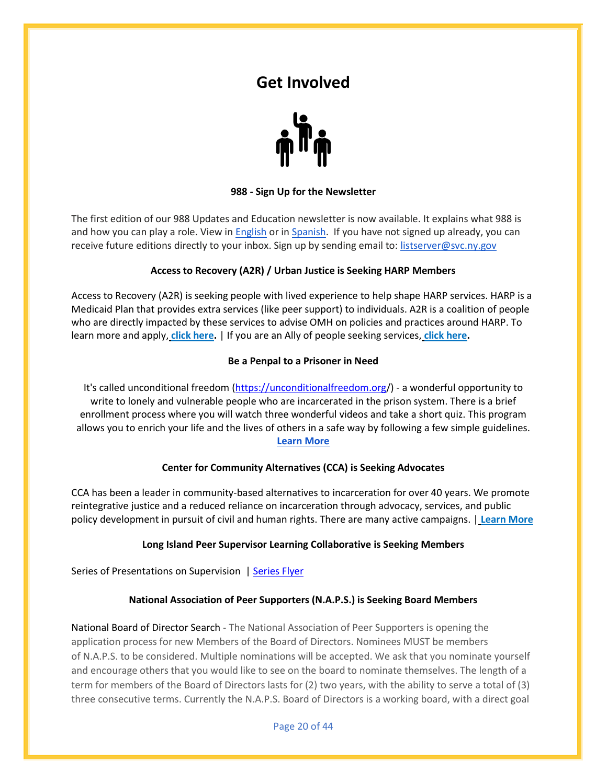## **Get Involved**



#### **988 - Sign Up for the Newsletter**

<span id="page-19-0"></span>The first edition of our 988 Updates and Education newsletter is now available. It explains what 988 is and how you can play a role. View i[n English](https://aps-community.org/wp-content/uploads/2022/05/051122-988-newsletter-english.pdf) or i[n Spanish.](https://aps-community.org/wp-content/uploads/2022/05/051122-988-newsletter-spanish.pdf) If you have not signed up already, you can receive future editions directly to your inbox. Sign up by sending email to: [listserver@svc.ny.gov](mailto:listserver@svc.ny.gov)

### **Access to Recovery (A2R) / Urban Justice is Seeking HARP Members**

Access to Recovery (A2R) is seeking people with lived experience to help shape HARP services. HARP is a Medicaid Plan that provides extra services (like peer support) to individuals. A2R is a coalition of people who are directly impacted by these services to advise OMH on policies and practices around HARP. To learn more and apply, **[click here.](https://virtualcommunityblogblog.files.wordpress.com/2021/04/041521-a2r-recruit.pdf)** | If you are an Ally of people seeking services, **[click here.](https://aps-community.org/wp-content/uploads/2021/06/062021-A2R-Allies.pdf)**

#### **Be a Penpal to a Prisoner in Need**

It's called unconditional freedom [\(https://unconditionalfreedom.org/](https://unconditionalfreedom.org/)) - a wonderful opportunity to write to lonely and vulnerable people who are incarcerated in the prison system. There is a brief enrollment process where you will watch three wonderful videos and take a short quiz. This program allows you to enrich your life and the lives of others in a safe way by following a few simple guidelines. **[Learn More](https://aps-community.org/wp-content/uploads/2022/06/Penpal-a-Prisoner-in-Need.pdf)**

#### **Center for Community Alternatives (CCA) is Seeking Advocates**

CCA has been a leader in community-based alternatives to incarceration for over 40 years. We promote reintegrative justice and a reduced reliance on incarceration through advocacy, services, and public policy development in pursuit of civil and human rights. There are many active campaigns. | **[Learn More](https://www.communityalternatives.org/)**

#### **Long Island Peer Supervisor Learning Collaborative is Seeking Members**

Series of Presentations on Supervision | [Series Flyer](https://aps-community.org/wp-content/uploads/2022/03/030322-LI-Peer-Supervision-guidelines-peer-supervision-2-self-assessment-cp9.pdf)

#### **National Association of Peer Supporters (N.A.P.S.) is Seeking Board Members**

National Board of Director Search - The National Association of Peer Supporters is opening the application process for new Members of the Board of Directors. Nominees MUST be members of N.A.P.S. to be considered. Multiple nominations will be accepted. We ask that you nominate yourself and encourage others that you would like to see on the board to nominate themselves. The length of a term for members of the Board of Directors lasts for (2) two years, with the ability to serve a total of (3) three consecutive terms. Currently the N.A.P.S. Board of Directors is a working board, with a direct goal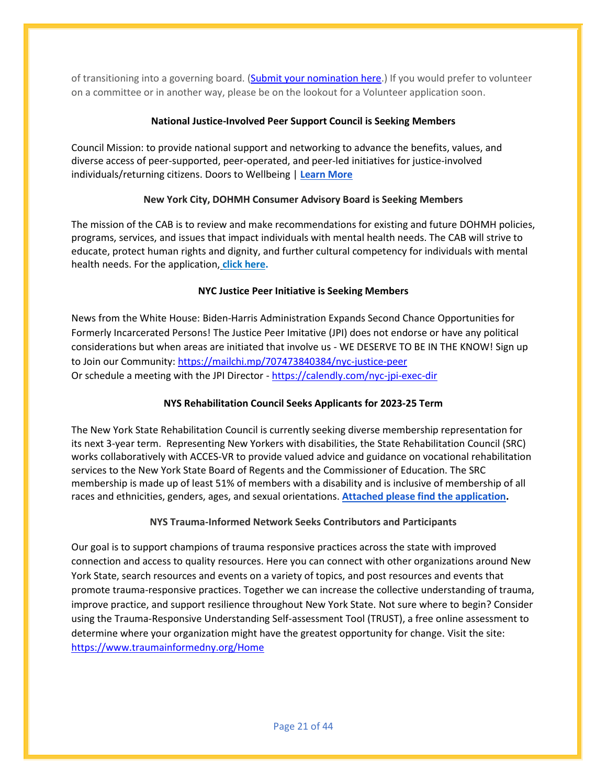of transitioning into a governing board. [\(Submit your nomination here.](https://docs.google.com/forms/d/e/1FAIpQLScwp2m2zrGry3KCpcm9xD5iCp-TyEPJ1lPr7_K5aenEjZrr1w/viewform)) If you would prefer to volunteer on a committee or in another way, please be on the lookout for a Volunteer application soon.

## **National Justice-Involved Peer Support Council is Seeking Members**

Council Mission: to provide national support and networking to advance the benefits, values, and diverse access of peer-supported, peer-operated, and peer-led initiatives for justice-involved individuals/returning citizens. Doors to Wellbeing | **[Learn More](https://aps-community.org/wp-content/uploads/2022/02/020422-DTW-National-Justice-Involved-Peer-Support-Council.pdf)**

## **New York City, DOHMH Consumer Advisory Board is Seeking Members**

The mission of the CAB is to review and make recommendations for existing and future DOHMH policies, programs, services, and issues that impact individuals with mental health needs. The CAB will strive to educate, protect human rights and dignity, and further cultural competency for individuals with mental health needs. For the application, **[click here.](https://aps-community.org/wp-content/uploads/2021/10/101821-NYC-DOHMH-CAB-Application-2022.docx)**

## **NYC Justice Peer Initiative is Seeking Members**

News from the White House: Biden-Harris Administration Expands Second Chance Opportunities for Formerly Incarcerated Persons! The Justice Peer Imitative (JPI) does not endorse or have any political considerations but when areas are initiated that involve us - WE DESERVE TO BE IN THE KNOW! Sign up to Join our Community: <https://mailchi.mp/707473840384/nyc-justice-peer> Or schedule a meeting with the JPI Director - <https://calendly.com/nyc-jpi-exec-dir>

## **NYS Rehabilitation Council Seeks Applicants for 2023-25 Term**

The New York State Rehabilitation Council is currently seeking diverse membership representation for its next 3-year term. Representing New Yorkers with disabilities, the State Rehabilitation Council (SRC) works collaboratively with ACCES-VR to provide valued advice and guidance on vocational rehabilitation services to the New York State Board of Regents and the Commissioner of Education. The SRC membership is made up of least 51% of members with a disability and is inclusive of membership of all races and ethnicities, genders, ages, and sexual orientations. **[Attached please find the application.](https://aps-community.org/wp-content/uploads/2022/04/042122-SRC-Announcement.pdf)**

## **NYS Trauma-Informed Network Seeks Contributors and Participants**

Our goal is to support champions of trauma responsive practices across the state with improved connection and access to quality resources. Here you can connect with other organizations around New York State, search resources and events on a variety of topics, and post resources and events that promote trauma-responsive practices. Together we can increase the collective understanding of trauma, improve practice, and support resilience throughout New York State. Not sure where to begin? Consider using the Trauma-Responsive Understanding Self-assessment Tool (TRUST), a free online assessment to determine where your organization might have the greatest opportunity for change. Visit the site: <https://www.traumainformedny.org/Home>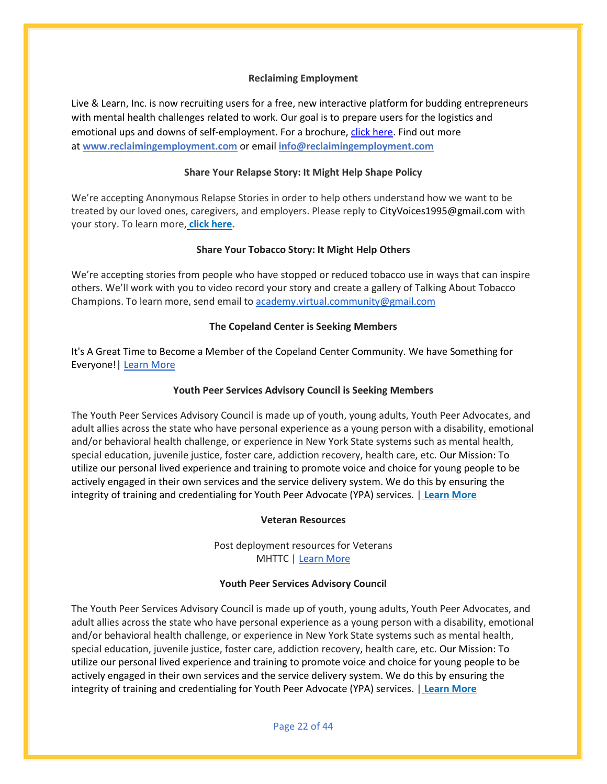#### **Reclaiming Employment**

Live & Learn, Inc. is now recruiting users for a free, new interactive platform for budding entrepreneurs with mental health challenges related to work. Our goal is to prepare users for the logistics and emotional ups and downs of self-employment. For a brochure, [click here.](https://aps-community.org/wp-content/uploads/2022/06/033_InformationalFlyer_Approved220509.pdf) Find out more at **[www.reclaimingemployment.com](http://www.reclaimingemployment.com/)** or email **[info@reclaimingemployment.com](mailto:info@reclaimingemployment.com)**

#### **Share Your Relapse Story: It Might Help Shape Policy**

We're accepting Anonymous Relapse Stories in order to help others understand how we want to be treated by our loved ones, caregivers, and employers. Please reply to CityVoices1995@gmail.com with your story. To learn more, **[click here.](https://aps-community.org/wp-content/uploads/2021/10/100021-Share-Your-Relapse-Story_-It-Might-Help-Shape-Policy.pdf)**

#### **Share Your Tobacco Story: It Might Help Others**

We're accepting stories from people who have stopped or reduced tobacco use in ways that can inspire others. We'll work with you to video record your story and create a gallery of Talking About Tobacco Champions. To learn more, send email to [academy.virtual.community@gmail.com](mailto:academy.virtual.community@gmail.com)

#### **The Copeland Center is Seeking Members**

It's A Great Time to Become a Member of the Copeland Center Community. We have Something for Everyone!| [Learn More](https://aps-community.org/wp-content/uploads/2022/03/030322-Copeland-Center.pdf)

#### **Youth Peer Services Advisory Council is Seeking Members**

The Youth Peer Services Advisory Council is made up of youth, young adults, Youth Peer Advocates, and adult allies across the state who have personal experience as a young person with a disability, emotional and/or behavioral health challenge, or experience in New York State systems such as mental health, special education, juvenile justice, foster care, addiction recovery, health care, etc. Our Mission: To utilize our personal lived experience and training to promote voice and choice for young people to be actively engaged in their own services and the service delivery system. We do this by ensuring the integrity of training and credentialing for Youth Peer Advocate (YPA) services. | **[Learn More](https://aps-community.org/wp-content/uploads/2021/10/101721-YPSAC-Flyer.pdf)**

#### **Veteran Resources**

Post deployment resources for Veterans MHTTC | [Learn More](https://myemail.constantcontact.com/New-Product-from-the-PS-MHTTC--Post-Deployment-Resources-for-Veterans.html?soid=1101289295579&aid=AfhpKg5CVf0)

#### **Youth Peer Services Advisory Council**

The Youth Peer Services Advisory Council is made up of youth, young adults, Youth Peer Advocates, and adult allies across the state who have personal experience as a young person with a disability, emotional and/or behavioral health challenge, or experience in New York State systems such as mental health, special education, juvenile justice, foster care, addiction recovery, health care, etc. Our Mission: To utilize our personal lived experience and training to promote voice and choice for young people to be actively engaged in their own services and the service delivery system. We do this by ensuring the integrity of training and credentialing for Youth Peer Advocate (YPA) services. | **[Learn More](https://aps-community.org/wp-content/uploads/2021/10/101721-YPSAC-Flyer.pdf)**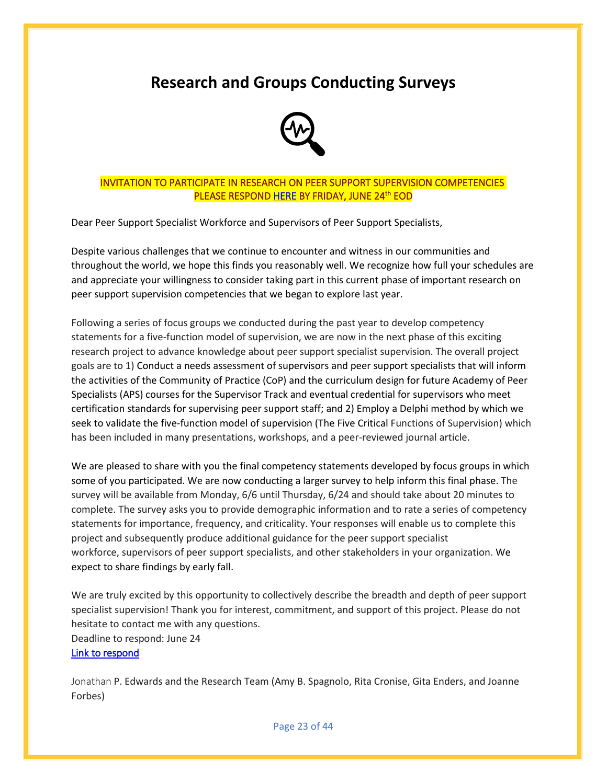## <span id="page-22-0"></span>**Research and Groups Conducting Surveys**



## INVITATION TO PARTICIPATE IN RESEARCH ON PEER SUPPORT SUPERVISION COMPETENCIES <mark>PLEASE RESPOND <u>HERE</u> BY FRIDAY, JUNE 24<sup>th</sup> EOD</mark>

Dear Peer Support Specialist Workforce and Supervisors of Peer Support Specialists,

Despite various challenges that we continue to encounter and witness in our communities and throughout the world, we hope this finds you reasonably well. We recognize how full your schedules are and appreciate your willingness to consider taking part in this current phase of important research on peer support supervision competencies that we began to explore last year.

Following a series of focus groups we conducted during the past year to develop competency statements for a five-function model of supervision, we are now in the next phase of this exciting research project to advance knowledge about peer support specialist supervision. The overall project goals are to 1) Conduct a needs assessment of supervisors and peer support specialists that will inform the activities of the Community of Practice (CoP) and the curriculum design for future Academy of Peer Specialists (APS) courses for the Supervisor Track and eventual credential for supervisors who meet certification standards for supervising peer support staff; and 2) Employ a Delphi method by which we seek to validate the five-function model of supervision (The Five Critical Functions of Supervision) which has been included in many presentations, workshops, and a peer-reviewed journal article.

We are pleased to share with you the final competency statements developed by focus groups in which some of you participated. We are now conducting a larger survey to help inform this final phase. The survey will be available from Monday, 6/6 until Thursday, 6/24 and should take about 20 minutes to complete. The survey asks you to provide demographic information and to rate a series of competency statements for importance, frequency, and criticality. Your responses will enable us to complete this project and subsequently produce additional guidance for the peer support specialist workforce, supervisors of peer support specialists, and other stakeholders in your organization. We expect to share findings by early fall.

We are truly excited by this opportunity to collectively describe the breadth and depth of peer support specialist supervision! Thank you for interest, commitment, and support of this project. Please do not hesitate to contact me with any questions. Deadline to respond: June 24 [Link to respond](https://research.njms.rutgers.edu/redcap/surveys/?s=YELR4779NWM8YKXE)

Jonathan P. Edwards and the Research Team (Amy B. Spagnolo, Rita Cronise, Gita Enders, and Joanne Forbes)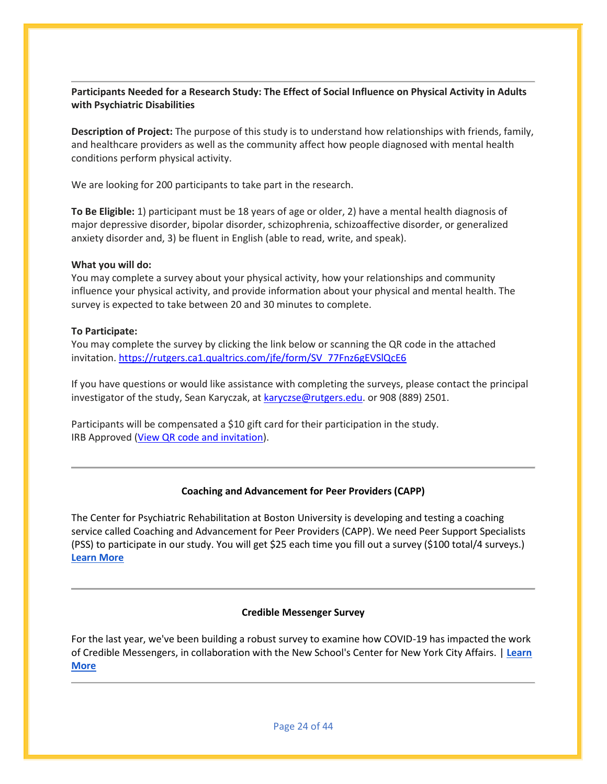## **Participants Needed for a Research Study: The Effect of Social Influence on Physical Activity in Adults with Psychiatric Disabilities**

**Description of Project:** The purpose of this study is to understand how relationships with friends, family, and healthcare providers as well as the community affect how people diagnosed with mental health conditions perform physical activity.

We are looking for 200 participants to take part in the research.

**To Be Eligible:** 1) participant must be 18 years of age or older, 2) have a mental health diagnosis of major depressive disorder, bipolar disorder, schizophrenia, schizoaffective disorder, or generalized anxiety disorder and, 3) be fluent in English (able to read, write, and speak).

#### **What you will do:**

You may complete a survey about your physical activity, how your relationships and community influence your physical activity, and provide information about your physical and mental health. The survey is expected to take between 20 and 30 minutes to complete.

### **To Participate:**

You may complete the survey by clicking the link below or scanning the QR code in the attached invitation. [https://rutgers.ca1.qualtrics.com/jfe/form/SV\\_77Fnz6gEVSlQcE6](https://nam02.safelinks.protection.outlook.com/?url=https%3A%2F%2Frutgers.ca1.qualtrics.com%2Fjfe%2Fform%2FSV_77Fnz6gEVSlQcE6&data=05%7C01%7Crmc277%40shp.rutgers.edu%7C9a375febab5c4d1f33dd08da48a86755%7Cb92d2b234d35447093ff69aca6632ffe%7C1%7C0%7C637902185364772319%7CUnknown%7CTWFpbGZsb3d8eyJWIjoiMC4wLjAwMDAiLCJQIjoiV2luMzIiLCJBTiI6Ik1haWwiLCJXVCI6Mn0%3D%7C3000%7C%7C%7C&sdata=jbIKi%2BOgmuQc9nmsxPmTIlY8zk71k9wOk8proN6e3LY%3D&reserved=0)

If you have questions or would like assistance with completing the surveys, please contact the principal investigator of the study, Sean Karyczak, at [karyczse@rutgers.edu.](mailto:karyczse@rutgers.edu) or 908 (889) 2501.

Participants will be compensated a \$10 gift card for their participation in the study. IRB Approved [\(View QR code and invitation\)](https://aps-community.org/wp-content/uploads/2022/06/Karyczak-Recruitment-Flyer.pdf).

## **Coaching and Advancement for Peer Providers (CAPP)**

The Center for Psychiatric Rehabilitation at Boston University is developing and testing a coaching service called Coaching and Advancement for Peer Providers (CAPP). We need Peer Support Specialists (PSS) to participate in our study. You will get \$25 each time you fill out a survey (\$100 total/4 surveys.) **[Learn More](https://aps-community.org/wp-content/uploads/2022/03/030622-App-C-Peer-provider-flyer_v3.pdf)**

## **Credible Messenger Survey**

For the last year, we've been building a robust survey to examine how COVID-19 has impacted the work of Credible Messengers, in collaboration with the New School's Center for New York City Affairs. | **[Learn](https://newschool.qualtrics.com/jfe/form/SV_3ds1k8fkqKkSr1c)  [More](https://newschool.qualtrics.com/jfe/form/SV_3ds1k8fkqKkSr1c)**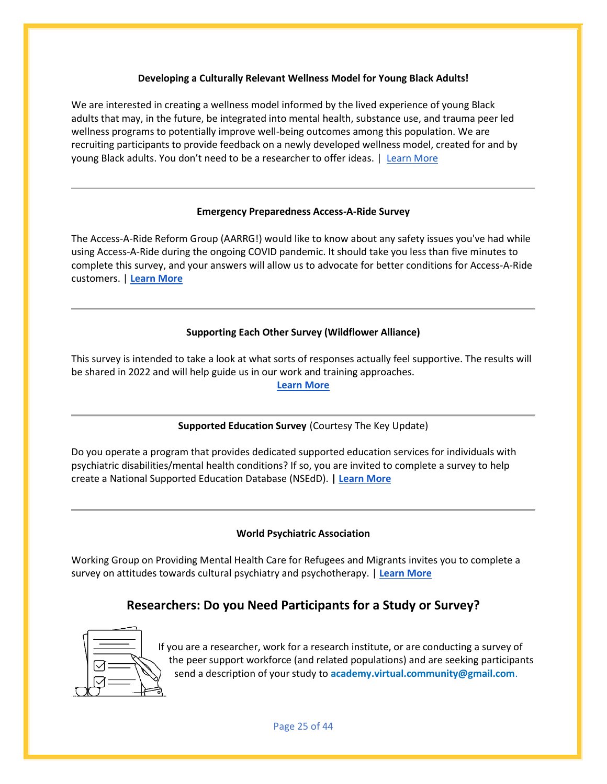#### **Developing a Culturally Relevant Wellness Model for Young Black Adults!**

We are interested in creating a wellness model informed by the lived experience of young Black adults that may, in the future, be integrated into mental health, substance use, and trauma peer led wellness programs to potentially improve well-being outcomes among this population. We are recruiting participants to provide feedback on a newly developed wellness model, created for and by young Black adults. You don't need to be a researcher to offer ideas. | [Learn More](https://aps-community.org/wp-content/uploads/2022/03/032922-Rutgers-Black-Wellness.pdf)

### **Emergency Preparedness Access-A-Ride Survey**

The Access-A-Ride Reform Group (AARRG!) would like to know about any safety issues you've had while using Access-A-Ride during the ongoing COVID pandemic. It should take you less than five minutes to complete this survey, and your answers will allow us to advocate for better conditions for Access-A-Ride customers. | **[Learn More](https://forms.office.com/pages/responsepage.aspx?id=3SF2zcMW9k-zcaH1c2MhJZgHLMIY4M1BqUxYmCf8-l9URE9CTko4TVcwMlBaQ1NINFk5WlBETk9SMi4u)**

## **Supporting Each Other Survey (Wildflower Alliance)**

This survey is intended to take a look at what sorts of responses actually feel supportive. The results will be shared in 2022 and will help guide us in our work and training approaches.

#### **[Learn More](https://www.surveymonkey.com/r/SUPPORTsurvey22)**

## **Supported Education Survey** (Courtesy The Key Update)

Do you operate a program that provides dedicated supported education services for individuals with psychiatric disabilities/mental health conditions? If so, you are invited to complete a survey to help create a National Supported Education Database (NSEdD). **[| Learn More](http://cafetacenter.net/new/wp-content/uploads/2022/01/SurveyFlyer-w-Logos.pdf)**

## **World Psychiatric Association**

Working Group on Providing Mental Health Care for Refugees and Migrants invites you to complete a survey on attitudes towards cultural psychiatry and psychotherapy. | **[Learn More](https://aps-community.org/wp-content/uploads/2022/01/011222-World-Psychiatric-Association.pdf)**

## **Researchers: Do you Need Participants for a Study or Survey?**



If you are a researcher, work for a research institute, or are conducting a survey of the peer support workforce (and related populations) and are seeking participants send a description of your study to **[academy.virtual.community@gmail.com](mailto:academy.virtual.community@gmail.com)**.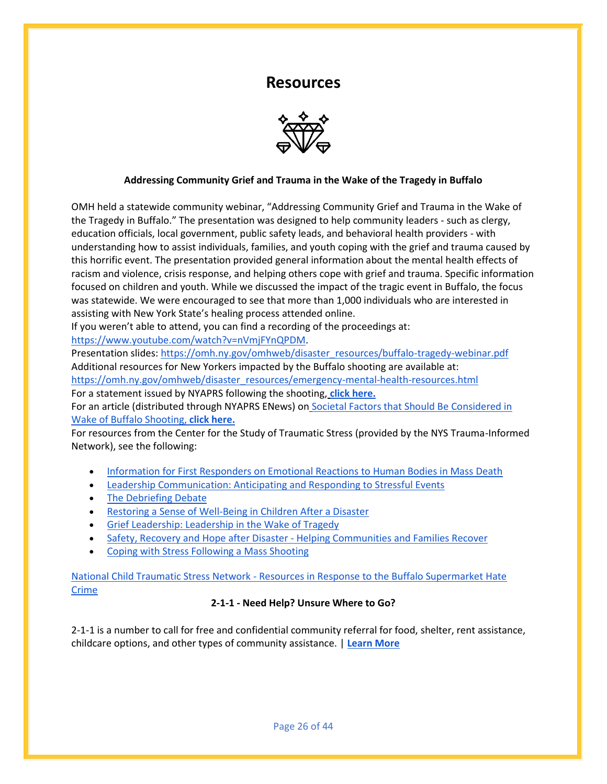## **Resources**



## <span id="page-25-0"></span>**Addressing Community Grief and Trauma in the Wake of the Tragedy in Buffalo**

OMH held a statewide community webinar, "Addressing Community Grief and Trauma in the Wake of the Tragedy in Buffalo." The presentation was designed to help community leaders - such as clergy, education officials, local government, public safety leads, and behavioral health providers - with understanding how to assist individuals, families, and youth coping with the grief and trauma caused by this horrific event. The presentation provided general information about the mental health effects of racism and violence, crisis response, and helping others cope with grief and trauma. Specific information focused on children and youth. While we discussed the impact of the tragic event in Buffalo, the focus was statewide. We were encouraged to see that more than 1,000 individuals who are interested in assisting with New York State's healing process attended online.

If you weren't able to attend, you can find a recording of the proceedings at:

[https://www.youtube.com/watch?v=nVmjFYnQPDM.](https://nam02.safelinks.protection.outlook.com/?url=https%3A%2F%2Fwww.youtube.com%2Fwatch%3Fv%3DnVmjFYnQPDM&data=05%7C01%7Crmc277%40shp.rutgers.edu%7Cedf54f83cefe43fba0ce08da399c6805%7Cb92d2b234d35447093ff69aca6632ffe%7C1%7C0%7C637885641180633410%7CUnknown%7CTWFpbGZsb3d8eyJWIjoiMC4wLjAwMDAiLCJQIjoiV2luMzIiLCJBTiI6Ik1haWwiLCJXVCI6Mn0%3D%7C3000%7C%7C%7C&sdata=xLmUeBcPpS6SMBGpBN0t6KMpqjwHtvvqAv%2BV%2F81fT4w%3D&reserved=0)

Presentation slides: [https://omh.ny.gov/omhweb/disaster\\_resources/buffalo-tragedy-webinar.pdf](https://nam02.safelinks.protection.outlook.com/?url=https%3A%2F%2Fomh.ny.gov%2Fomhweb%2Fdisaster_resources%2Fbuffalo-tragedy-webinar.pdf&data=05%7C01%7Crmc277%40shp.rutgers.edu%7Cedf54f83cefe43fba0ce08da399c6805%7Cb92d2b234d35447093ff69aca6632ffe%7C1%7C0%7C637885641180633410%7CUnknown%7CTWFpbGZsb3d8eyJWIjoiMC4wLjAwMDAiLCJQIjoiV2luMzIiLCJBTiI6Ik1haWwiLCJXVCI6Mn0%3D%7C3000%7C%7C%7C&sdata=m%2FS45bmE7CUKKMIUEOJkk%2BDEWvi9NAnBezFxZWVaQVw%3D&reserved=0) Additional resources for New Yorkers impacted by the Buffalo shooting are available at: [https://omh.ny.gov/omhweb/disaster\\_resources/emergency-mental-health-resources.html](https://nam02.safelinks.protection.outlook.com/?url=https%3A%2F%2Fomh.ny.gov%2Fomhweb%2Fdisaster_resources%2Femergency-mental-health-resources.html&data=05%7C01%7Crmc277%40shp.rutgers.edu%7Cedf54f83cefe43fba0ce08da399c6805%7Cb92d2b234d35447093ff69aca6632ffe%7C1%7C0%7C637885641180633410%7CUnknown%7CTWFpbGZsb3d8eyJWIjoiMC4wLjAwMDAiLCJQIjoiV2luMzIiLCJBTiI6Ik1haWwiLCJXVCI6Mn0%3D%7C3000%7C%7C%7C&sdata=Uez6Jw3mGyYwrrhcz7NjhCApr0MZSKd9glHdAUED3Qs%3D&reserved=0) For a statement issued by NYAPRS following the shooting, **[click here.](https://aps-community.org/wp-content/uploads/2022/05/052122-NYAPRS-Statement-on-Shooting.pdf)**

For an article (distributed through NYAPRS ENews) on [Societal Factors that Should Be Considered in](https://aps-community.org/wp-content/uploads/2022/05/052122-Factors-to-Consider-in-Shootng.pdf)  [Wake of Buffalo Shooting,](https://aps-community.org/wp-content/uploads/2022/05/052122-Factors-to-Consider-in-Shootng.pdf) **click here.**

For resources from the Center for the Study of Traumatic Stress (provided by the NYS Trauma-Informed Network), see the following:

- [Information for First Responders on Emotional Reactions to Human Bodies in Mass Death](https://aps-community.org/wp-content/uploads/2022/05/052122-1-CSTS_Mass_Death_Exposure_Emotional_Reactions_for_First_Responders.pdf)
- [Leadership Communication: Anticipating and Responding to Stressful Events](https://aps-community.org/wp-content/uploads/2022/05/052122-2-CSTS_Leadership_Communication_Anticipating_Responding_to_Stressful_Events.pdf)
- [The Debriefing Debate](https://aps-community.org/wp-content/uploads/2022/05/052122-3-CSTS_Understanding_Psychological_Debriefings_After_Disaster.pdf)
- [Restoring a Sense of Well-Being in Children After a Disaster](https://aps-community.org/wp-content/uploads/2022/05/052122-4-CSTS_Restoring_Wellbeing_in_Children_After_Disaster.pdf)
- [Grief Leadership: Leadership in the Wake of Tragedy](https://aps-community.org/wp-content/uploads/2022/05/052122-5-CSTS_Leadership_Grief_and_Tragedy.pdf)
- Safety, Recovery and Hope after Disaster [Helping Communities and Families Recover](https://aps-community.org/wp-content/uploads/2022/05/052122-6-CSTS_PFA_Helping_Community_and_Families_Recover_After_Disaster.pdf)
- [Coping with Stress Following a Mass Shooting](https://aps-community.org/wp-content/uploads/2022/05/052122-7-CSTS_Coping_with_Stress_Following_Mass_Shooting.pdf)

National Child Traumatic Stress Network - [Resources in Response to the Buffalo Supermarket Hate](https://aps-community.org/wp-content/uploads/2022/05/052122-Additional-Resource-on-the-Shooting.pdf)  [Crime](https://aps-community.org/wp-content/uploads/2022/05/052122-Additional-Resource-on-the-Shooting.pdf)

## **2-1-1 - Need Help? Unsure Where to Go?**

2-1-1 is a number to call for free and confidential community referral for food, shelter, rent assistance, childcare options, and other types of community assistance. | **[Learn More](https://aps-community.org/wp-content/uploads/2022/04/040922-211-resource.pdf)**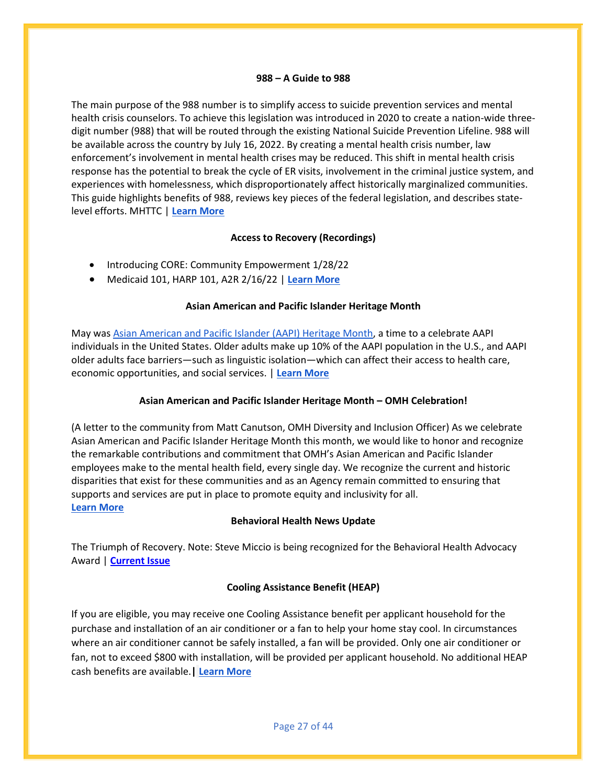#### **988 – A Guide to 988**

The main purpose of the 988 number is to simplify access to suicide prevention services and mental health crisis counselors. To achieve this legislation was introduced in 2020 to create a nation-wide threedigit number (988) that will be routed through the existing National Suicide Prevention Lifeline. 988 will be available across the country by July 16, 2022. By creating a mental health crisis number, law enforcement's involvement in mental health crises may be reduced. This shift in mental health crisis response has the potential to break the cycle of ER visits, involvement in the criminal justice system, and experiences with homelessness, which disproportionately affect historically marginalized communities. This guide highlights benefits of 988, reviews key pieces of the federal legislation, and describes statelevel efforts. MHTTC | **[Learn More](https://mhttcnetwork.org/centers/southeast-mhttc/product/guide-988-americas-suicide-prevention-and-mental-health-crisis)**

#### **Access to Recovery (Recordings)**

- Introducing CORE: Community Empowerment 1/28/22
- Medicaid 101, HARP 101, A2R 2/16/22 | **[Learn More](https://mhp.urbanjustice.org/a2r-events/)**

### **Asian American and Pacific Islander Heritage Month**

May was [Asian American and Pacific Islander \(AAPI\) Heritage Month,](https://nam02.safelinks.protection.outlook.com/?url=https%3A%2F%2Fdefault.salsalabs.org%2FT965364a4-6238-4a4b-9d87-e16101ddab56%2Fcc9f68e0-5ca3-4753-8b0a-258fe6ffcc07&data=05%7C01%7Crmc277%40shp.rutgers.edu%7Cf321b3db18d64cb8a6de08da3a7f53ba%7Cb92d2b234d35447093ff69aca6632ffe%7C1%7C0%7C637886615787499441%7CUnknown%7CTWFpbGZsb3d8eyJWIjoiMC4wLjAwMDAiLCJQIjoiV2luMzIiLCJBTiI6Ik1haWwiLCJXVCI6Mn0%3D%7C3000%7C%7C%7C&sdata=5rOQkaCKS3hMGLOWNE11Q%2ByCZ1dlcpQqmbO6b%2Fr1y1E%3D&reserved=0) a time to a celebrate AAPI individuals in the United States. Older adults make up 10% of the AAPI population in the U.S., and AAPI older adults face barriers—such as linguistic isolation—which can affect their access to health care, economic opportunities, and social services. | **[Learn More](https://aps-community.org/wp-content/uploads/2022/05/052122-NCLER-AsianAmerican.pdf)**

## **Asian American and Pacific Islander Heritage Month – OMH Celebration!**

(A letter to the community from Matt Canutson, OMH Diversity and Inclusion Officer) As we celebrate Asian American and Pacific Islander Heritage Month this month, we would like to honor and recognize the remarkable contributions and commitment that OMH's Asian American and Pacific Islander employees make to the mental health field, every single day. We recognize the current and historic disparities that exist for these communities and as an Agency remain committed to ensuring that supports and services are put in place to promote equity and inclusivity for all. **[Learn More](https://wp.me/pcdsIz-5gP)**

#### **Behavioral Health News Update**

The Triumph of Recovery. Note: Steve Miccio is being recognized for the Behavioral Health Advocacy Award | **[Current Issue](https://behavioralhealthnews.org/current-issue)**

## **Cooling Assistance Benefit (HEAP)**

If you are eligible, you may receive one Cooling Assistance benefit per applicant household for the purchase and installation of an air conditioner or a fan to help your home stay cool. In circumstances where an air conditioner cannot be safely installed, a fan will be provided. Only one air conditioner or fan, not to exceed \$800 with installation, will be provided per applicant household. No additional HEAP cash benefits are available.**| [Learn More](https://aps-community.org/wp-content/uploads/2022/04/042122-Cooling-Assistance.pdf)**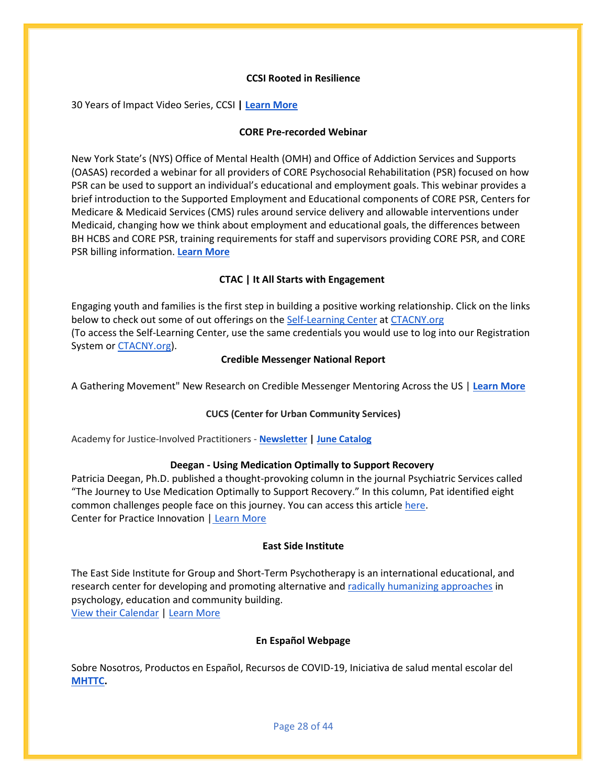#### **CCSI Rooted in Resilience**

30 Years of Impact Video Series, CCSI **[| Learn More](https://www.ccsi.org/)**

#### **CORE Pre-recorded Webinar**

New York State's (NYS) Office of Mental Health (OMH) and Office of Addiction Services and Supports (OASAS) recorded a webinar for all providers of CORE Psychosocial Rehabilitation (PSR) focused on how PSR can be used to support an individual's educational and employment goals. This webinar provides a brief introduction to the Supported Employment and Educational components of CORE PSR, Centers for Medicare & Medicaid Services (CMS) rules around service delivery and allowable interventions under Medicaid, changing how we think about employment and educational goals, the differences between BH HCBS and CORE PSR, training requirements for staff and supervisors providing CORE PSR, and CORE PSR billing information. **[Learn More](https://mcsilverinstituteatnyusilver.cmail19.com/t/ViewEmail/i/67DDE689C2452E7E2540EF23F30FEDED/224A608AC44DAD34948D468F162BC46E?alternativeLink=False)**

#### **CTAC | It All Starts with Engagement**

Engaging youth and families is the first step in building a positive working relationship. Click on the links below to check out some of out offerings on th[e Self-Learning Center](https://nam02.safelinks.protection.outlook.com/?url=https%3A%2F%2Fmcsilverinstituteatnyusilver.cmail20.com%2Ft%2Fi-l-chturiy-jujjcdjkr-y%2F&data=04%7C01%7Crmc277%40shp.rutgers.edu%7Cc6735b55542544feb28408da012959e9%7Cb92d2b234d35447093ff69aca6632ffe%7C1%7C0%7C637823574352150613%7CUnknown%7CTWFpbGZsb3d8eyJWIjoiMC4wLjAwMDAiLCJQIjoiV2luMzIiLCJBTiI6Ik1haWwiLCJXVCI6Mn0%3D%7C3000&sdata=%2Fi%2FRJkcNESdWuohBy3V82ndSL9RmfReiSW6rEBuiJAw%3D&reserved=0) at [CTACNY.org](https://nam02.safelinks.protection.outlook.com/?url=https%3A%2F%2Fmcsilverinstituteatnyusilver.cmail20.com%2Ft%2Fi-l-chturiy-jujjcdjkr-j%2F&data=04%7C01%7Crmc277%40shp.rutgers.edu%7Cc6735b55542544feb28408da012959e9%7Cb92d2b234d35447093ff69aca6632ffe%7C1%7C0%7C637823574352150613%7CUnknown%7CTWFpbGZsb3d8eyJWIjoiMC4wLjAwMDAiLCJQIjoiV2luMzIiLCJBTiI6Ik1haWwiLCJXVCI6Mn0%3D%7C3000&sdata=blx%2B%2BO6WwXx0yuI65yd9I9Z446Kn7O68psz7%2FItyiUs%3D&reserved=0) (To access the Self-Learning Center, use the same credentials you would use to log into our Registration System or [CTACNY.org\)](https://nam02.safelinks.protection.outlook.com/?url=https%3A%2F%2Fmcsilverinstituteatnyusilver.cmail20.com%2Ft%2Fi-l-chturiy-jujjcdjkr-t%2F&data=04%7C01%7Crmc277%40shp.rutgers.edu%7Cc6735b55542544feb28408da012959e9%7Cb92d2b234d35447093ff69aca6632ffe%7C1%7C0%7C637823574352150613%7CUnknown%7CTWFpbGZsb3d8eyJWIjoiMC4wLjAwMDAiLCJQIjoiV2luMzIiLCJBTiI6Ik1haWwiLCJXVCI6Mn0%3D%7C3000&sdata=Fe%2BJrAcliOAHW4RU%2FhUIGpQ0KwsATUDl83SiCLH7zKM%3D&reserved=0).

#### **Credible Messenger National Report**

A Gathering Movement" New Research on Credible Messenger Mentoring Across the US | **[Learn More](https://mailchi.mp/4e680d74fa3b/community-leadership-certificate-program-spring-2020-info-sessions-13433437?e=fed114f374)**

#### **CUCS (Center for Urban Community Services)**

Academy for Justice-Involved Practitioners - **[Newsletter](https://aps-community.org/wp-content/uploads/2022/05/052122-CUCS-Newsletter.pdf) [| June Catalog](https://aps-community.org/wp-content/uploads/2022/05/052122-CUCS-Catalog.pdf)**

#### **Deegan - Using Medication Optimally to Support Recovery**

Patricia Deegan, Ph.D. published a thought-provoking column in the journal Psychiatric Services called "The Journey to Use Medication Optimally to Support Recovery." In this column, Pat identified eight common challenges people face on this journey. You can access this articl[e here.](https://ps.psychiatryonline.org/doi/10.1176/appi.ps.201900506?fbclid=IwAR1U82X4ybu77CrnqnuAMGkY7cndKxzHNSSKJ5HVUOZuctSugc1kj0h-af4) Center for Practice Innovation | [Learn More](https://practiceinnovations.org/resources/using-meds-to-help-me-get-the-life-i-want)

#### **East Side Institute**

The East Side Institute for Group and Short-Term Psychotherapy is an international educational, and research center for developing and promoting alternative and [radically humanizing approaches](https://eastsideinstitute.org/basics/) in psychology, education and community building.

[View their Calendar](https://eastsideinstitute.org/events-calendar) | [Learn More](https://eastsideinstitute.org/about/)

#### **En Español Webpage**

Sobre Nosotros, Productos en Español, Recursos de COVID-19, Iniciativa de salud mental escolar del **[MHTTC.](https://mhttcnetwork.org/centers/northeast-caribbean-mhttc/en-espanol)**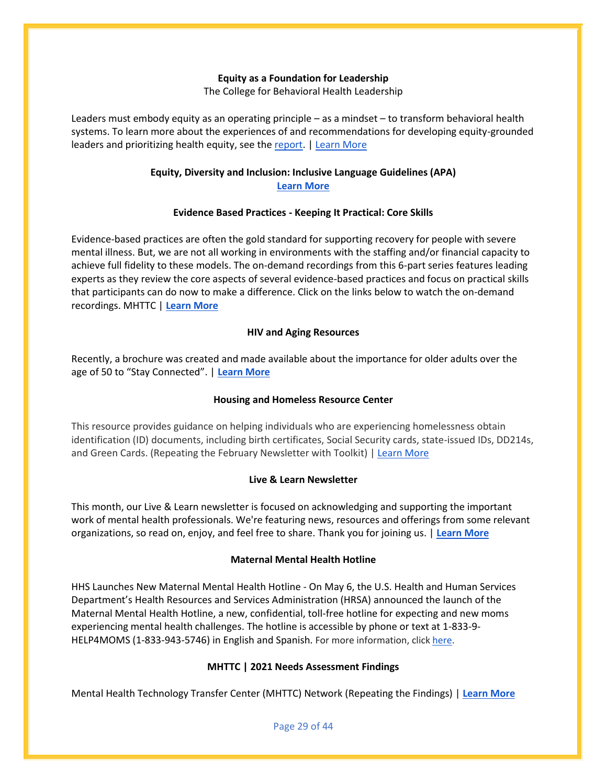#### **Equity as a Foundation for Leadership**

The College for Behavioral Health Leadership

Leaders must embody equity as an operating principle – as a mindset – to transform behavioral health systems. To learn more about the experiences of and recommendations for developing equity-grounded leaders and prioritizing health equity, see the [report.](https://www.leaders4health.org/resources/equity-as-a-foundation-for-leadership-experiences-and-recommendations-for-behavioral-health-leaders/) | [Learn More](https://www.leaders4health.org/equity-grounded-leadership-fellow-program/)

#### **Equity, Diversity and Inclusion: Inclusive Language Guidelines (APA) [Learn More](https://www.apa.org/about/apa/equity-diversity-inclusion/language-guidelines.pdf)**

### **Evidence Based Practices - Keeping It Practical: Core Skills**

Evidence-based practices are often the gold standard for supporting recovery for people with severe mental illness. But, we are not all working in environments with the staffing and/or financial capacity to achieve full fidelity to these models. The on-demand recordings from this 6-part series features leading experts as they review the core aspects of several evidence-based practices and focus on practical skills that participants can do now to make a difference. Click on the links below to watch the on-demand recordings. MHTTC | **[Learn More](https://mhttcnetwork.org/centers/southeast-mhttc/keeping-it-practical-core-skills-evidence-based-practices)**

#### **HIV and Aging Resources**

Recently, a brochure was created and made available about the importance for older adults over the age of 50 to "Stay Connected". | **[Learn More](https://aps-community.org/wp-content/uploads/2022/03/032322-HIV-and-Aging.pdf)**

#### **Housing and Homeless Resource Center**

This resource provides guidance on helping individuals who are experiencing homelessness obtain identification (ID) documents, including birth certificates, Social Security cards, state-issued IDs, DD214s, and Green Cards. (Repeating the February Newsletter with Toolkit) | [Learn More](https://aps-community.org/wp-content/uploads/2022/03/030322-Homeless-and-Housing.pdf)

#### **Live & Learn Newsletter**

This month, our Live & Learn newsletter is focused on acknowledging and supporting the important work of mental health professionals. We're featuring news, resources and offerings from some relevant organizations, so read on, enjoy, and feel free to share. Thank you for joining us. | **[Learn More](https://aps-community.org/wp-content/uploads/2022/05/052122-Live-n-Learn-Newsletter.pdf)**

#### **Maternal Mental Health Hotline**

HHS Launches New Maternal Mental Health Hotline - On May 6, the U.S. Health and Human Services Department's Health Resources and Services Administration (HRSA) announced the launch of the Maternal Mental Health Hotline, a new, confidential, toll-free hotline for expecting and new moms experiencing mental health challenges. The hotline is accessible by phone or text at 1-833-9- HELP4MOMS (1-833-943-5746) in English and Spanish. For more information, clic[k here.](https://www.hhs.gov/about/news/2022/05/06/hhs-launches-new-maternal-mental-health-hotline.html)

#### **MHTTC | 2021 Needs Assessment Findings**

Mental Health Technology Transfer Center (MHTTC) Network (Repeating the Findings) | **[Learn More](https://mailchi.mp/mhttcnetwork.org/2021_mhttc_needs_assessment_findings?e=4ae9a0fcfa)**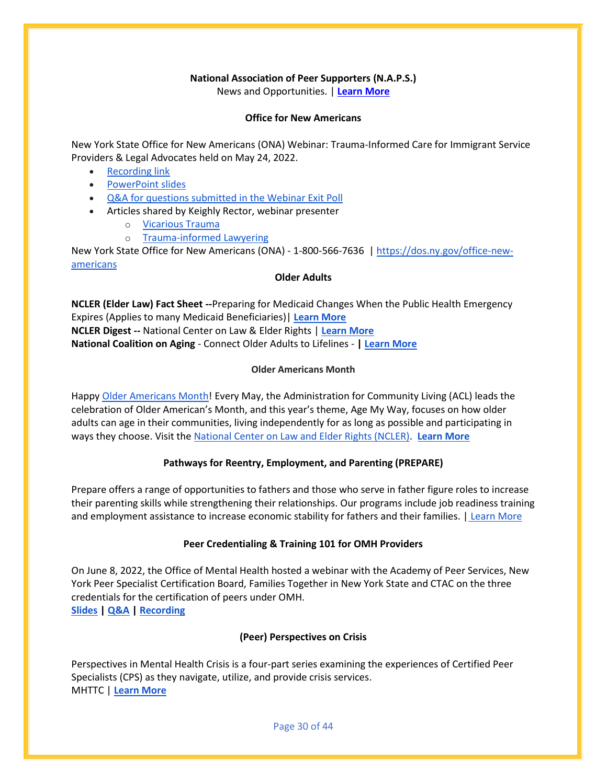#### **National Association of Peer Supporters (N.A.P.S.)**

News and Opportunities. | **[Learn More](https://aps-community.org/wp-content/uploads/2022/06/N.A.P.S.-News.pdf)**

#### **Office for New Americans**

New York State Office for New Americans (ONA) Webinar: Trauma-Informed Care for Immigrant Service Providers & Legal Advocates held on May 24, 2022.

- [Recording link](https://meetny.webex.com/meetny/ldr.php?RCID=144139e0056b05ec52496f98058f6d69)
- [PowerPoint slides](https://aps-community.org/wp-content/uploads/2022/06/061222-ONA-1-Webinar-Trauma-Informed-Care_Final-v2.pdf)
- [Q&A for questions submitted in the Webinar Exit Poll](https://aps-community.org/wp-content/uploads/2022/06/061222-ONA-QA_Webinar_052422.pdf)
- Articles shared by Keighly Rector, webinar presenter
	- o [Vicarious Trauma](https://aps-community.org/wp-content/uploads/2022/06/061222-ONA-2-Cartwright-Harris-Vicarious-Trauma-and-Ethical-Obligations-for-Attorneys-Representing-Immigrant-Clients.pdf)
		- o [Trauma-informed Lawyering](https://aps-community.org/wp-content/uploads/2022/06/061222-ONA-3-Katz-Haldar-The-Pedagogy-of-Trauma-Informed-Lawyering.pdf)

New York State Office for New Americans (ONA) - 1-800-566-7636 | [https://dos.ny.gov/office-new](https://nam02.safelinks.protection.outlook.com/?url=https%3A%2F%2Fdos.ny.gov%2Foffice-new-americans&data=05%7C01%7Crmc277%40shp.rutgers.edu%7C9666d2bc37904d01ebaf08da43508957%7Cb92d2b234d35447093ff69aca6632ffe%7C1%7C0%7C637896310553463071%7CUnknown%7CTWFpbGZsb3d8eyJWIjoiMC4wLjAwMDAiLCJQIjoiV2luMzIiLCJBTiI6Ik1haWwiLCJXVCI6Mn0%3D%7C3000%7C%7C%7C&sdata=pen3z0x3gICa6TKbWuvHTZvdT%2F7WP%2B6uLYMN3buGGyA%3D&reserved=0)[americans](https://nam02.safelinks.protection.outlook.com/?url=https%3A%2F%2Fdos.ny.gov%2Foffice-new-americans&data=05%7C01%7Crmc277%40shp.rutgers.edu%7C9666d2bc37904d01ebaf08da43508957%7Cb92d2b234d35447093ff69aca6632ffe%7C1%7C0%7C637896310553463071%7CUnknown%7CTWFpbGZsb3d8eyJWIjoiMC4wLjAwMDAiLCJQIjoiV2luMzIiLCJBTiI6Ik1haWwiLCJXVCI6Mn0%3D%7C3000%7C%7C%7C&sdata=pen3z0x3gICa6TKbWuvHTZvdT%2F7WP%2B6uLYMN3buGGyA%3D&reserved=0)

#### **Older Adults**

**NCLER (Elder Law) Fact Sheet --**Preparing for Medicaid Changes When the Public Health Emergency Expires (Applies to many Medicaid Beneficiaries)| **[Learn More](https://aps-community.org/wp-content/uploads/2022/04/042122-NCLER-Expire.pdf) NCLER Digest --** National Center on Law & Elder Rights | **[Learn More](https://aps-community.org/wp-content/uploads/2022/04/040922-NCLER-Resources.pdf) National Coalition on Aging** - Connect Older Adults to Lifelines - **| [Learn More](https://go.ncoa.org/webmail/48252/638335826/7d22be87670f25d2fa9e7b123d378ab7ae623ce49371d72f68e7858491e8ed7e)**

#### **Older Americans Month**

Happy [Older Americans Month!](https://nam02.safelinks.protection.outlook.com/?url=https%3A%2F%2Fdefault.salsalabs.org%2FTaf422bcb-6a54-4440-9fe4-c48fbe84998b%2Fcc9f68e0-5ca3-4753-8b0a-258fe6ffcc07&data=05%7C01%7Crmc277%40shp.rutgers.edu%7C1f0aeea83a1a4b34aed208da34349d70%7Cb92d2b234d35447093ff69aca6632ffe%7C1%7C0%7C637879697845704977%7CUnknown%7CTWFpbGZsb3d8eyJWIjoiMC4wLjAwMDAiLCJQIjoiV2luMzIiLCJBTiI6Ik1haWwiLCJXVCI6Mn0%3D%7C3000%7C%7C%7C&sdata=ZkFwj9WK%2FovZqq5WfEPSJ93ZWEDrDIG8k2qLwqZjSfU%3D&reserved=0) Every May, the Administration for Community Living (ACL) leads the celebration of Older American's Month, and this year's theme, Age My Way, focuses on how older adults can age in their communities, living independently for as long as possible and participating in ways they choose. Visit th[e National Center on Law and Elder Rights \(NCLER\).](https://ncler.acl.gov/?eType=EmailBlastContent&eId=e201ec38-536b-4f8c-ba81-feab0c65f21a) **[Learn More](https://ncler.acl.gov/legal-training/upcoming_event.aspx?eType=EmailBlastContent&eId=e201ec38-536b-4f8c-ba81-feab0c65f21a)**

#### **Pathways for Reentry, Employment, and Parenting (PREPARE)**

Prepare offers a range of opportunities to fathers and those who serve in father figure roles to increase their parenting skills while strengthening their relationships. Our programs include job readiness training and employment assistance to increase economic stability for fathers and their families. | [Learn More](https://aps-community.org/wp-content/uploads/2022/04/033122-Prepare-Flyer.pdf)

#### **Peer Credentialing & Training 101 for OMH Providers**

On June 8, 2022, the Office of Mental Health hosted a webinar with the Academy of Peer Services, New York Peer Specialist Certification Board, Families Together in New York State and CTAC on the three credentials for the certification of peers under OMH. **[Slides](https://aps-community.org/wp-content/uploads/2022/06/060822-Peer-Credentialing-and-Training-101-for-OMH-Providers-6.8.22-slides.pdf) [| Q&A](https://aps-community.org/wp-content/uploads/2022/06/060822-Peer-Credentialing-101-Webinar-Questions-and-Answers.pdf) | [Recording](https://meetny.webex.com/meetny/ldr.php?RCID=790e0090150aa75bf093ed03fa18084c)**

## **(Peer) Perspectives on Crisis**

Perspectives in Mental Health Crisis is a four-part series examining the experiences of Certified Peer Specialists (CPS) as they navigate, utilize, and provide crisis services. MHTTC | **[Learn More](https://mhttcnetwork.org/centers/southeast-mhttc/perspectives-crisis)**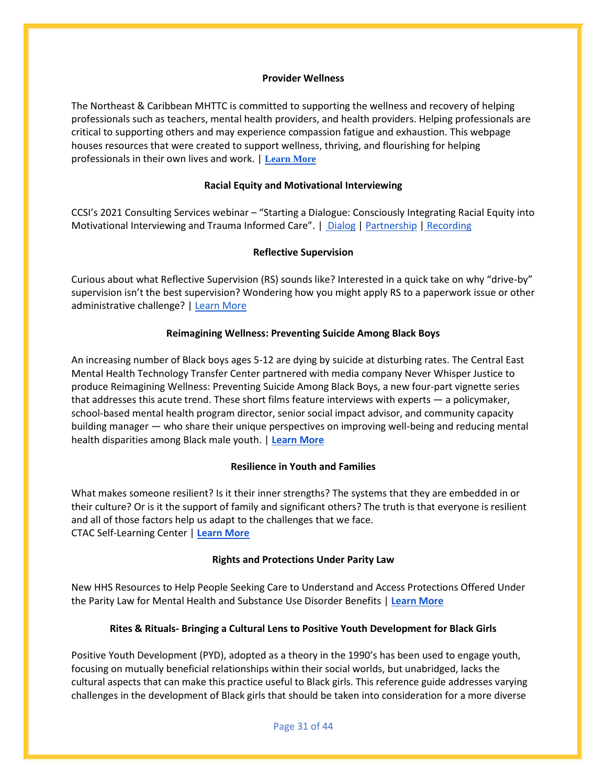#### **Provider Wellness**

The Northeast & Caribbean MHTTC is committed to supporting the wellness and recovery of helping professionals such as teachers, mental health providers, and health providers. Helping professionals are critical to supporting others and may experience compassion fatigue and exhaustion. This webpage houses resources that were created to support wellness, thriving, and flourishing for helping professionals in their own lives and work. | **[Learn More](https://mhttcnetwork.org/centers/northeast-caribbean-mhttc/provider-wellness-0)**

#### **Racial Equity and Motivational Interviewing**

CCSI's 2021 Consulting Services webinar – "Starting a Dialogue: Consciously Integrating Racial Equity into Motivational Interviewing and Trauma Informed Care". | [Dialog](https://aps-community.org/wp-content/uploads/2022/03/030322-CCSI-Dialogue-Consciously-integrating-racial-equity-into-MI-and-TIC-03.17.21.pdf) [| Partnership](https://aps-community.org/wp-content/uploads/2022/03/030322-CCSI-Dynamics_PartnershipModel.pdf) | [Recording](https://vimeo.com/525544786)

#### **Reflective Supervision**

Curious about what Reflective Supervision (RS) sounds like? Interested in a quick take on why "drive-by" supervision isn't the best supervision? Wondering how you might apply RS to a paperwork issue or other administrative challenge? [| Learn More](https://aps-community.org/wp-content/uploads/2022/03/030322-Reflective-Supervision.pdf)

#### **Reimagining Wellness: Preventing Suicide Among Black Boys**

An increasing number of Black boys ages 5-12 are dying by suicide at disturbing rates. The Central East Mental Health Technology Transfer Center partnered with media company Never Whisper Justice to produce Reimagining Wellness: Preventing Suicide Among Black Boys, a new four-part vignette series that addresses this acute trend. These short films feature interviews with experts ― a policymaker, school-based mental health program director, senior social impact advisor, and community capacity building manager ― who share their unique perspectives on improving well-being and reducing mental health disparities among Black male youth. | **[Learn More](https://mhttcnetwork.org/centers/central-east-mhttc/reimagining-wellness-preventing-suicide-among-black-boys-vignette-series)**

#### **Resilience in Youth and Families**

What makes someone resilient? Is it their inner strengths? The systems that they are embedded in or their culture? Or is it the support of family and significant others? The truth is that everyone is resilient and all of those factors help us adapt to the challenges that we face. CTAC Self-Learning Center | **[Learn More](https://mcsilverinstituteatnyusilver.cmail20.com/t/ViewEmail/i/8DDCB12F9BCBE43E2540EF23F30FEDED/28660558CACD6096765E7602346EC846?alternativeLink=False)**

#### **Rights and Protections Under Parity Law**

New HHS Resources to Help People Seeking Care to Understand and Access Protections Offered Under the Parity Law for Mental Health and Substance Use Disorder Benefits | **[Learn More](https://mailchi.mp/health-emailupdates/hhss-new-mental-health-and-substance-use-disorder-benefit-resources-will-help-people-seeking-care-to-better-understand-their-rights?e=45496be61f)**

#### **Rites & Rituals- Bringing a Cultural Lens to Positive Youth Development for Black Girls**

Positive Youth Development (PYD), adopted as a theory in the 1990's has been used to engage youth, focusing on mutually beneficial relationships within their social worlds, but unabridged, lacks the cultural aspects that can make this practice useful to Black girls. This reference guide addresses varying challenges in the development of Black girls that should be taken into consideration for a more diverse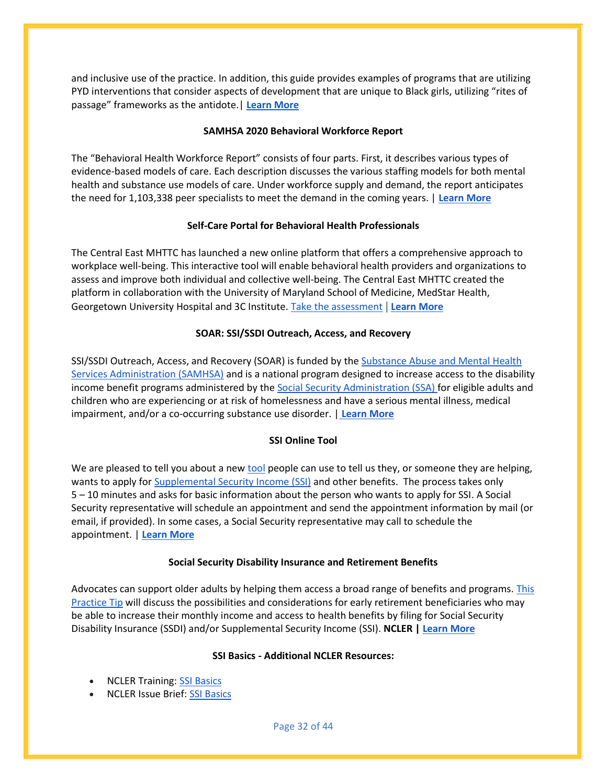and inclusive use of the practice. In addition, this guide provides examples of programs that are utilizing PYD interventions that consider aspects of development that are unique to Black girls, utilizing "rites of passage" frameworks as the antidote.| **[Learn More](https://mhttcnetwork.org/centers/central-east-mhttc/product/rites-rituals-bringing-cultural-lens-positive-youth-development)**

#### **SAMHSA 2020 Behavioral Workforce Report**

The "Behavioral Health Workforce Report" consists of four parts. First, it describes various types of evidence-based models of care. Each description discusses the various staffing models for both mental health and substance use models of care. Under workforce supply and demand, the report anticipates the need for 1,103,338 peer specialists to meet the demand in the coming years. | **[Learn](https://annapoliscoalition.org/wp-content/uploads/2021/03/behavioral-health-workforce-report-SAMHSA-2.pdf) More**

## **Self-Care Portal for Behavioral Health Professionals**

The Central East MHTTC has launched a new online platform that offers a comprehensive approach to workplace well-being. This interactive tool will enable behavioral health providers and organizations to assess and improve both individual and collective well-being. The Central East MHTTC created the platform in collaboration with the University of Maryland School of Medicine, MedStar Health, Georgetown University Hospital and 3C Institute. [Take the assessment](http://www.providerwellbeing.org/) | **[Learn More](https://mhttcnetwork.org/centers/central-east-mhttc/new-self-care-portal-behavioral-health-professionals-now-available)**

### **SOAR: SSI/SSDI Outreach, Access, and Recovery**

SSI/SSDI Outreach, Access, and Recovery (SOAR) is funded by th[e Substance Abuse and Mental Health](http://www.samhsa.gov/)  [Services Administration \(SAMHSA\)](http://www.samhsa.gov/) and is a national program designed to increase access to the disability income benefit programs administered by th[e Social Security Administration \(SSA\) f](http://www.ssa.gov/)or eligible adults and children who are experiencing or at risk of homelessness and have a serious mental illness, medical impairment, and/or a co-occurring substance use disorder. | **[Learn More](https://soarworks.samhsa.gov/)**

#### **SSI Online Tool**

We are pleased to tell you about a new [tool](https://nam02.safelinks.protection.outlook.com/?url=https%3A%2F%2Fwww.ssa.gov%2Fbenefits%2Fssi%2Fstart.html&data=05%7C01%7Crmc277%40shp.rutgers.edu%7Cd92fcebeb52641a9f3b008da22c07cc5%7Cb92d2b234d35447093ff69aca6632ffe%7C1%7C0%7C637860507363011477%7CUnknown%7CTWFpbGZsb3d8eyJWIjoiMC4wLjAwMDAiLCJQIjoiV2luMzIiLCJBTiI6Ik1haWwiLCJXVCI6Mn0%3D%7C3000%7C%7C%7C&sdata=Goc1x2mW0sbzGpJNN1opXnmALd8wQVhpYnmJH6fFPL0%3D&reserved=0) people can use to tell us they, or someone they are helping, wants to apply fo[r Supplemental Security Income \(SSI\)](https://nam02.safelinks.protection.outlook.com/?url=https%3A%2F%2Fwww.ssa.gov%2Fbenefits%2Fssi%2F&data=05%7C01%7Crmc277%40shp.rutgers.edu%7Cd92fcebeb52641a9f3b008da22c07cc5%7Cb92d2b234d35447093ff69aca6632ffe%7C1%7C0%7C637860507363011477%7CUnknown%7CTWFpbGZsb3d8eyJWIjoiMC4wLjAwMDAiLCJQIjoiV2luMzIiLCJBTiI6Ik1haWwiLCJXVCI6Mn0%3D%7C3000%7C%7C%7C&sdata=ywQdOzx4isy4QqctdpXqvF2fYBuhfYPAHbarfZJN9KA%3D&reserved=0) and other benefits. The process takes only 5 – 10 minutes and asks for basic information about the person who wants to apply for SSI. A Social Security representative will schedule an appointment and send the appointment information by mail (or email, if provided). In some cases, a Social Security representative may call to schedule the appointment. | **[Learn More](https://aps-community.org/wp-content/uploads/2022/04/042122-SSI-Tool.pdf)**

#### **Social Security Disability Insurance and Retirement Benefits**

Advocates can support older adults by helping them access a broad range of benefits and programs. [This](https://nam02.safelinks.protection.outlook.com/?url=https%3A%2F%2Fdefault.salsalabs.org%2FT2c8bc06b-ae9f-490d-a3ac-4aa328dd023c%2F7c5939de-ddb2-492f-8f8c-2b0be1c6d139&data=04%7C01%7Crmc277%40shp.rutgers.edu%7Cf07392e16baa41650a6708d8da8f194e%7Cb92d2b234d35447093ff69aca6632ffe%7C1%7C1%7C637499655426635914%7CUnknown%7CTWFpbGZsb3d8eyJWIjoiMC4wLjAwMDAiLCJQIjoiV2luMzIiLCJBTiI6Ik1haWwiLCJXVCI6Mn0%3D%7C3000&sdata=AEAyHgKuEKIy7jTPlRmRMLtevA7xHd67nyhzzzKxFh8%3D&reserved=0)  [Practice Tip](https://nam02.safelinks.protection.outlook.com/?url=https%3A%2F%2Fdefault.salsalabs.org%2FT2c8bc06b-ae9f-490d-a3ac-4aa328dd023c%2F7c5939de-ddb2-492f-8f8c-2b0be1c6d139&data=04%7C01%7Crmc277%40shp.rutgers.edu%7Cf07392e16baa41650a6708d8da8f194e%7Cb92d2b234d35447093ff69aca6632ffe%7C1%7C1%7C637499655426635914%7CUnknown%7CTWFpbGZsb3d8eyJWIjoiMC4wLjAwMDAiLCJQIjoiV2luMzIiLCJBTiI6Ik1haWwiLCJXVCI6Mn0%3D%7C3000&sdata=AEAyHgKuEKIy7jTPlRmRMLtevA7xHd67nyhzzzKxFh8%3D&reserved=0) will discuss the possibilities and considerations for early retirement beneficiaries who may be able to increase their monthly income and access to health benefits by filing for Social Security Disability Insurance (SSDI) and/or Supplemental Security Income (SSI). **NCLER [| Learn More](https://aps-community.org/wp-content/uploads/2022/03/033122-NCLER-SSI-Benefits.pdf)**

#### **SSI Basics - Additional NCLER Resources:**

- NCLER Training: [SSI Basics](https://nam02.safelinks.protection.outlook.com/?url=https%3A%2F%2Fdefault.salsalabs.org%2FT6ab2853b-c702-4688-92b5-506f75755df8%2Fcc9f68e0-5ca3-4753-8b0a-258fe6ffcc07&data=04%7C01%7Crmc277%40shp.rutgers.edu%7C114e88c719e34227bd4508da1338defd%7Cb92d2b234d35447093ff69aca6632ffe%7C1%7C0%7C637843433274873958%7CUnknown%7CTWFpbGZsb3d8eyJWIjoiMC4wLjAwMDAiLCJQIjoiV2luMzIiLCJBTiI6Ik1haWwiLCJXVCI6Mn0%3D%7C3000&sdata=EO9CLTRF2Nbx7CRR2DWfTm0i2g7iwSEGQKiV2gkQjA4%3D&reserved=0)
- NCLER Issue Brief: [SSI Basics](https://nam02.safelinks.protection.outlook.com/?url=https%3A%2F%2Fdefault.salsalabs.org%2FT00e29045-4ea5-4738-aae9-c3293795fe2a%2Fcc9f68e0-5ca3-4753-8b0a-258fe6ffcc07&data=04%7C01%7Crmc277%40shp.rutgers.edu%7C114e88c719e34227bd4508da1338defd%7Cb92d2b234d35447093ff69aca6632ffe%7C1%7C0%7C637843433274873958%7CUnknown%7CTWFpbGZsb3d8eyJWIjoiMC4wLjAwMDAiLCJQIjoiV2luMzIiLCJBTiI6Ik1haWwiLCJXVCI6Mn0%3D%7C3000&sdata=BXdZUJS4abHekWFozbOvKA9wUlC8eQKgqMADAKucFJY%3D&reserved=0)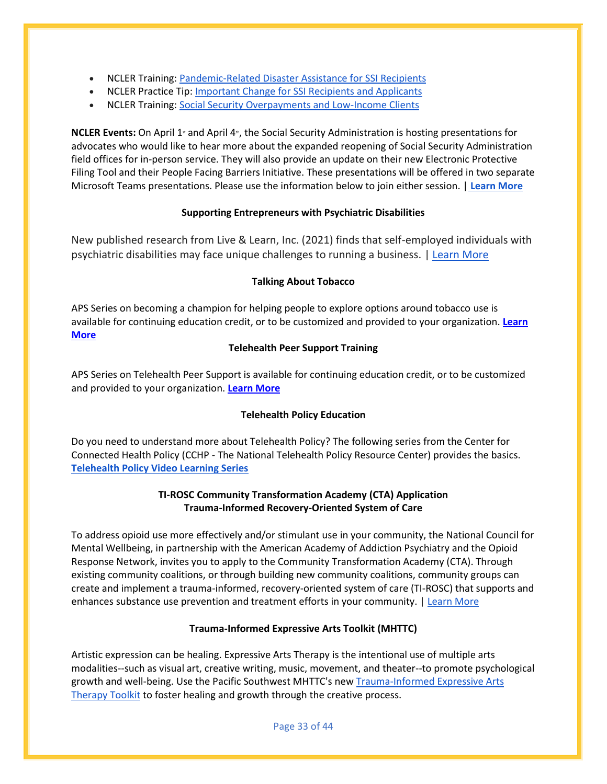- NCLER Training: [Pandemic-Related Disaster Assistance for SSI Recipients](https://nam02.safelinks.protection.outlook.com/?url=https%3A%2F%2Fdefault.salsalabs.org%2FTf7c7334e-faa3-4619-8deb-19f3e24387e5%2Fcc9f68e0-5ca3-4753-8b0a-258fe6ffcc07&data=04%7C01%7Crmc277%40shp.rutgers.edu%7C114e88c719e34227bd4508da1338defd%7Cb92d2b234d35447093ff69aca6632ffe%7C1%7C0%7C637843433274873958%7CUnknown%7CTWFpbGZsb3d8eyJWIjoiMC4wLjAwMDAiLCJQIjoiV2luMzIiLCJBTiI6Ik1haWwiLCJXVCI6Mn0%3D%7C3000&sdata=YMyMvfVzUu5DLUNT3iyhukUjsKnjMf7Ivm2igiW6aHs%3D&reserved=0)
- NCLER Practice Tip: [Important Change for SSI Recipients and Applicants](https://nam02.safelinks.protection.outlook.com/?url=https%3A%2F%2Fdefault.salsalabs.org%2FTed5da88b-c85a-4fcc-98be-38b1f83bc06b%2Fcc9f68e0-5ca3-4753-8b0a-258fe6ffcc07&data=04%7C01%7Crmc277%40shp.rutgers.edu%7C114e88c719e34227bd4508da1338defd%7Cb92d2b234d35447093ff69aca6632ffe%7C1%7C0%7C637843433274873958%7CUnknown%7CTWFpbGZsb3d8eyJWIjoiMC4wLjAwMDAiLCJQIjoiV2luMzIiLCJBTiI6Ik1haWwiLCJXVCI6Mn0%3D%7C3000&sdata=xO%2FOyjC6JmPR1cOdWz%2F14bNVoxcyfEBYtWjjOEzLnlA%3D&reserved=0)
- NCLER Training: [Social Security Overpayments and Low-Income Clients](https://nam02.safelinks.protection.outlook.com/?url=https%3A%2F%2Fdefault.salsalabs.org%2FT70c4954c-74e5-4964-bb12-57db71ce91f7%2Fcc9f68e0-5ca3-4753-8b0a-258fe6ffcc07&data=04%7C01%7Crmc277%40shp.rutgers.edu%7C114e88c719e34227bd4508da1338defd%7Cb92d2b234d35447093ff69aca6632ffe%7C1%7C0%7C637843433274873958%7CUnknown%7CTWFpbGZsb3d8eyJWIjoiMC4wLjAwMDAiLCJQIjoiV2luMzIiLCJBTiI6Ik1haWwiLCJXVCI6Mn0%3D%7C3000&sdata=S0zgiL%2F9b5NPahJyWL3rivVP1ZjPY8EqL9z1n3l1ZHc%3D&reserved=0)

**NCLER Events:** On April 1<sup>st</sup> and April 4<sup>th</sup>, the Social Security Administration is hosting presentations for advocates who would like to hear more about the expanded reopening of Social Security Administration field offices for in-person service. They will also provide an update on their new Electronic Protective Filing Tool and their People Facing Barriers Initiative. These presentations will be offered in two separate Microsoft Teams presentations. Please use the information below to join either session. | **[Learn More](https://aps-community.org/wp-content/uploads/2022/03/033122-NCLER-SSI-Tool.pdf)**

#### **Supporting Entrepreneurs with Psychiatric Disabilities**

New published research from Live & Learn, Inc. (2021) finds that self-employed individuals with psychiatric disabilities may face unique challenges to running a business. | [Learn More](https://aps-community.org/wp-content/uploads/2022/03/030322-Reclaiming-Employment.pdf)

#### **Talking About Tobacco**

APS Series on becoming a champion for helping people to explore options around tobacco use is available for continuing education credit, or to be customized and provided to your organization. **[Learn](https://aps-community.org/webinars-recorded/)  [More](https://aps-community.org/webinars-recorded/)**

#### **Telehealth Peer Support Training**

APS Series on Telehealth Peer Support is available for continuing education credit, or to be customized and provided to your organization. **[Learn More](https://aps-community.org/resources/telehealth-peer-support-thps/)**

#### **Telehealth Policy Education**

Do you need to understand more about Telehealth Policy? The following series from the Center for Connected Health Policy (CCHP - The National Telehealth Policy Resource Center) provides the basics. **[Telehealth Policy Video Learning Series](https://www.cchpca.org/video-learning-series/)**

### **TI-ROSC Community Transformation Academy (CTA) Application Trauma-Informed Recovery-Oriented System of Care**

To address opioid use more effectively and/or stimulant use in your community, the National Council for Mental Wellbeing, in partnership with the American Academy of Addiction Psychiatry and the Opioid Response Network, invites you to apply to the Community Transformation Academy (CTA). Through existing community coalitions, or through building new community coalitions, community groups can create and implement a trauma-informed, recovery-oriented system of care (TI-ROSC) that supports and enhances substance use prevention and treatment efforts in your community. | [Learn More](https://assets.sites.bsu.edu/wp-content/uploads/sites/39/2021/06/22101847/Indiana-FSSA-Trauma-Informed-Care.pdf)

#### **Trauma-Informed Expressive Arts Toolkit (MHTTC)**

Artistic expression can be healing. Expressive Arts Therapy is the intentional use of multiple arts modalities--such as visual art, creative writing, music, movement, and theater--to promote psychological growth and well-being. Use the Pacific Southwest MHTTC's new [Trauma-Informed Expressive Arts](https://r20.rs6.net/tn.jsp?f=001YSBpvPlGR1SbSM1YDuu5jRnO4Ua9Y0C8r6jlDCJ446L-qE84Uun2WIAcJbBCF512JGUNmv-Vi2PfpTO6qiQ8cJ9FIaUKFsbt0P8gzanYd_QCSoHp16KDhr6_FncEdHjSOax4ikgZcrOGwIJpT_vUEux42GdXnBqIht8dkoCL5QETa3pJLLfa-VPHNbUNi0_ehNBNkhRqZZfad1PIGevwq2BKZHXLGPi0Ax3cAh9y763tAkbRrTDMcCf1n841uQoy81K3_vs3Z5k=&c=hnfAPK8EeCM_QFaXvyidt82W_ESRGZbBPqY8FL8mVmDI0aKdipGR3w==&ch=skbX5arEFLjlJEguTG1oU7jJPbwA64YklBhSDaDW459fkEyqOnuv6Q==)  [Therapy Toolkit](https://r20.rs6.net/tn.jsp?f=001YSBpvPlGR1SbSM1YDuu5jRnO4Ua9Y0C8r6jlDCJ446L-qE84Uun2WIAcJbBCF512JGUNmv-Vi2PfpTO6qiQ8cJ9FIaUKFsbt0P8gzanYd_QCSoHp16KDhr6_FncEdHjSOax4ikgZcrOGwIJpT_vUEux42GdXnBqIht8dkoCL5QETa3pJLLfa-VPHNbUNi0_ehNBNkhRqZZfad1PIGevwq2BKZHXLGPi0Ax3cAh9y763tAkbRrTDMcCf1n841uQoy81K3_vs3Z5k=&c=hnfAPK8EeCM_QFaXvyidt82W_ESRGZbBPqY8FL8mVmDI0aKdipGR3w==&ch=skbX5arEFLjlJEguTG1oU7jJPbwA64YklBhSDaDW459fkEyqOnuv6Q==) to foster healing and growth through the creative process.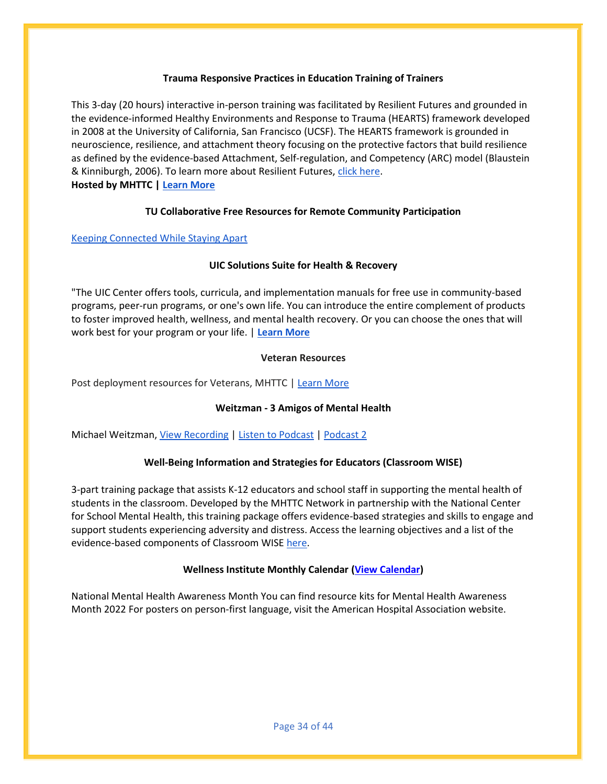#### **Trauma Responsive Practices in Education Training of Trainers**

This 3-day (20 hours) interactive in-person training was facilitated by Resilient Futures and grounded in the evidence-informed Healthy Environments and Response to Trauma (HEARTS) framework developed in 2008 at the University of California, San Francisco (UCSF). The HEARTS framework is grounded in neuroscience, resilience, and attachment theory focusing on the protective factors that build resilience as defined by the evidence-based Attachment, Self-regulation, and Competency (ARC) model (Blaustein & Kinniburgh, 2006). To learn more about Resilient Futures, [click here.](https://www.resilientfutures.us/expertise/hearts-framework/) **Hosted by MHTTC | [Learn More](https://mhttcnetwork.org/centers/mountain-plains-mhttc/event/trauma-responsive-practices-education-training-trainers)**

### **TU Collaborative Free Resources for Remote Community Participation**

### [Keeping Connected While Staying Apart](http://www.tucollaborative.org/wp-content/uploads/Resources-for-Remote-Community-Participation.pdf)

### **UIC Solutions Suite for Health & Recovery**

"The UIC Center offers tools, curricula, and implementation manuals for free use in community-based programs, peer-run programs, or one's own life. You can introduce the entire complement of products to foster improved health, wellness, and mental health recovery. Or you can choose the ones that will work best for your program or your life. | **[Learn More](https://www.center4healthandsdc.org/solutions-suite.html)**

#### **Veteran Resources**

Post deployment resources for Veterans, MHTTC | [Learn More](https://myemail.constantcontact.com/New-Product-from-the-PS-MHTTC--Post-Deployment-Resources-for-Veterans.html?soid=1101289295579&aid=AfhpKg5CVf0)

## **Weitzman - 3 Amigos of Mental Health**

Michael Weitzman, [View Recording](https://youtu.be/vj4fCckJYEE) [| Listen to Podcast](https://youtu.be/DY0wHuG7qTA) [| Podcast 2](https://www.facebook.com/drrobb.kelly.1/videos/1870086693179640)

## **Well-Being Information and Strategies for Educators (Classroom WISE)**

3-part training package that assists K-12 educators and school staff in supporting the mental health of students in the classroom. Developed by the MHTTC Network in partnership with the National Center for School Mental Health, this training package offers evidence-based strategies and skills to engage and support students experiencing adversity and distress. Access the learning objectives and a list of the evidence-based components of Classroom WISE [here.](https://www.classroomwise.org/about-classroom-wise)

## **Wellness Institute Monthly Calendar [\(View Calendar\)](https://aps-community.org/wp-content/uploads/2022/05/050122-Wellness-Calendar-May-2022-calendar-5.pdf)**

National Mental Health Awareness Month You can find resource kits for Mental Health Awareness Month 2022 For posters on person-first language, visit the American Hospital Association website.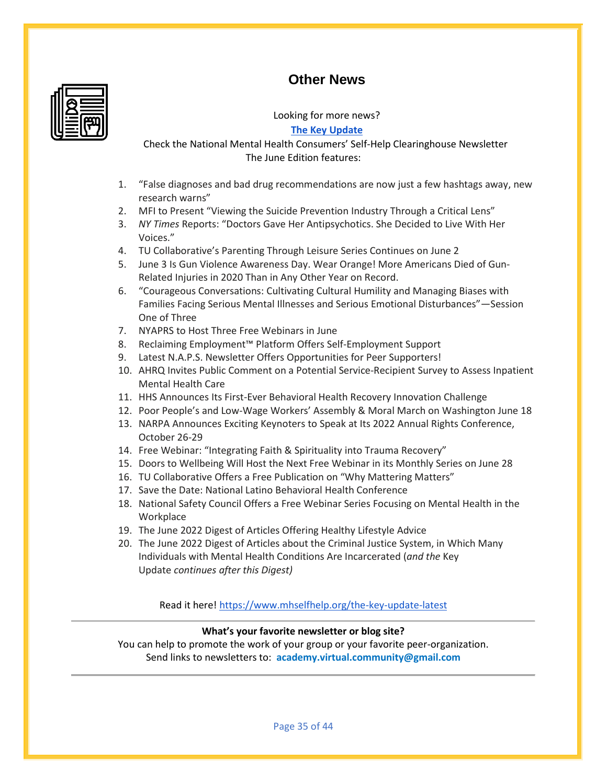## **Other News**



Looking for more news?

**[The Key Update](https://www.mhselfhelp.org/the-key-update-latest)**

Check the National Mental Health Consumers' Self-Help Clearinghouse Newsletter The June Edition features:

- 1. "False diagnoses and bad drug recommendations are now just a few hashtags away, new research warns"
- 2. MFI to Present "Viewing the Suicide Prevention Industry Through a Critical Lens"
- 3. *NY Times* Reports: "Doctors Gave Her Antipsychotics. She Decided to Live With Her Voices."
- 4. TU Collaborative's Parenting Through Leisure Series Continues on June 2
- 5. June 3 Is Gun Violence Awareness Day. Wear Orange! More Americans Died of Gun-Related Injuries in 2020 Than in Any Other Year on Record.
- 6. "Courageous Conversations: Cultivating Cultural Humility and Managing Biases with Families Facing Serious Mental Illnesses and Serious Emotional Disturbances"—Session One of Three
- 7. NYAPRS to Host Three Free Webinars in June
- 8. Reclaiming Employment™ Platform Offers Self-Employment Support
- 9. Latest N.A.P.S. Newsletter Offers Opportunities for Peer Supporters!
- 10. AHRQ Invites Public Comment on a Potential Service-Recipient Survey to Assess Inpatient Mental Health Care
- 11. HHS Announces Its First-Ever Behavioral Health Recovery Innovation Challenge
- 12. Poor People's and Low-Wage Workers' Assembly & Moral March on Washington June 18
- 13. NARPA Announces Exciting Keynoters to Speak at Its 2022 Annual Rights Conference, October 26-29
- 14. Free Webinar: "Integrating Faith & Spirituality into Trauma Recovery"
- 15. Doors to Wellbeing Will Host the Next Free Webinar in its Monthly Series on June 28
- 16. TU Collaborative Offers a Free Publication on "Why Mattering Matters"
- 17. Save the Date: National Latino Behavioral Health Conference
- 18. National Safety Council Offers a Free Webinar Series Focusing on Mental Health in the **Workplace**
- 19. The June 2022 Digest of Articles Offering Healthy Lifestyle Advice
- 20. The June 2022 Digest of Articles about the Criminal Justice System, in Which Many Individuals with Mental Health Conditions Are Incarcerated (*and the* Key Update *continues after this Digest)*

Read it here!<https://www.mhselfhelp.org/the-key-update-latest>

## **What's your favorite newsletter or blog site?**

You can help to promote the work of your group or your favorite peer-organization. Send links to newsletters to: **[academy.virtual.community@gmail.com](mailto:academy.virtual.community@gmail.com)**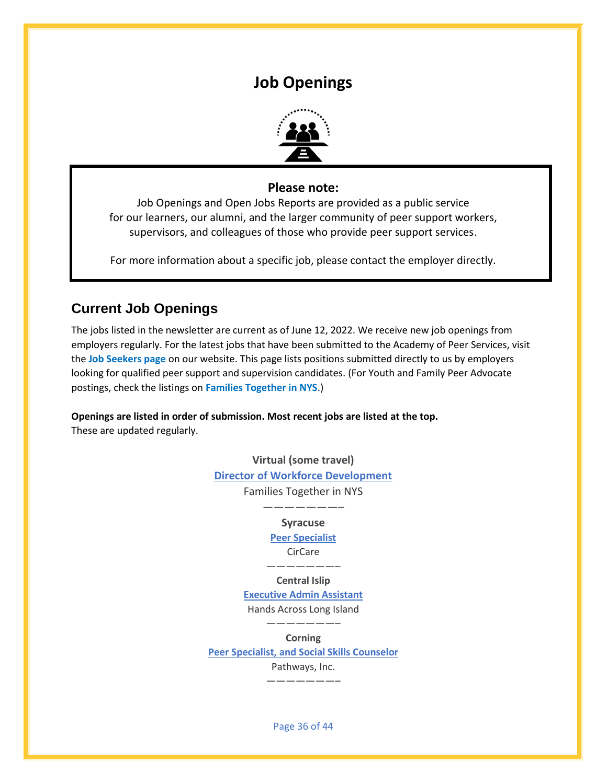## **Job Openings**



## **Please note:**

<span id="page-35-0"></span>Job Openings and Open Jobs Reports are provided as a public service for our learners, our alumni, and the larger community of peer support workers, supervisors, and colleagues of those who provide peer support services.

For more information about a specific job, please contact the employer directly.

## **Current Job Openings**

The jobs listed in the newsletter are current as of June 12, 2022. We receive new job openings from employers regularly. For the latest jobs that have been submitted to the Academy of Peer Services, visit the **[Job Seekers page](https://aps-community.org/job-board/)** on our website. This page lists positions submitted directly to us by employers looking for qualified peer support and supervision candidates. (Fo[r Youth and Family Peer Advocate](https://www.ftnys.org/workforce) postings, check the listings on **[Families Together in NYS](https://www.ftnys.org/workforce/employment-opportunities/)**.)

**Openings are listed in order of submission. Most recent jobs are listed at the top.** These are updated regularly.

> **Virtual (some travel) [Director of Workforce Development](https://aps-community.org/wp-content/uploads/2022/06/DirWorkforceDev.pdf)** Families Together in NYS

## ———————– **Syracuse**

**[Peer Specialist](https://cir.care/a-great-place-to-work/current-openings/)** CirCare

———————–

**Central Islip**

**[Executive Admin Assistant](https://aps-community.org/wp-content/uploads/2022/06/061222-HALI-Executive-Administrative-Assistant-Posting.pdf)** Hands Across Long Island

**Corning**

**[Peer Specialist, and Social Skills Counselor](https://aps-community.org/wp-content/uploads/2022/06/060922-Two-Peer-Positions-at-Pathways.pdf)**

———————–

Pathways, Inc.

———————–

Page 36 of 44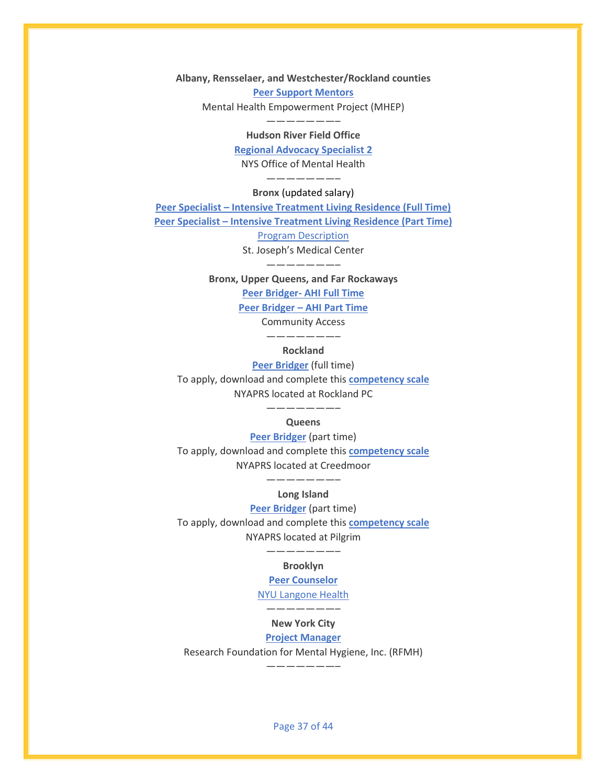**Albany, Rensselaer, and Westchester/Rockland counties [Peer Support Mentors](https://aps-community.org/wp-content/uploads/2022/06/060722-MHEP-Peer-Support-Mentor.pdf)** Mental Health Empowerment Project (MHEP)

#### ———————– **Hudson River Field Office**

**[Regional Advocacy Specialist 2](https://aps-community.org/wp-content/uploads/2022/06/Advocacy-Spec-2-12043-ListServMay22.pdf)** NYS Office of Mental Health

#### ———————– **Bronx** (updated salary)

**Peer Specialist – [Intensive Treatment Living Residence \(Full Time\)](https://aps-community.org/wp-content/uploads/2022/06/060722-ITLR-PEER-SPECIALIST-Full-Time.pdf) Peer Specialist – [Intensive Treatment Living Residence \(Part Time\)](https://aps-community.org/wp-content/uploads/2022/06/060722-ITLR-PEER-SPECIALIST-Part-Time.pdf)** [Program Description](https://aps-community.org/wp-content/uploads/2022/04/042822-ITLR-OMH-Program-Description.pdf)

> St. Joseph's Medical Center ———————–

**Bronx, Upper Queens, and Far Rockaways**

**Peer Bridger- [AHI Full Time](https://www.paycomonline.net/v4/ats/web.php/jobs/ViewJobDetails?job=14883&clientkey=06922CECDC6BCEA886D9E6BA634E5130)**

**Peer Bridger – [AHI Part Time](https://www.paycomonline.net/v4/ats/web.php/jobs/ViewJobDetails?job=14886&clientkey=06922CECDC6BCEA886D9E6BA634E5130)**

Community Access ———————–

#### **Rockland**

**[Peer Bridger](https://aps-community.org/wp-content/uploads/2022/04/042522-NYAPRS-Peer-Bridger-Job-Description.pdf)** (full time)

To apply, download and complete this **[competency scale](https://aps-community.org/wp-content/uploads/2022/04/042522-Peer-Bridger-Competency-Scale.docx)** NYAPRS located at Rockland PC

### ———————– **Queens**

**[Peer Bridger](https://aps-community.org/wp-content/uploads/2022/04/042522-NYAPRS-Peer-Bridger-Job-Description.pdf)** (part time) To apply, download and complete this **[competency scale](https://aps-community.org/wp-content/uploads/2022/04/042522-Peer-Bridger-Competency-Scale.docx)** NYAPRS located at Creedmoor

#### ———————– **Long Island**

**[Peer Bridger](https://aps-community.org/wp-content/uploads/2022/04/042522-NYAPRS-Peer-Bridger-Job-Description.pdf)** (part time)

To apply, download and complete this **[competency scale](https://aps-community.org/wp-content/uploads/2022/04/042522-Peer-Bridger-Competency-Scale.docx)** NYAPRS located at Pilgrim

## **Brooklyn**

———————–

#### **[Peer Counselor](https://jobs.nyulangone.org/job/14573096/peer-counselor-brooklyn-ny/)**

[NYU Langone Health](https://nyulangone.org/) ———————–

## **New York City**

## **[Project Manager](https://rfmh.applicantpro.com/jobs/2362704.html)**

Research Foundation for Mental Hygiene, Inc. (RFMH)

———————–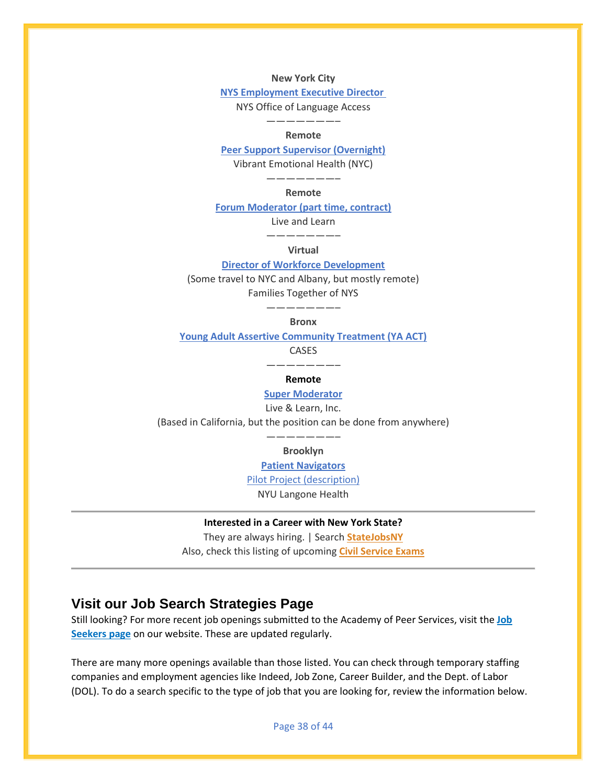**New York City**

**[NYS Employment Executive Director](https://aps-community.org/wp-content/uploads/2022/05/051122-NYS-Employment-Executive-Director-Position-NYS-Office-of-Language-Access.pdf)**

NYS Office of Language Access

#### ———————– **Remote**

**[Peer Support Supervisor \(Overnight\)](https://www.vibrant.org/get-involved/work-for-us/?gnk=job&gni=8a7887a87ed60000017ef9e213461eaf&lang=en)**

Vibrant Emotional Health (NYC)

#### ———————– **Remote**

**[Forum Moderator \(part time, contract\)](https://aps-community.org/wp-content/uploads/2022/05/051122-Forum-Moderator.pdf)**

Live and Learn

———————– **Virtual**

#### **[Director of Workforce Development](https://aps-community.org/wp-content/uploads/2022/05/051122-WFD-FTNYS.pdf)**

(Some travel to NYC and Albany, but mostly remote)

Families Together of NYS

———————–

**Bronx**

**[Young Adult Assertive Community Treatment \(YA ACT\)](https://jobs.smartrecruiters.com/CASES/743999803083398-peer-specialist-young-adult-assertive-community-treatment-ya-act-team)**

CASES

———————–

#### **Remote**

#### **[Super Moderator](https://www.idealist.org/en/business-job/04592210135441348b23a007c7fdcecf-super-moderator-live-learn-inc-morro-bay)**

Live & Learn, Inc.

(Based in California, but the position can be done from anywhere)

#### ———————– **Brooklyn**

**[Patient Navigators](https://jobs.nyulangone.org/job/13366327/patient-navigator-community-medicine-300-skillman-avenue-brooklyn-brooklyn-ny/)**

[Pilot Project \(description\)](https://aps-community.org/wp-content/uploads/2022/04/040122-Patient-Navigator-Program-Description.pdf)

NYU Langone Health

#### **Interested in a Career with New York State?**

They are always hiring. | Search **[StateJobsNY](https://statejobs.ny.gov/public/search.cfm)** Also, check this listing of upcoming **[Civil Service Exams](https://aps-community.org/wp-content/uploads/2022/04/042622-Civil-Service-Exams.pdf)**

## **Visit our Job Search Strategies Page**

Still looking? For more recent job openings submitted to the Academy of Peer Services, visit the **[Job](https://aps-community.org/job-board/)  [Seekers page](https://aps-community.org/job-board/)** on our website. These are updated regularly.

There are many more openings available than those listed. You can check through temporary staffing companies and employment agencies like Indeed, Job Zone, Career Builder, and the Dept. of Labor (DOL). To do a search specific to the type of job that you are looking for, review the information below.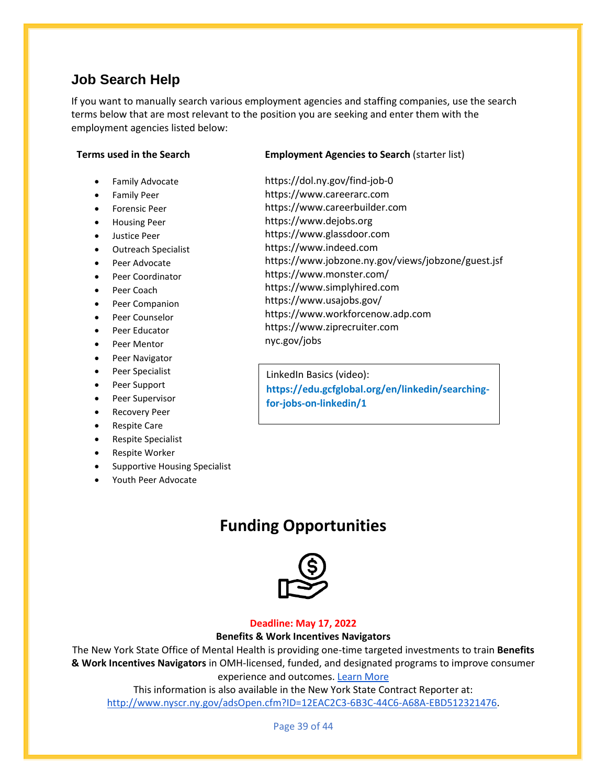## **Job Search Help**

If you want to manually search various employment agencies and staffing companies, use the search terms below that are most relevant to the position you are seeking and enter them with the employment agencies listed below:

#### **Terms used in the Search**

- Family Advocate
- Family Peer
- Forensic Peer
- Housing Peer
- Justice Peer
- Outreach Specialist
- Peer Advocate
- Peer Coordinator
- Peer Coach
- Peer Companion
- Peer Counselor
- Peer Educator
- Peer Mentor
- Peer Navigator
- Peer Specialist
- Peer Support
- Peer Supervisor
- Recovery Peer
- Respite Care
- Respite Specialist
- Respite Worker
- Supportive Housing Specialist
- <span id="page-38-0"></span>• Youth Peer Advocate

### **Employment Agencies to Search** (starter list)

[https://dol.ny.gov/find-job-0](https://nam02.safelinks.protection.outlook.com/?url=https%3A%2F%2Fdol.ny.gov%2Ffind-job-0&data=04%7C01%7Crmc277%40shp.rutgers.edu%7C798f7f283ce241c4626508d92a832a76%7Cb92d2b234d35447093ff69aca6632ffe%7C1%7C1%7C637587565103824405%7CUnknown%7CTWFpbGZsb3d8eyJWIjoiMC4wLjAwMDAiLCJQIjoiV2luMzIiLCJBTiI6Ik1haWwiLCJXVCI6Mn0%3D%7C1000&sdata=tFDPVAligleZhL9a9pEhFGIfeGuu9Uu6l6hAEguSf64%3D&reserved=0)  https:/[/www.careerarc.com](https://nam02.safelinks.protection.outlook.com/?url=http%3A%2F%2Fwww.careerarc.com%2F&data=04%7C01%7Crmc277%40shp.rutgers.edu%7C798f7f283ce241c4626508d92a832a76%7Cb92d2b234d35447093ff69aca6632ffe%7C1%7C1%7C637587565103834366%7CUnknown%7CTWFpbGZsb3d8eyJWIjoiMC4wLjAwMDAiLCJQIjoiV2luMzIiLCJBTiI6Ik1haWwiLCJXVCI6Mn0%3D%7C1000&sdata=eEjIo%2F3AJb5oAQsagWjTKH48VMrEUD4T17fW9a2r%2FH8%3D&reserved=0) 

- https:/[/www.careerbuilder.com](https://nam02.safelinks.protection.outlook.com/?url=http%3A%2F%2Fwww.careerbuilder.com%2F&data=04%7C01%7Crmc277%40shp.rutgers.edu%7C798f7f283ce241c4626508d92a832a76%7Cb92d2b234d35447093ff69aca6632ffe%7C1%7C1%7C637587565103834366%7CUnknown%7CTWFpbGZsb3d8eyJWIjoiMC4wLjAwMDAiLCJQIjoiV2luMzIiLCJBTiI6Ik1haWwiLCJXVCI6Mn0%3D%7C1000&sdata=N%2F%2FRPTi%2F0ehT6KfoXehQWx68GlegQSlkmwOoAjMRA44%3D&reserved=0) https:/[/www.dejobs.org](https://nam02.safelinks.protection.outlook.com/?url=http%3A%2F%2Fwww.dejobs.org%2F&data=04%7C01%7Crmc277%40shp.rutgers.edu%7C798f7f283ce241c4626508d92a832a76%7Cb92d2b234d35447093ff69aca6632ffe%7C1%7C1%7C637587565103844319%7CUnknown%7CTWFpbGZsb3d8eyJWIjoiMC4wLjAwMDAiLCJQIjoiV2luMzIiLCJBTiI6Ik1haWwiLCJXVCI6Mn0%3D%7C1000&sdata=NUSG0bLg2VCo%2BNB7WOaoHawDzQs6T7Apv%2BMTh9UkTwA%3D&reserved=0)
- https:/[/www.glassdoor.com](https://nam02.safelinks.protection.outlook.com/?url=http%3A%2F%2Fwww.glassdoor.com%2F&data=04%7C01%7Crmc277%40shp.rutgers.edu%7C798f7f283ce241c4626508d92a832a76%7Cb92d2b234d35447093ff69aca6632ffe%7C1%7C1%7C637587565103844319%7CUnknown%7CTWFpbGZsb3d8eyJWIjoiMC4wLjAwMDAiLCJQIjoiV2luMzIiLCJBTiI6Ik1haWwiLCJXVCI6Mn0%3D%7C1000&sdata=cdUYzqBjCInzYZ6v9ZACwFdmWc8r9s%2BvtJqtPcvbnfc%3D&reserved=0)
- https:/[/www.indeed.com](https://nam02.safelinks.protection.outlook.com/?url=http%3A%2F%2Fwww.indeed.com%2F&data=04%7C01%7Crmc277%40shp.rutgers.edu%7C798f7f283ce241c4626508d92a832a76%7Cb92d2b234d35447093ff69aca6632ffe%7C1%7C1%7C637587565103854268%7CUnknown%7CTWFpbGZsb3d8eyJWIjoiMC4wLjAwMDAiLCJQIjoiV2luMzIiLCJBTiI6Ik1haWwiLCJXVCI6Mn0%3D%7C1000&sdata=uf31QYm%2BDAQ3fidPGkw8%2B6%2BSYesiOdCniz5r0mots0Y%3D&reserved=0)
- [https://www.jobzone.ny.gov/views/jobzone/guest.jsf](https://nam02.safelinks.protection.outlook.com/?url=https%3A%2F%2Fwww.jobzone.ny.gov%2Fviews%2Fjobzone%2Fguest.jsf&data=04%7C01%7Crmc277%40shp.rutgers.edu%7C798f7f283ce241c4626508d92a832a76%7Cb92d2b234d35447093ff69aca6632ffe%7C1%7C1%7C637587565103854268%7CUnknown%7CTWFpbGZsb3d8eyJWIjoiMC4wLjAwMDAiLCJQIjoiV2luMzIiLCJBTiI6Ik1haWwiLCJXVCI6Mn0%3D%7C1000&sdata=UNS0ibXHx0mOL0vzFG%2FBylPCsRYz8qxVkFIXwR%2BFNE8%3D&reserved=0)
- [https://www.monster.com/](https://nam02.safelinks.protection.outlook.com/?url=https%3A%2F%2Fwww.monster.com%2F&data=04%7C01%7Crmc277%40shp.rutgers.edu%7C798f7f283ce241c4626508d92a832a76%7Cb92d2b234d35447093ff69aca6632ffe%7C1%7C1%7C637587565103854268%7CUnknown%7CTWFpbGZsb3d8eyJWIjoiMC4wLjAwMDAiLCJQIjoiV2luMzIiLCJBTiI6Ik1haWwiLCJXVCI6Mn0%3D%7C1000&sdata=mW38CRwmeZVhUi%2ByDAn1R%2FJSQMKFC6tt%2F6yGjwZCqiQ%3D&reserved=0)
- https:/[/www.simplyhired.com](https://nam02.safelinks.protection.outlook.com/?url=http%3A%2F%2Fwww.simplyhired.com%2F&data=04%7C01%7Crmc277%40shp.rutgers.edu%7C798f7f283ce241c4626508d92a832a76%7Cb92d2b234d35447093ff69aca6632ffe%7C1%7C1%7C637587565103864225%7CUnknown%7CTWFpbGZsb3d8eyJWIjoiMC4wLjAwMDAiLCJQIjoiV2luMzIiLCJBTiI6Ik1haWwiLCJXVCI6Mn0%3D%7C1000&sdata=HxZsfOt3WKdeq3GTGR4MHsispUl4Yg1UMgNPoqaWsnE%3D&reserved=0)
- [https://www.usajobs.gov/](https://nam02.safelinks.protection.outlook.com/?url=https%3A%2F%2Fwww.usajobs.gov%2F&data=04%7C01%7Crmc277%40shp.rutgers.edu%7C798f7f283ce241c4626508d92a832a76%7Cb92d2b234d35447093ff69aca6632ffe%7C1%7C1%7C637587565103864225%7CUnknown%7CTWFpbGZsb3d8eyJWIjoiMC4wLjAwMDAiLCJQIjoiV2luMzIiLCJBTiI6Ik1haWwiLCJXVCI6Mn0%3D%7C1000&sdata=aEyjMS9wZKbhqaKdeUyCLGjKXS5xGkciq%2FqAj669dzw%3D&reserved=0)
- https:/[/www.workforcenow.adp.com](https://nam02.safelinks.protection.outlook.com/?url=http%3A%2F%2Fwww.workforcenow.adp.com%2F&data=04%7C01%7Crmc277%40shp.rutgers.edu%7C798f7f283ce241c4626508d92a832a76%7Cb92d2b234d35447093ff69aca6632ffe%7C1%7C1%7C637587565103874176%7CUnknown%7CTWFpbGZsb3d8eyJWIjoiMC4wLjAwMDAiLCJQIjoiV2luMzIiLCJBTiI6Ik1haWwiLCJXVCI6Mn0%3D%7C1000&sdata=MjtmwNu4RsoQK3heKcXeInvLH7PU43KvUPJr9jE%2F9eU%3D&reserved=0)
- https:/[/www.ziprecruiter.com](https://nam02.safelinks.protection.outlook.com/?url=http%3A%2F%2Fwww.ziprecruiter.com%2F&data=04%7C01%7Crmc277%40shp.rutgers.edu%7C798f7f283ce241c4626508d92a832a76%7Cb92d2b234d35447093ff69aca6632ffe%7C1%7C1%7C637587565103874176%7CUnknown%7CTWFpbGZsb3d8eyJWIjoiMC4wLjAwMDAiLCJQIjoiV2luMzIiLCJBTiI6Ik1haWwiLCJXVCI6Mn0%3D%7C1000&sdata=S07ZC7VqN2T42xgbBsxQN0N4FB15kEo0D1tS2t2kgUk%3D&reserved=0)
- nyc.gov/jobs

LinkedIn Basics (video): **[https://edu.gcfglobal.org/en/linkedin/searching](https://edu.gcfglobal.org/en/linkedin/searching-for-jobs-on-linkedin/1)[for-jobs-on-linkedin/1](https://edu.gcfglobal.org/en/linkedin/searching-for-jobs-on-linkedin/1)**

## **Funding Opportunities**



#### **Deadline: May 17, 2022**

#### **Benefits & Work Incentives Navigators**

The New York State Office of Mental Health is providing one-time targeted investments to train **Benefits & Work Incentives Navigators** in OMH-licensed, funded, and designated programs to improve consumer experience and outcomes. [Learn More](https://aps-community.org/wp-content/uploads/2022/03/RFA-Benefits-and-Work-Incentives-Navigator.pdf)

This information is also available in the New York State Contract Reporter at: [http://www.nyscr.ny.gov/adsOpen.cfm?ID=12EAC2C3-6B3C-44C6-A68A-EBD512321476.](https://nam02.safelinks.protection.outlook.com/?url=http%3A%2F%2Fwww.nyscr.ny.gov%2FadsOpen.cfm%3FID%3D12EAC2C3-6B3C-44C6-A68A-EBD512321476&data=04%7C01%7Crmc277%40shp.rutgers.edu%7C2f5594a321ce4fb963bc08da07b44103%7Cb92d2b234d35447093ff69aca6632ffe%7C1%7C0%7C637830768055320368%7CUnknown%7CTWFpbGZsb3d8eyJWIjoiMC4wLjAwMDAiLCJQIjoiV2luMzIiLCJBTiI6Ik1haWwiLCJXVCI6Mn0%3D%7C3000&sdata=Wt25ytiW%2BqiY4aFayY6xh2BtloX%2FRMNuEcILXl0RWXY%3D&reserved=0)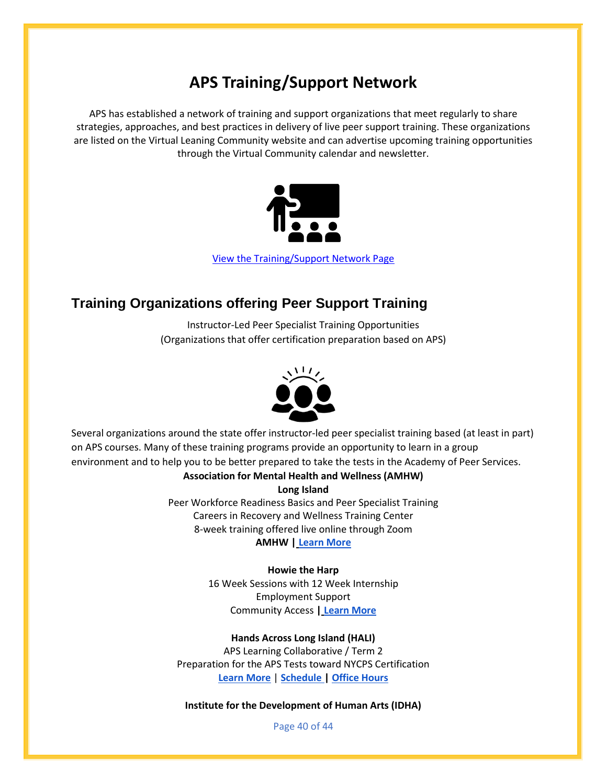# **APS Training/Support Network**

<span id="page-39-0"></span>APS has established a network of training and support organizations that meet regularly to share strategies, approaches, and best practices in delivery of live peer support training. These organizations are listed on the Virtual Leaning Community website and can advertise upcoming training opportunities through the Virtual Community calendar and newsletter.



[View the Training/Support Network Page](https://aps-community.org/training-network/)

## **Training Organizations offering Peer Support Training**

Instructor-Led Peer Specialist Training Opportunities (Organizations that offer certification preparation based on APS)



Several organizations around the state offer instructor-led peer specialist training based (at least in part) on APS courses. Many of these training programs provide an opportunity to learn in a group environment and to help you to be better prepared to take the tests in the Academy of Peer Services.

**Association for Mental Health and Wellness (AMHW)**

**Long Island**

Peer Workforce Readiness Basics and Peer Specialist Training Careers in Recovery and Wellness Training Center 8-week training offered live online through Zoom **AMHW | [Learn More](http://mhaw.org/services/education-training/peer-specialist-training/)**

#### **Howie the Harp**

16 Week Sessions with 12 Week Internship Employment Support Community Access **| [Learn More](https://www.communityaccess.org/our-work/educationajobreadiness/howie-the-harp)**

#### **Hands Across Long Island (HALI)**

APS Learning Collaborative / Term 2 Preparation for the APS Tests toward NYCPS Certification **[Learn More](https://aps-community.org/wp-content/uploads/2022/04/033122-APS-Learning-Collab-term2.22.pdf)** | **[Schedule |](https://aps-community.org/wp-content/uploads/2022/04/033122-APSLearning-Collab-schedule.term2_.22.pdf) [Office Hours](https://aps-community.org/wp-content/uploads/2022/04/033122-APSLC-office-hours.docx.pdf)**

**Institute for the Development of Human Arts (IDHA)**

Page 40 of 44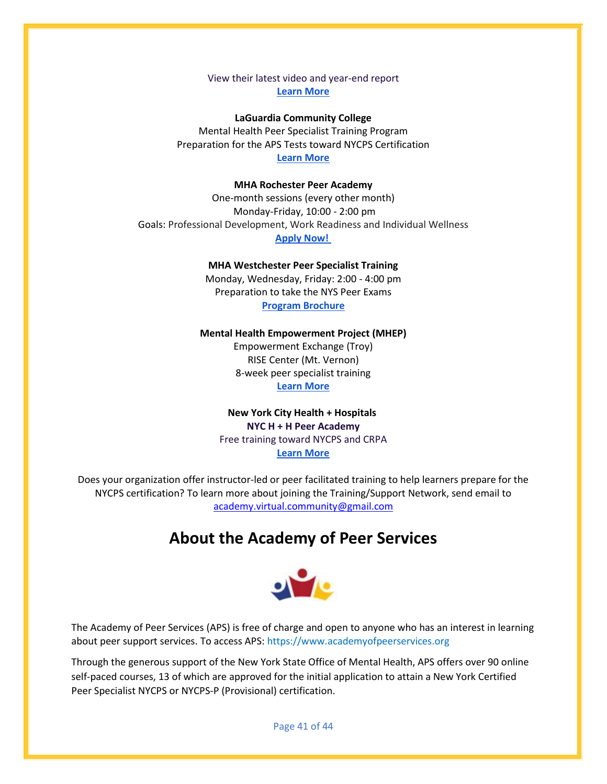View their latest video and year-end report **[Learn More](https://www.idha-nyc.org/)**

**LaGuardia Community College** Mental Health Peer Specialist Training Program Preparation for the APS Tests toward NYCPS Certification **[Learn More](https://www.laguardia.edu/ce/pages/career-skills-and-training/mental-health/)**

#### **MHA Rochester Peer Academy**

One-month sessions (every other month) Monday-Friday, 10:00 - 2:00 pm Goals: Professional Development, Work Readiness and Individual Wellness **[Apply Now!](https://www.mharochester.org/services/peer-navigation/)**

**MHA Westchester Peer Specialist Training**

Monday, Wednesday, Friday: 2:00 - 4:00 pm Preparation to take the NYS Peer Exams **[Program Brochure](https://aps-community.org/wp-content/uploads/2022/01/Westchester-MHA-Spring-2022-Peer-Specialist-Training-Brochure.pdf)**

#### **Mental Health Empowerment Project (MHEP)**

Empowerment Exchange (Troy) RISE Center (Mt. Vernon) 8-week peer specialist training **[Learn More](https://mhepinc.org/peer-support/)**

### **New York City Health + Hospitals NYC H + H Peer Academy** Free training toward NYCPS and CRPA **[Learn More](https://www.communityaccess.org/our-work/educationajobreadiness/howie-the-harp)**

<span id="page-40-0"></span>Does your organization offer instructor-led or peer facilitated training to help learners prepare for the NYCPS certification? To learn more about joining the Training/Support Network, send email to [academy.virtual.community@gmail.com](mailto:academy.virtual.community@gmail.com)

## **About the Academy of Peer Services**



The Academy of Peer Services (APS) is free of charge and open to anyone who has an interest in learning about peer support services. To access APS[: https://www.academyofpeerservices.org](https://www.academyofpeerservices.org/)

Through the generous support of the New York State Office of Mental Health, APS offers over 90 online self-paced courses, 13 of which are approved for the initial application to attain a New York Certified Peer Specialist NYCPS or NYCPS-P (Provisional) certification.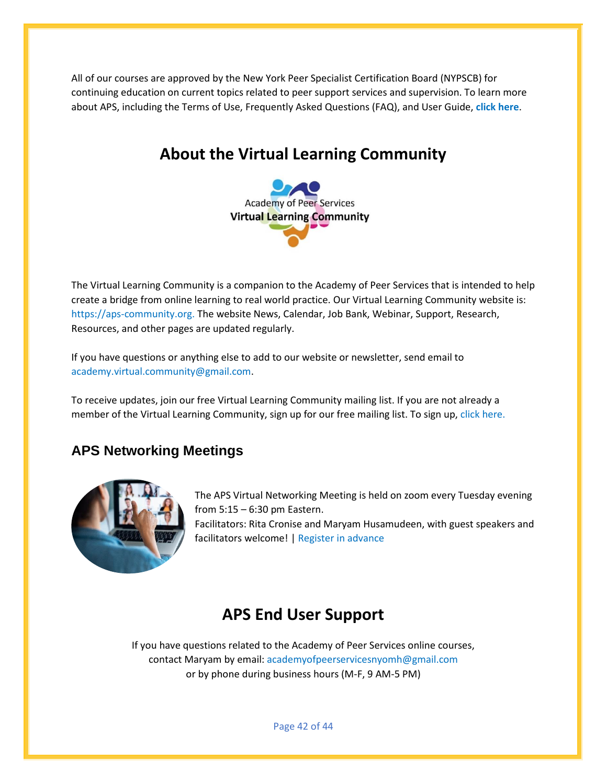<span id="page-41-0"></span>All of our courses are approved by the New York Peer Specialist Certification Board (NYPSCB) for continuing education on current topics related to peer support services and supervision. To learn more about APS, including the Terms of Use, Frequently Asked Questions (FAQ), and User Guide, **[click here](https://aps-community.org/ui-faq/)**.

## **About the Virtual Learning Community**



The Virtual Learning Community is a companion to the Academy of Peer Services that is intended to help create a bridge from online learning to real world practice. Our Virtual Learning Community website is: [https://aps-community.org.](https://aps-community.org/) The website News, Calendar, Job Bank, Webinar, Support, Research, Resources, and other pages are updated regularly.

If you have questions or anything else to add to our website or newsletter, send email to [academy.virtual.community@gmail.com.](mailto:academy.virtual.community@gmail.com)

To receive updates, join our free Virtual Learning Community mailing list. If you are not already a member of the Virtual Learning Community, sign up for our free mailing list. To sign up[, click here.](https://aps-community.us15.list-manage.com/subscribe?u=119d7192dab896117d2f11311&id=0c61eed23d)

## **APS Networking Meetings**



The APS Virtual Networking Meeting is held on zoom every Tuesday evening from 5:15 – 6:30 pm Eastern.

Facilitators: Rita Cronise and Maryam Husamudeen, with guest speakers and facilitators welcome! [| Register in advance](https://rutgers.zoom.us/meeting/register/tJIqd-mgpz0jGtcwhcuTJGzeDMpcpmLLgSKE)

## **APS End User Support**

<span id="page-41-1"></span>If you have questions related to the Academy of Peer Services online courses, contact Maryam by email: [academyofpeerservicesnyomh@gmail.com](mailto:academyofpeerservicesnyomh@gmail.com) or by phone during business hours (M-F, 9 AM-5 PM)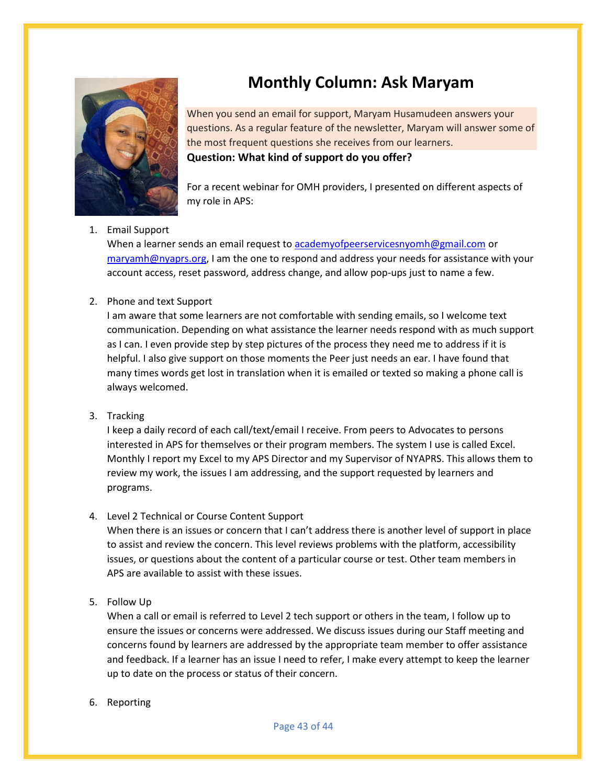

## **Monthly Column: Ask Maryam**

<span id="page-42-0"></span>When you send an email for support, Maryam Husamudeen answers your questions. As a regular feature of the newsletter, Maryam will answer some of the most frequent questions she receives from our learners.

**Question: What kind of support do you offer?**

For a recent webinar for OMH providers, I presented on different aspects of my role in APS:

## 1. Email Support

When a learner sends an email request to [academyofpeerservicesnyomh@gmail.com](mailto:academyofpeerservicesnyomh@gmail.com) or [maryamh@nyaprs.org,](mailto:maryamh@nyaprs.org) I am the one to respond and address your needs for assistance with your account access, reset password, address change, and allow pop-ups just to name a few.

### 2. Phone and text Support

I am aware that some learners are not comfortable with sending emails, so I welcome text communication. Depending on what assistance the learner needs respond with as much support as I can. I even provide step by step pictures of the process they need me to address if it is helpful. I also give support on those moments the Peer just needs an ear. I have found that many times words get lost in translation when it is emailed or texted so making a phone call is always welcomed.

3. Tracking

I keep a daily record of each call/text/email I receive. From peers to Advocates to persons interested in APS for themselves or their program members. The system I use is called Excel. Monthly I report my Excel to my APS Director and my Supervisor of NYAPRS. This allows them to review my work, the issues I am addressing, and the support requested by learners and programs.

#### 4. Level 2 Technical or Course Content Support

When there is an issues or concern that I can't address there is another level of support in place to assist and review the concern. This level reviews problems with the platform, accessibility issues, or questions about the content of a particular course or test. Other team members in APS are available to assist with these issues.

5. Follow Up

When a call or email is referred to Level 2 tech support or others in the team, I follow up to ensure the issues or concerns were addressed. We discuss issues during our Staff meeting and concerns found by learners are addressed by the appropriate team member to offer assistance and feedback. If a learner has an issue I need to refer, I make every attempt to keep the learner up to date on the process or status of their concern.

#### 6. Reporting